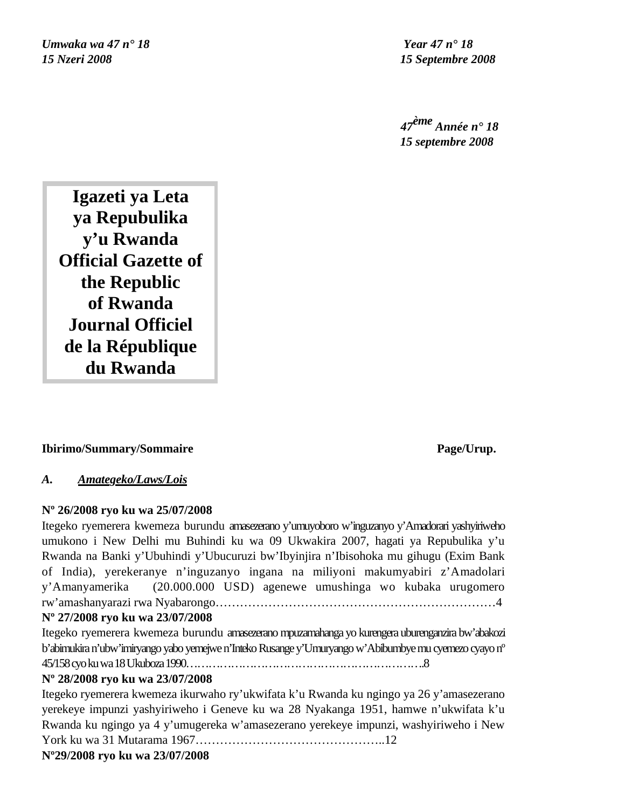*Umwaka wa 47 n° 18 Year 47 n° 18 15 Nzeri 2008 15 Septembre 2008*

 *47ème Année n° 18 15 septembre 2008*

**Igazeti ya Leta ya Repubulika y'u Rwanda Official Gazette of the Republic of Rwanda Journal Officiel de la République du Rwanda**

# **Ibirimo/Summary/Sommaire** Page/Urup.

# *A. Amategeko/Laws/Lois*

# **Nº 26/2008 ryo ku wa 25/07/2008**

Itegeko ryemerera kwemeza burundu amasezerano y'umuyoboro w'inguzanyo y'Amadorari yashyiriweho umukono i New Delhi mu Buhindi ku wa 09 Ukwakira 2007, hagati ya Repubulika y'u Rwanda na Banki y'Ubuhindi y'Ubucuruzi bw'Ibyinjira n'Ibisohoka mu gihugu (Exim Bank of India), yerekeranye n'inguzanyo ingana na miliyoni makumyabiri z'Amadolari y'Amanyamerika (20.000.000 USD) agenewe umushinga wo kubaka urugomero rw'amashanyarazi rwa Nyabarongo……………………………………………………………4

# **Nº 27/2008 ryo ku wa 23/07/2008**

Itegeko ryemerera kwemeza burundu amasezerano mpuzamahanga yo kurengera uburenganzira bw'abakozi b'abimukira n'ubw'imiryango yabo yemejwe n'Inteko Rusange y'Umuryango w'Abibumbye mu cyemezo cyayo nº 45/158 cyo ku wa 18 Ukuboza 1990……………………………………………………….8

# **Nº 28/2008 ryo ku wa 23/07/2008**

Itegeko ryemerera kwemeza ikurwaho ry'ukwifata k'u Rwanda ku ngingo ya 26 y'amasezerano yerekeye impunzi yashyiriweho i Geneve ku wa 28 Nyakanga 1951, hamwe n'ukwifata k'u Rwanda ku ngingo ya 4 y'umugereka w'amasezerano yerekeye impunzi, washyiriweho i New York ku wa 31 Mutarama 1967………………………………………..12 **Nº29/2008 ryo ku wa 23/07/2008**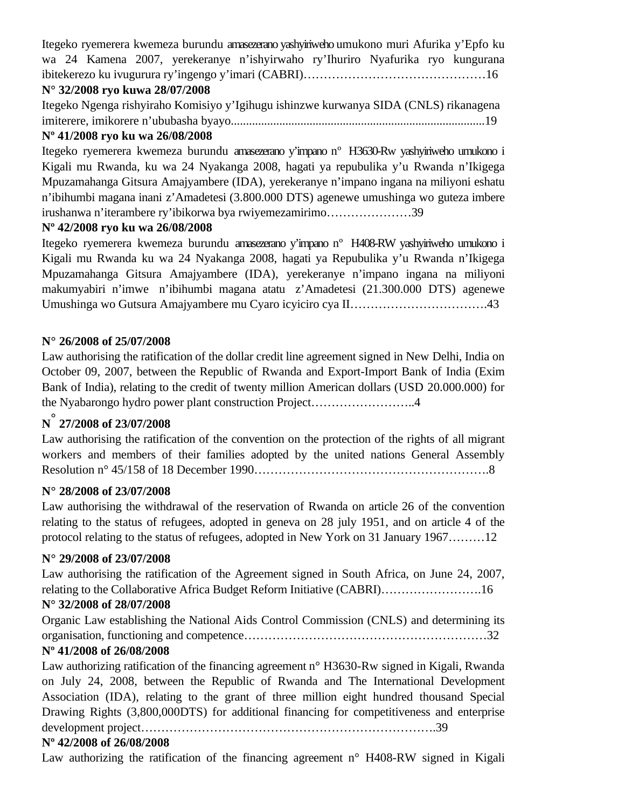Itegeko ryemerera kwemeza burundu amasezerano yashyiriweho umukono muri Afurika y'Epfo ku wa 24 Kamena 2007, yerekeranye n'ishyirwaho ry'Ihuriro Nyafurika ryo kungurana ibitekerezo ku ivugurura ry'ingengo y'imari (CABRI)………………………………………16

# **N° 32/2008 ryo kuwa 28/07/2008**

Itegeko Ngenga rishyiraho Komisiyo y'Igihugu ishinzwe kurwanya SIDA (CNLS) rikanagena imiterere, imikorere n'ububasha byayo....................................................................................19

# **Nº 41/2008 ryo ku wa 26/08/2008**

Itegeko ryemerera kwemeza burundu amasezerano y'impano nº H3630-Rw yashyiriweho umukono i Kigali mu Rwanda, ku wa 24 Nyakanga 2008, hagati ya repubulika y'u Rwanda n'Ikigega Mpuzamahanga Gitsura Amajyambere (IDA), yerekeranye n'impano ingana na miliyoni eshatu n'ibihumbi magana inani z'Amadetesi (3.800.000 DTS) agenewe umushinga wo guteza imbere irushanwa n'iterambere ry'ibikorwa bya rwiyemezamirimo…………………39

# **Nº 42/2008 ryo ku wa 26/08/2008**

Itegeko ryemerera kwemeza burundu amasezerano y'impano nº H408-RW yashyiriweho umukono i Kigali mu Rwanda ku wa 24 Nyakanga 2008, hagati ya Repubulika y'u Rwanda n'Ikigega Mpuzamahanga Gitsura Amajyambere (IDA), yerekeranye n'impano ingana na miliyoni makumyabiri n'imwe n'ibihumbi magana atatu z'Amadetesi (21.300.000 DTS) agenewe Umushinga wo Gutsura Amajyambere mu Cyaro icyiciro cya II…………………………….43

# **N° 26/2008 of 25/07/2008**

Law authorising the ratification of the dollar credit line agreement signed in New Delhi, India on October 09, 2007, between the Republic of Rwanda and Export-Import Bank of India (Exim Bank of India), relating to the credit of twenty million American dollars (USD 20.000.000) for the Nyabarongo hydro power plant construction Project……………………..4

# **<sup>N</sup>° 27/2008 of 23/07/2008**

Law authorising the ratification of the convention on the protection of the rights of all migrant workers and members of their families adopted by the united nations General Assembly Resolution n° 45/158 of 18 December 1990………………………………………………….8

# **N° 28/2008 of 23/07/2008**

Law authorising the withdrawal of the reservation of Rwanda on article 26 of the convention relating to the status of refugees, adopted in geneva on 28 july 1951, and on article 4 of the protocol relating to the status of refugees, adopted in New York on 31 January 1967………12

# **N° 29/2008 of 23/07/2008**

Law authorising the ratification of the Agreement signed in South Africa, on June 24, 2007, relating to the Collaborative Africa Budget Reform Initiative (CABRI)…………………….16

# **N° 32/2008 of 28/07/2008**

Organic Law establishing the National Aids Control Commission (CNLS) and determining its organisation, functioning and competence……………………………………………………32

# **Nº 41/2008 of 26/08/2008**

Law authorizing ratification of the financing agreement n° H3630-Rw signed in Kigali, Rwanda on July 24, 2008, between the Republic of Rwanda and The International Development Association (IDA), relating to the grant of three million eight hundred thousand Special Drawing Rights (3,800,000DTS) for additional financing for competitiveness and enterprise development project……………………………………………………………….39

# **Nº 42/2008 of 26/08/2008**

Law authorizing the ratification of the financing agreement  $n^{\circ}$  H408-RW signed in Kigali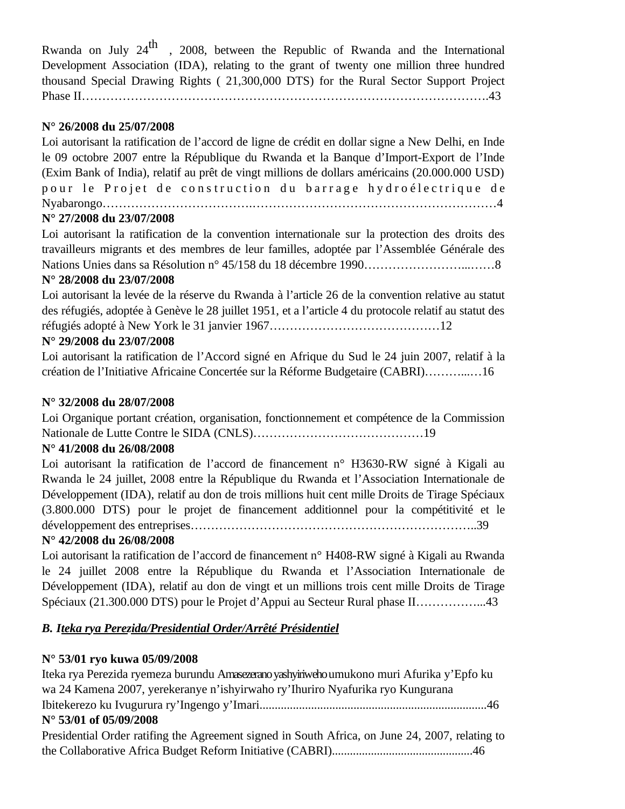Rwanda on July  $24<sup>th</sup>$ , 2008, between the Republic of Rwanda and the International Development Association (IDA), relating to the grant of twenty one million three hundred thousand Special Drawing Rights ( 21,300,000 DTS) for the Rural Sector Support Project Phase II……………………………………………………………………………………….43

# **N° 26/2008 du 25/07/2008**

Loi autorisant la ratification de l'accord de ligne de crédit en dollar signe a New Delhi, en Inde le 09 octobre 2007 entre la République du Rwanda et la Banque d'Import-Export de l'Inde (Exim Bank of India), relatif au prêt de vingt millions de dollars américains (20.000.000 USD) pour le Projet de construction du barrage hydroélectrique de Nyabarongo……………………………….……………………………………………………4

# **N° 27/2008 du 23/07/2008**

Loi autorisant la ratification de la convention internationale sur la protection des droits des travailleurs migrants et des membres de leur familles, adoptée par l'Assemblée Générale des Nations Unies dans sa Résolution n° 45/158 du 18 décembre 1990……………………...……8

# **N° 28/2008 du 23/07/2008**

Loi autorisant la levée de la réserve du Rwanda à l'article 26 de la convention relative au statut des réfugiés, adoptée à Genève le 28 juillet 1951, et a l'article 4 du protocole relatif au statut des réfugiés adopté à New York le 31 janvier 1967……………………………………12

# **N° 29/2008 du 23/07/2008**

Loi autorisant la ratification de l'Accord signé en Afrique du Sud le 24 juin 2007, relatif à la création de l'Initiative Africaine Concertée sur la Réforme Budgetaire (CABRI)………...…16

# **N° 32/2008 du 28/07/2008**

Loi Organique portant création, organisation, fonctionnement et compétence de la Commission Nationale de Lutte Contre le SIDA (CNLS)……………………………………19

# **N° 41/2008 du 26/08/2008**

Loi autorisant la ratification de l'accord de financement n° H3630-RW signé à Kigali au Rwanda le 24 juillet, 2008 entre la République du Rwanda et l'Association Internationale de Développement (IDA), relatif au don de trois millions huit cent mille Droits de Tirage Spéciaux (3.800.000 DTS) pour le projet de financement additionnel pour la compétitivité et le développement des entreprises……………………………………………………………..39

# **N° 42/2008 du 26/08/2008**

Loi autorisant la ratification de l'accord de financement n° H408-RW signé à Kigali au Rwanda le 24 juillet 2008 entre la République du Rwanda et l'Association Internationale de Développement (IDA), relatif au don de vingt et un millions trois cent mille Droits de Tirage Spéciaux (21.300.000 DTS) pour le Projet d'Appui au Secteur Rural phase II……………...43

# *B. Iteka rya Perezida/Presidential Order/Arrêté Présidentiel*

# **N° 53/01 ryo kuwa 05/09/2008**

Iteka rya Perezida ryemeza burundu Amasezerano yashyiriweho umukono muri Afurika y'Epfo ku wa 24 Kamena 2007, yerekeranye n'ishyirwaho ry'Ihuriro Nyafurika ryo Kungurana Ibitekerezo ku Ivugurura ry'Ingengo y'Imari...........................................................................46 **N° 53/01 of 05/09/2008** Presidential Order ratifing the Agreement signed in South Africa, on June 24, 2007, relating to the Collaborative Africa Budget Reform Initiative (CABRI)...............................................46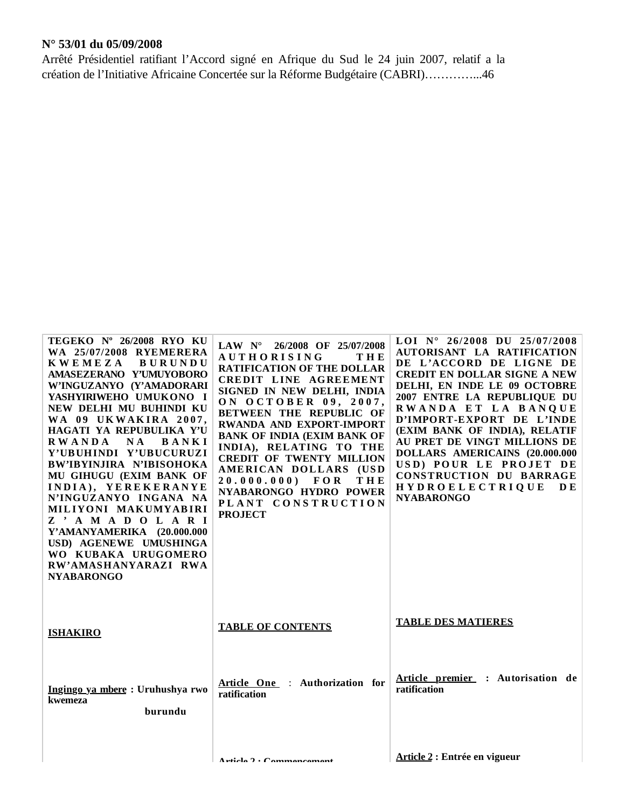# **N° 53/01 du 05/09/2008**

Arrêté Présidentiel ratifiant l'Accord signé en Afrique du Sud le 24 juin 2007, relatif a la création de l'Initiative Africaine Concertée sur la Réforme Budgétaire (CABRI)…………...46

| TEGEKO Nº 26/2008 RYO KU<br>WA 25/07/2008 RYEMERERA<br><b>KWEMEZA</b><br><b>BURUNDU</b><br>AMASEZERANO Y'UMUYOBORO<br>W'INGUZANYO (Y'AMADORARI<br>YASHYIRIWEHO UMUKONO I<br>NEW DELHI MU BUHINDI KU<br>WA 09 UKWAKIRA 2007,<br>HAGATI YA REPUBULIKA Y'U<br><b>RWANDA</b><br>N A<br>BANKI<br>Y'UBUHINDI Y'UBUCURUZI<br>BW'IBYINJIRA N'IBISOHOKA<br>MU GIHUGU (EXIM BANK OF<br>INDIA), YEREKERANYE<br>N'INGUZANYO INGANA NA<br>MILIYONI MAKUMYABIRI<br>Z ' A M A D O L A R I<br>Y'AMANYAMERIKA (20.000.000<br>USD) AGENEWE UMUSHINGA<br>WO KUBAKA URUGOMERO<br>RW'AMASHANYARAZI RWA<br><b>NYABARONGO</b> | LAW $N^{\circ}$ 26/2008 OF 25/07/2008<br><b>AUTHORISING</b><br>THE<br><b>RATIFICATION OF THE DOLLAR</b><br>CREDIT LINE AGREEMENT<br>SIGNED IN NEW DELHI, INDIA<br>ON OCTOBER 09, 2007,<br>BETWEEN THE REPUBLIC OF<br>RWANDA AND EXPORT-IMPORT<br><b>BANK OF INDIA (EXIM BANK OF</b><br>INDIA), RELATING TO THE<br><b>CREDIT OF TWENTY MILLION</b><br>AMERICAN DOLLARS (USD<br>$20.000.000$ FOR<br>THE<br>NYABARONGO HYDRO POWER<br>PLANT CONSTRUCTION<br><b>PROJECT</b> | LOI N° 26/2008 DU 25/07/2008<br>AUTORISANT LA RATIFICATION<br>DE L'ACCORD DE LIGNE DE<br><b>CREDIT EN DOLLAR SIGNE A NEW</b><br>DELHI, EN INDE LE 09 OCTOBRE<br>2007 ENTRE LA REPUBLIQUE DU<br>RWANDA ET LA BANQUE<br>D'IMPORT-EXPORT DE L'INDE<br>(EXIM BANK OF INDIA), RELATIF<br>AU PRET DE VINGT MILLIONS DE<br>DOLLARS AMERICAINS (20.000.000<br>USD) POUR LE PROJET DE<br>CONSTRUCTION DU BARRAGE<br><b>HYDROELECTRIQUE</b><br>D E<br><b>NYABARONGO</b> |
|--------------------------------------------------------------------------------------------------------------------------------------------------------------------------------------------------------------------------------------------------------------------------------------------------------------------------------------------------------------------------------------------------------------------------------------------------------------------------------------------------------------------------------------------------------------------------------------------------------|-------------------------------------------------------------------------------------------------------------------------------------------------------------------------------------------------------------------------------------------------------------------------------------------------------------------------------------------------------------------------------------------------------------------------------------------------------------------------|---------------------------------------------------------------------------------------------------------------------------------------------------------------------------------------------------------------------------------------------------------------------------------------------------------------------------------------------------------------------------------------------------------------------------------------------------------------|
| <b>ISHAKIRO</b>                                                                                                                                                                                                                                                                                                                                                                                                                                                                                                                                                                                        | <b>TABLE OF CONTENTS</b>                                                                                                                                                                                                                                                                                                                                                                                                                                                | <b>TABLE DES MATIERES</b>                                                                                                                                                                                                                                                                                                                                                                                                                                     |
| Ingingo ya mbere: Uruhushya rwo<br>kwemeza<br>burundu                                                                                                                                                                                                                                                                                                                                                                                                                                                                                                                                                  | Article One : Authorization for<br>ratification                                                                                                                                                                                                                                                                                                                                                                                                                         | Article premier : Autorisation de<br>ratification                                                                                                                                                                                                                                                                                                                                                                                                             |
|                                                                                                                                                                                                                                                                                                                                                                                                                                                                                                                                                                                                        | $A$ rticle $2 \cdot C$ ommencement                                                                                                                                                                                                                                                                                                                                                                                                                                      | Article 2 : Entrée en vigueur                                                                                                                                                                                                                                                                                                                                                                                                                                 |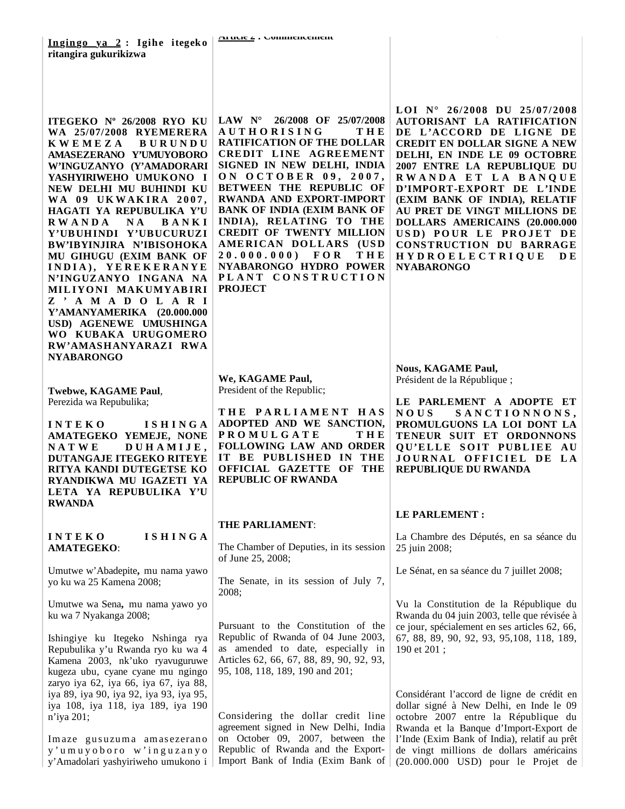**ITEGEKO Nº 26/2008 RYO KU WA 25/07/2008 RYEMERERA K W E M E Z A B U R U N D U AMASEZERANO Y'UMUYOBORO W'INGUZANYO (Y'AMADORARI YASHYIRIWEHO UMUKONO I NEW DELHI MU BUHINDI KU**  WA 09 UKWAKIRA 2007. **HAGATI YA REPUBULIKA Y'U R W A N D A N A B A N K I Y'UBUHINDI Y'UBUCURUZI BW'IBYINJIRA N'IBISOHOKA MU GIHUGU (EXIM BANK OF I N D I A ) , Y E R E K E R A N Y E N'INGUZANYO INGANA NA MIL IYONI MAKUMYAB IRI Z ' A M A D O L A R I Y'AMANYAMERIKA (20.000.000 USD) AGENEWE UMUSHINGA WO KUBAKA URUGOMERO RW'AMASHANYARAZI RWA NYABARONGO** 

**Twebwe, KAGAME Paul**, Perezida wa Repubulika;

**I N T E K O I S H I N G A AMATEGEKO YEMEJE, NONE N A T W E D U H A M I J E , DUTANGAJE ITEGEKO RITEYE RITYA KANDI DUTEGETSE KO RYANDIKWA MU IGAZETI YA LETA YA REPUBULIKA Y'U RWANDA**

# **I N T E K O I S H I N G A AMATEGEKO**:

Umutwe w'Abadepite**,** mu nama yawo yo ku wa 25 Kamena 2008;

Umutwe wa Sena**,** mu nama yawo yo ku wa 7 Nyakanga 2008;

Ishingiye ku Itegeko Nshinga rya Repubulika y'u Rwanda ryo ku wa 4 Kamena 2003, nk'uko ryavuguruwe kugeza ubu, cyane cyane mu ngingo zaryo iya 62, iya 66, iya 67, iya 88, iya 89, iya 90, iya 92, iya 93, iya 95, iya 108, iya 118, iya 189, iya 190 n'iya 201;

Imaze gusuzuma amasezerano y'umuyoboro w'inguzanyo y'Amadolari yashyiriweho umukono i

**LAW N° 26/2008 OF 25/07/2008 A U T H O R I S I N G T H E RATIFICATION OF THE DOLLAR CREDIT LINE AGREEMENT SIGNED IN NEW DELHI, INDIA O N O C T O B E R 0 9 , 2 0 0 7 , BETWEEN THE REPUBLIC OF RWANDA AND EXPORT-IMPORT BANK OF INDIA (EXIM BANK OF INDIA), RELATING TO THE CREDIT OF TWENTY MILLION AME RICAN DO L L ARS (US D 2 0 . 0 0 0 . 0 0 0 ) F O R T H E NYABARONGO HYDRO POWER P L A N T C O N S T R U C T I O N PROJECT**

**We, KAGAME Paul,** President of the Republic;

**T H E P A R L I A M E N T H A S ADOPTED AND WE SANCTION, P R O M U L G A T E T H E FOLLOWING LAW AND ORDER IT BE PUBLISHED IN THE OFFICIAL GAZETTE OF THE REPUBLIC OF RWANDA**

### **THE PARLIAMENT**:

The Chamber of Deputies, in its session of June 25, 2008;

The Senate, in its session of July 7, 2008;

Pursuant to the Constitution of the Republic of Rwanda of 04 June 2003, as amended to date, especially in Articles 62, 66, 67, 88, 89, 90, 92, 93, 95, 108, 118, 189, 190 and 201;

Considering the dollar credit line agreement signed in New Delhi, India on October 09, 2007, between the Republic of Rwanda and the Export-Import Bank of India (Exim Bank of LOI N° 26/2008 DU 25/07/2008 **AUTORISANT LA RATIFICATION DE L 'ACCORD DE L IGNE DE CREDIT EN DOLLAR SIGNE A NEW DELHI, EN INDE LE 09 OCTOBRE 2007 ENTRE LA REPUBLIQUE DU R W A N D A E T L A B A N Q U E D'IMPORT-EXPORT DE L'INDE (EXIM BANK OF INDIA), RELATIF AU PRET DE VINGT MILLIONS DE DOLLARS AMERICAINS (20.000.000 USD) POUR LE PROJET DE CONSTRUCTION DU BARRAGE HYDRO E L E C T R I Q U E D E NYABARONGO**

**Nous, KAGAME Paul,** Président de la République ;

**LE PARLEMENT A ADOPTE ET N O U S S A N C T I O N N O N S , PROMULGUONS LA LOI DONT LA TENEUR SUIT ET ORDONNONS QU'ELLE SOIT PUBLIEE AU JOURNAL OFFICIEL DE LA REPUBLIQUE DU RWANDA**

# **LE PARLEMENT :**

La Chambre des Députés, en sa séance du 25 juin 2008;

Le Sénat, en sa séance du 7 juillet 2008;

Vu la Constitution de la République du Rwanda du 04 juin 2003, telle que révisée à ce jour, spécialement en ses articles 62, 66, 67, 88, 89, 90, 92, 93, 95,108, 118, 189, 190 et 201 ;

Considérant l'accord de ligne de crédit en dollar signé à New Delhi, en Inde le 09 octobre 2007 entre la République du Rwanda et la Banque d'Import-Export de l'Inde (Exim Bank of India), relatif au prêt de vingt millions de dollars américains (20.000.000 USD) pour le Projet de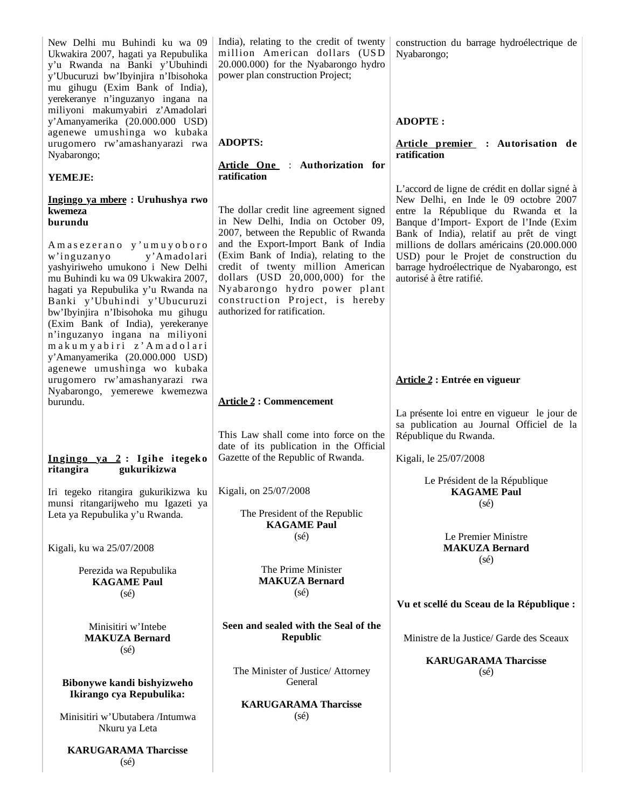New Delhi mu Buhindi ku wa 09 Ukwakira 2007, hagati ya Repubulika y'u Rwanda na Banki y'Ubuhindi y'Ubucuruzi bw'Ibyinjira n'Ibisohoka mu gihugu (Exim Bank of India), yerekeranye n'inguzanyo ingana na miliyoni makumyabiri z'Amadolari y'Amanyamerika (20.000.000 USD) agenewe umushinga wo kubaka urugomero rw'amashanyarazi rwa Nyabarongo; **YEMEJE: Ingingo ya mbere : Uruhushya rwo kwemeza burundu** A m a s e z e r a n o y' u m u y o b o r o w'inguzanyo y'Amadolari yashyiriweho umukono i New Delhi mu Buhindi ku wa 09 Ukwakira 2007, hagati ya Repubulika y'u Rwanda na Banki y'Ubuhindi y'Ubucuruzi bw'Ibyinjira n'Ibisohoka mu gihugu (Exim Bank of India), yerekeranye n'inguzanyo ingana na miliyoni m a k u m y a b i r i z' A m a d o l a r i y'Amanyamerika (20.000.000 USD) agenewe umushinga wo kubaka urugomero rw'amashanyarazi rwa Nyabarongo, yemerewe kwemezwa burundu. **Ingingo ya 2 : Igihe itegeko ritangira gukurikizwa** Iri tegeko ritangira gukurikizwa ku munsi ritangarijweho mu Igazeti ya Leta ya Repubulika y'u Rwanda. Kigali, ku wa 25/07/2008 Perezida wa Repubulika **KAGAME Paul** (sé) Minisitiri w'Intebe **MAKUZA Bernard** (sé) **Bibonywe kandi bishyizweho Ikirango cya Repubulika:** Minisitiri w'Ubutabera /Intumwa Nkuru ya Leta **KARUGARAMA Tharcisse** (sé) India), relating to the credit of twenty million American dollars (USD 20.000.000) for the Nyabarongo hydro power plan construction Project; **ADOPTS: Article One** : **Authorization for ratification**  The dollar credit line agreement signed in New Delhi, India on October 09, 2007, between the Republic of Rwanda and the Export-Import Bank of India (Exim Bank of India), relating to the credit of twenty million American dollars (USD 20,000,000) for the Nyabarongo hydro power plant construction Project, is hereby authorized for ratification. **Article 2 : Commencement**  This Law shall come into force on the date of its publication in the Official Gazette of the Republic of Rwanda. Kigali, on 25/07/2008 The President of the Republic **KAGAME Paul** (sé) The Prime Minister **MAKUZA Bernard** (sé) **Seen and sealed with the Seal of the Republic** The Minister of Justice/ Attorney General **KARUGARAMA Tharcisse** (sé) construction du barrage hydroélectrique de Nyabarongo; **ADOPTE : Article premier : Autorisation de ratification**  L'accord de ligne de crédit en dollar signé à New Delhi, en Inde le 09 octobre 2007 entre la République du Rwanda et la Banque d'Import- Export de l'Inde (Exim Bank of India), relatif au prêt de vingt millions de dollars américains (20.000.000 USD) pour le Projet de construction du barrage hydroélectrique de Nyabarongo, est autorisé à être ratifié. **Article 2 : Entrée en vigueur** La présente loi entre en vigueur le jour de sa publication au Journal Officiel de la République du Rwanda. Kigali, le 25/07/2008 Le Président de la République **KAGAME Paul**  $(sé)$ Le Premier Ministre **MAKUZA Bernard** (sé) **Vu et scellé du Sceau de la République :** Ministre de la Justice/ Garde des Sceaux **KARUGARAMA Tharcisse** (sé)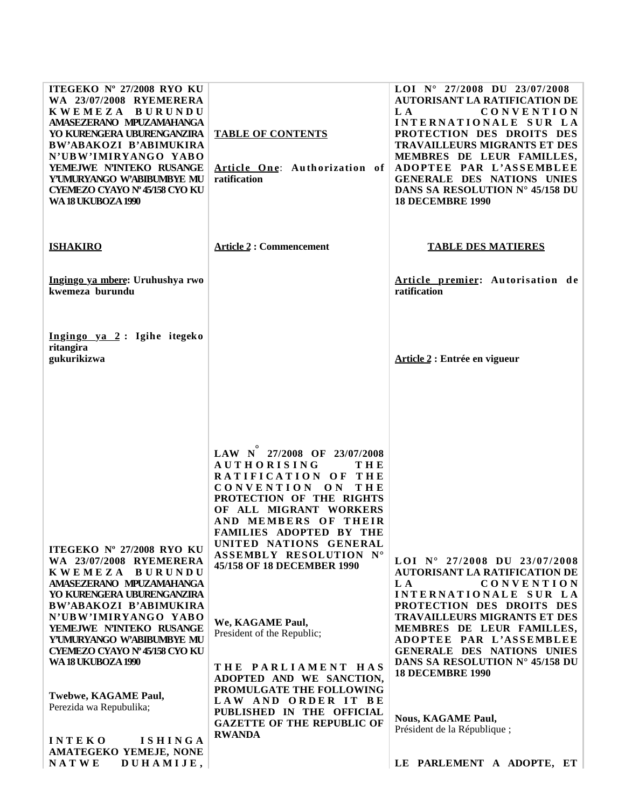| ITEGEKO Nº 27/2008 RYO KU<br>WA 23/07/2008 RYEMERERA<br>KWEMEZA BURUNDU<br>AMASEZERANO MPUZAMAHANGA<br>YO KURENGERA UBURENGANZIRA<br>BW'ABAKOZI B'ABIMUKIRA<br>N'UBW'IMIRYANGO YABO<br>YEMEJWE N'INTEKO RUSANGE<br>YUMURYANGO W'ABIBUMBYE MU<br><b>CYEMEZO CYAYO Nº 45/158 CYO KU</b><br>WA 18 UKUBOZA 1990                                                                                                                                               | <b>TABLE OF CONTENTS</b><br>Article One: Authorization of<br>ratification                                                                                                                                                                                                                                                                                                                                                                                                                                                                           | LOI $N^{\circ}$ 27/2008 DU 23/07/2008<br>AUTORISANT LA RATIFICATION DE<br>L A<br><b>CONVENTION</b><br>INTERNATIONALE SUR LA<br>PROTECTION DES DROITS DES<br><b>TRAVAILLEURS MIGRANTS ET DES</b><br>MEMBRES DE LEUR FAMILLES,<br>ADOPTEE PAR L'ASSEMBLEE<br>GENERALE DES NATIONS UNIES<br>DANS SA RESOLUTION Nº 45/158 DU<br><b>18 DECEMBRE 1990</b>                                                                                                 |
|-----------------------------------------------------------------------------------------------------------------------------------------------------------------------------------------------------------------------------------------------------------------------------------------------------------------------------------------------------------------------------------------------------------------------------------------------------------|-----------------------------------------------------------------------------------------------------------------------------------------------------------------------------------------------------------------------------------------------------------------------------------------------------------------------------------------------------------------------------------------------------------------------------------------------------------------------------------------------------------------------------------------------------|-----------------------------------------------------------------------------------------------------------------------------------------------------------------------------------------------------------------------------------------------------------------------------------------------------------------------------------------------------------------------------------------------------------------------------------------------------|
| <b>ISHAKIRO</b>                                                                                                                                                                                                                                                                                                                                                                                                                                           | <b>Article 2: Commencement</b>                                                                                                                                                                                                                                                                                                                                                                                                                                                                                                                      | <b>TABLE DES MATIERES</b>                                                                                                                                                                                                                                                                                                                                                                                                                           |
| Ingingo ya mbere: Uruhushya rwo<br>kwemeza burundu                                                                                                                                                                                                                                                                                                                                                                                                        |                                                                                                                                                                                                                                                                                                                                                                                                                                                                                                                                                     | Article premier: Autorisation de<br>ratification                                                                                                                                                                                                                                                                                                                                                                                                    |
| Ingingo ya 2: Igihe itegeko<br>ritangira<br>gukurikizwa                                                                                                                                                                                                                                                                                                                                                                                                   |                                                                                                                                                                                                                                                                                                                                                                                                                                                                                                                                                     | Article 2 : Entrée en vigueur                                                                                                                                                                                                                                                                                                                                                                                                                       |
| ITEGEKO Nº 27/2008 RYO KU<br>WA 23/07/2008 RYEMERERA<br>KWEMEZA BURUNDU<br>AMASEZERANO MPUZAMAHANGA<br>YO KURENGERA UBURENGANZIRA<br>BW'ABAKOZI B'ABIMUKIRA<br>N'UBW'IMIRYANGO YABO<br>YEMEJWE N'INTEKO RUSANGE<br>Y'UMURYANGO W'ABIBUMBYE MU<br><b>CYEMEZO CYAYO Nº 45/158 CYO KU</b><br>WA 18 UKUBOZA 1990<br>Twebwe, KAGAME Paul,<br>Perezida wa Repubulika;<br><b>INTEKO</b><br><b>ISHINGA</b><br>AMATEGEKO YEMEJE, NONE<br><b>NATWE</b><br>DUHAMIJE, | LAW N 27/2008 OF 23/07/2008<br><b>AUTHORISING</b><br>THE<br>RATIFICATION OF THE<br>CONVENTION ON<br>THE<br>PROTECTION OF THE RIGHTS<br>OF ALL MIGRANT WORKERS<br>AND MEMBERS OF THEIR<br><b>FAMILIES ADOPTED BY THE</b><br>UNITED NATIONS GENERAL<br>ASSEMBLY RESOLUTION N°<br>45/158 OF 18 DECEMBER 1990<br>We, KAGAME Paul,<br>President of the Republic;<br>THE PARLIAMENT HAS<br>ADOPTED AND WE SANCTION,<br>PROMULGATE THE FOLLOWING<br>LAW AND ORDER IT BE<br>PUBLISHED IN THE OFFICIAL<br><b>GAZETTE OF THE REPUBLIC OF</b><br><b>RWANDA</b> | LOI $N^{\circ}$ 27/2008 DU 23/07/2008<br><b>AUTORISANT LA RATIFICATION DE</b><br><b>CONVENTION</b><br>L A<br>INTERNATIONALE SUR LA<br>PROTECTION DES DROITS DES<br><b>TRAVAILLEURS MIGRANTS ET DES</b><br>MEMBRES DE LEUR FAMILLES,<br>ADOPTEE PAR L'ASSEMBLEE<br>GENERALE DES NATIONS UNIES<br>DANS SA RESOLUTION Nº 45/158 DU<br><b>18 DECEMBRE 1990</b><br><b>Nous, KAGAME Paul,</b><br>Président de la République;<br>LE PARLEMENT A ADOPTE, ET |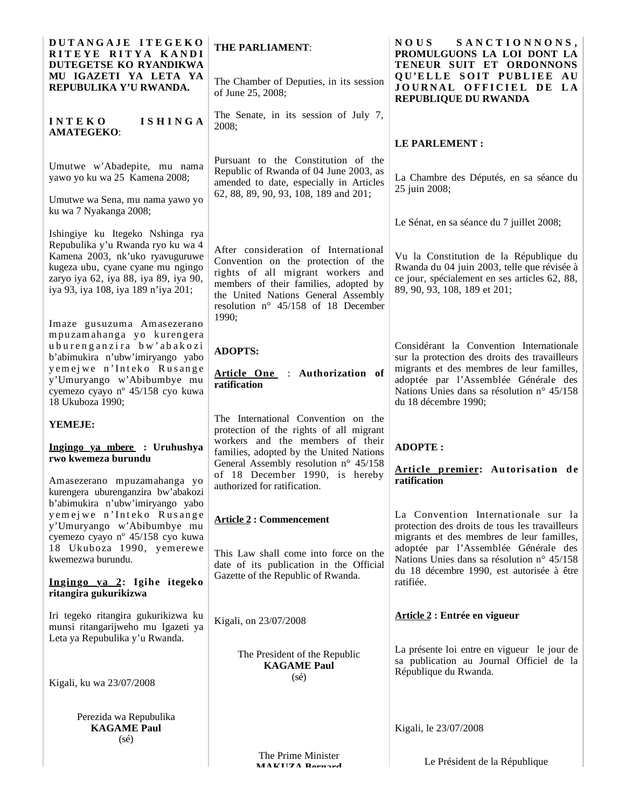| DUTANGAJE ITEGEKO<br>RITEYE RITYA KANDI<br>DUTEGETSE KO RYANDIKWA                                                                                                                                                             | <b>THE PARLIAMENT:</b>                                                                                                                                                                                                                                    | <b>NOUS</b><br>SANCTIONNONS,<br>PROMULGUONS LA LOI DONT LA<br>TENEUR SUIT ET ORDONNONS                                                                                         |
|-------------------------------------------------------------------------------------------------------------------------------------------------------------------------------------------------------------------------------|-----------------------------------------------------------------------------------------------------------------------------------------------------------------------------------------------------------------------------------------------------------|--------------------------------------------------------------------------------------------------------------------------------------------------------------------------------|
| MU IGAZETI YA LETA YA<br>REPUBULIKA Y'U RWANDA.                                                                                                                                                                               | The Chamber of Deputies, in its session<br>of June 25, 2008;                                                                                                                                                                                              | QU'ELLE SOIT PUBLIEE AU<br>JOURNAL OFFICIEL DE LA<br>REPUBLIQUE DU RWANDA                                                                                                      |
| <b>ISHINGA</b><br><b>INTEKO</b><br><b>AMATEGEKO:</b>                                                                                                                                                                          | The Senate, in its session of July 7,<br>2008;                                                                                                                                                                                                            |                                                                                                                                                                                |
|                                                                                                                                                                                                                               |                                                                                                                                                                                                                                                           | LE PARLEMENT :                                                                                                                                                                 |
| Umutwe w'Abadepite, mu nama<br>yawo yo ku wa 25 Kamena 2008;<br>Umutwe wa Sena, mu nama yawo yo                                                                                                                               | Pursuant to the Constitution of the<br>Republic of Rwanda of 04 June 2003, as<br>amended to date, especially in Articles<br>62, 88, 89, 90, 93, 108, 189 and 201;                                                                                         | La Chambre des Députés, en sa séance du<br>25 juin 2008;                                                                                                                       |
| ku wa 7 Nyakanga 2008;                                                                                                                                                                                                        |                                                                                                                                                                                                                                                           | Le Sénat, en sa séance du 7 juillet 2008;                                                                                                                                      |
| Ishingiye ku Itegeko Nshinga rya<br>Repubulika y'u Rwanda ryo ku wa 4<br>Kamena 2003, nk'uko ryavuguruwe<br>kugeza ubu, cyane cyane mu ngingo<br>zaryo iya 62, iya 88, iya 89, iya 90,<br>iya 93, iya 108, iya 189 n'iya 201; | After consideration of International<br>Convention on the protection of the<br>rights of all migrant workers and<br>members of their families, adopted by<br>the United Nations General Assembly<br>resolution $n^{\circ}$ 45/158 of 18 December<br>1990; | Vu la Constitution de la République du<br>Rwanda du 04 juin 2003, telle que révisée à<br>ce jour, spécialement en ses articles 62, 88,<br>89, 90, 93, 108, 189 et 201;         |
| Imaze gusuzuma Amasezerano<br>mpuzamahanga yo kurengera                                                                                                                                                                       |                                                                                                                                                                                                                                                           |                                                                                                                                                                                |
| uburenganzira bw'abakozi<br>b'abimukira n'ubw'imiryango yabo<br>yemejwe n'Inteko Rusange<br>y'Umuryango w'Abibumbye mu                                                                                                        | <b>ADOPTS:</b><br>Article One : Authorization of<br>ratification                                                                                                                                                                                          | Considérant la Convention Internationale<br>sur la protection des droits des travailleurs<br>migrants et des membres de leur familles,<br>adoptée par l'Assemblée Générale des |
| cyemezo cyayo nº 45/158 cyo kuwa<br>18 Ukuboza 1990;                                                                                                                                                                          |                                                                                                                                                                                                                                                           | Nations Unies dans sa résolution n° 45/158<br>du 18 décembre 1990;                                                                                                             |
| YEMEJE:                                                                                                                                                                                                                       | The International Convention on the<br>protection of the rights of all migrant                                                                                                                                                                            |                                                                                                                                                                                |
| Ingingo ya mbere : Uruhushya<br>rwo kwemeza burundu                                                                                                                                                                           | workers and the members of their<br>families, adopted by the United Nations<br>General Assembly resolution $n^{\circ}$ 45/158                                                                                                                             | <b>ADOPTE:</b><br>Article premier: Autorisation de                                                                                                                             |
| Amasezerano mpuzamahanga yo<br>kurengera uburenganzira bw'abakozi<br>b'abimukira n'ubw'imiryango yabo                                                                                                                         | of 18 December 1990, is hereby<br>authorized for ratification.                                                                                                                                                                                            | ratification                                                                                                                                                                   |
| yemejwe n'Inteko Rusange<br>y'Umuryango w'Abibumbye mu<br>cyemezo cyayo nº 45/158 cyo kuwa                                                                                                                                    | <b>Article 2: Commencement</b>                                                                                                                                                                                                                            | La Convention Internationale sur la<br>protection des droits de tous les travailleurs<br>migrants et des membres de leur familles,                                             |
| 18 Ukuboza 1990, yemerewe<br>kwemezwa burundu.                                                                                                                                                                                | This Law shall come into force on the<br>date of its publication in the Official                                                                                                                                                                          | adoptée par l'Assemblée Générale des<br>Nations Unies dans sa résolution n° 45/158<br>du 18 décembre 1990, est autorisée à être                                                |
| Ingingo ya 2: Igihe itegeko<br>ritangira gukurikizwa                                                                                                                                                                          | Gazette of the Republic of Rwanda.                                                                                                                                                                                                                        | ratifiée.                                                                                                                                                                      |
| Iri tegeko ritangira gukurikizwa ku<br>munsi ritangarijweho mu Igazeti ya<br>Leta ya Repubulika y'u Rwanda.                                                                                                                   | Kigali, on 23/07/2008                                                                                                                                                                                                                                     | <b>Article 2 : Entrée en vigueur</b>                                                                                                                                           |
| Kigali, ku wa 23/07/2008                                                                                                                                                                                                      | The President of the Republic<br><b>KAGAME Paul</b><br>$(s\acute{e})$                                                                                                                                                                                     | La présente loi entre en vigueur le jour de<br>sa publication au Journal Officiel de la<br>République du Rwanda.                                                               |
|                                                                                                                                                                                                                               |                                                                                                                                                                                                                                                           |                                                                                                                                                                                |
| Perezida wa Repubulika<br><b>KAGAME Paul</b><br>$(s\acute{e})$                                                                                                                                                                |                                                                                                                                                                                                                                                           | Kigali, le 23/07/2008                                                                                                                                                          |
|                                                                                                                                                                                                                               | The Prime Minister<br>MA KII7 A Downord                                                                                                                                                                                                                   | Le Président de la République                                                                                                                                                  |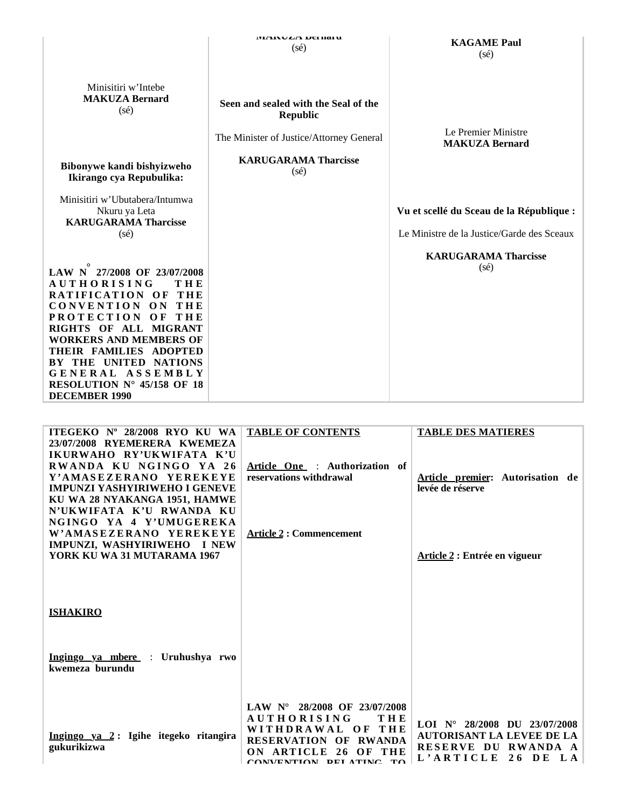|                                                                                                                                                                                                                                                                                          | <b>WAIXU<i>LA</i></b> DUHIAI U<br>$(s\acute{e})$                                                    | <b>KAGAME Paul</b><br>$(s\acute{e})$                                                   |
|------------------------------------------------------------------------------------------------------------------------------------------------------------------------------------------------------------------------------------------------------------------------------------------|-----------------------------------------------------------------------------------------------------|----------------------------------------------------------------------------------------|
| Minisitiri w'Intebe<br><b>MAKUZA Bernard</b><br>$(s\acute{e})$                                                                                                                                                                                                                           | Seen and sealed with the Seal of the<br><b>Republic</b><br>The Minister of Justice/Attorney General | Le Premier Ministre<br><b>MAKUZA Bernard</b>                                           |
| Bibonywe kandi bishyizweho<br>Ikirango cya Repubulika:                                                                                                                                                                                                                                   | <b>KARUGARAMA Tharcisse</b><br>$(s\acute{e})$                                                       |                                                                                        |
| Minisitiri w'Ubutabera/Intumwa<br>Nkuru ya Leta<br><b>KARUGARAMA Tharcisse</b><br>$(s\acute{e})$                                                                                                                                                                                         |                                                                                                     | Vu et scellé du Sceau de la République :<br>Le Ministre de la Justice/Garde des Sceaux |
| LAW N 27/2008 OF 23/07/2008<br><b>AUTHORISING</b><br>THE<br>RATIFICATION OF<br>THE<br>CONVENTION ON<br>THE<br><b>PROTECTION</b><br>O <sub>F</sub><br>THE<br>RIGHTS OF ALL MIGRANT<br>WORKERS AND MEMBERS OF<br>THEIR FAMILIES ADOPTED<br>THE UNITED NATIONS<br>КY<br>ASSEMBLY<br>GENERAL |                                                                                                     | <b>KARUGARAMA Tharcisse</b><br>$(s\acute{e})$                                          |
| RESOLUTION $N^{\circ}$ 45/158 OF 18<br><b>DECEMBER 1990</b>                                                                                                                                                                                                                              |                                                                                                     |                                                                                        |

| ITEGEKO Nº 28/2008 RYO KU WA<br>23/07/2008 RYEMERERA KWEMEZA          | <b>TABLE OF CONTENTS</b>                                                  | <b>TABLE DES MATIERES</b>                                          |
|-----------------------------------------------------------------------|---------------------------------------------------------------------------|--------------------------------------------------------------------|
| IKURWAHO RY'UKWIFATA K'U                                              |                                                                           |                                                                    |
| RWANDA KU NGINGO YA 26<br>Y'AMASEZERANO YEREKEYE                      | Article One : Authorization of<br>reservations withdrawal                 | Article premier: Autorisation de                                   |
| <b>IMPUNZI YASHYIRIWEHO I GENEVE</b><br>KU WA 28 NYAKANGA 1951, HAMWE |                                                                           | levée de réserve                                                   |
| N'UKWIFATA K'U RWANDA KU                                              |                                                                           |                                                                    |
| NGINGO YA 4 Y'UMUGEREKA<br>W'AMASEZERANO YEREKEYE                     | <b>Article 2 : Commencement</b>                                           |                                                                    |
| IMPUNZI, WASHYIRIWEHO I NEW                                           |                                                                           |                                                                    |
| YORK KU WA 31 MUTARAMA 1967                                           |                                                                           | Article 2 : Entrée en vigueur                                      |
|                                                                       |                                                                           |                                                                    |
|                                                                       |                                                                           |                                                                    |
| <b>ISHAKIRO</b>                                                       |                                                                           |                                                                    |
|                                                                       |                                                                           |                                                                    |
| Ingingo ya mbere : Uruhushya rwo                                      |                                                                           |                                                                    |
| kwemeza burundu                                                       |                                                                           |                                                                    |
|                                                                       |                                                                           |                                                                    |
|                                                                       | LAW $N^{\circ}$ 28/2008 OF 23/07/2008<br><b>AUTHORISING</b><br><b>THE</b> |                                                                    |
| Ingingo ya 2: Igihe itegeko ritangira                                 | WITHDRAWAL OF THE<br><b>RESERVATION OF</b><br><b>RWANDA</b>               | LOI $N^{\circ}$ 28/2008 DU 23/07/2008<br>AUTORISANT LA LEVEE DE LA |
| gukurikizwa                                                           | 26<br><b>ARTICLE</b><br>$\Omega$ F<br>THE                                 | RESERVE DU<br>RWANDA A<br>L'ARTICLE<br>26 DE<br>L A                |
|                                                                       | CONVENTION BELATING TO                                                    |                                                                    |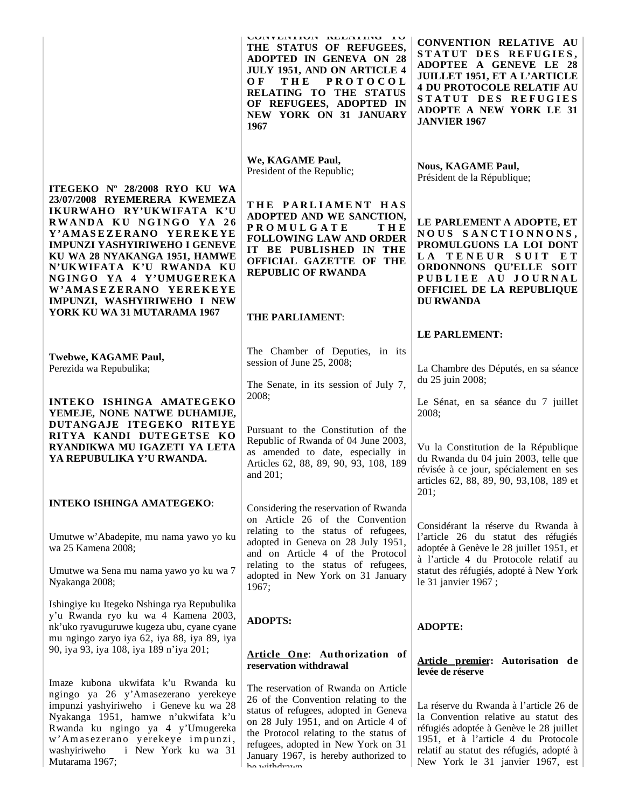|                                                                                                                                                                                                                                                                                                | CONTENTION RELATING TO<br>THE STATUS OF REFUGEES,<br><b>ADOPTED IN GENEVA ON 28</b><br>JULY 1951, AND ON ARTICLE 4<br><b>THE</b><br>O <sub>F</sub><br><b>PROTOCOL</b><br>RELATING TO THE STATUS<br>OF REFUGEES, ADOPTED IN<br>NEW YORK ON 31 JANUARY<br>1967                                            | <b>CONVENTION RELATIVE AU</b><br>STATUT DES REFUGIES,<br>ADOPTEE A GENEVE LE 28<br><b>JUILLET 1951, ET A L'ARTICLE</b><br><b>4 DU PROTOCOLE RELATIF AU</b><br>STATUT DES REFUGIES<br>ADOPTE A NEW YORK LE 31<br><b>JANVIER 1967</b>              |
|------------------------------------------------------------------------------------------------------------------------------------------------------------------------------------------------------------------------------------------------------------------------------------------------|---------------------------------------------------------------------------------------------------------------------------------------------------------------------------------------------------------------------------------------------------------------------------------------------------------|--------------------------------------------------------------------------------------------------------------------------------------------------------------------------------------------------------------------------------------------------|
| ITEGEKO Nº 28/2008 RYO KU WA                                                                                                                                                                                                                                                                   | We, KAGAME Paul,<br>President of the Republic;                                                                                                                                                                                                                                                          | <b>Nous, KAGAME Paul,</b><br>Président de la République;                                                                                                                                                                                         |
| 23/07/2008 RYEMERERA KWEMEZA<br>IKURWAHO RY'UKWIFATA K'U<br>RWANDA KU NGINGO YA 26<br>Y'AMASEZERANO YEREKEYE<br>IMPUNZI YASHYIRIWEHO I GENEVE<br>KU WA 28 NYAKANGA 1951, HAMWE<br>N'UKWIFATA K'U RWANDA KU<br>NGINGO YA 4 Y'UMUGEREKA<br>W'AMASEZERANO YEREKEYE<br>IMPUNZI, WASHYIRIWEHO I NEW | THE PARLIAMENT HAS<br>ADOPTED AND WE SANCTION,<br><b>PROMULGATE</b><br><b>THE</b><br><b>FOLLOWING LAW AND ORDER</b><br>IT BE PUBLISHED IN THE<br>OFFICIAL GAZETTE OF THE<br><b>REPUBLIC OF RWANDA</b>                                                                                                   | LE PARLEMENT A ADOPTE, ET<br>NOUS SANCTIONNONS,<br>PROMULGUONS LA LOI DONT<br>LA TENEUR SUIT ET<br>ORDONNONS QU'ELLE SOIT<br>PUBLIEE AU JOURNAL<br>OFFICIEL DE LA REPUBLIQUE<br><b>DU RWANDA</b>                                                 |
| YORK KU WA 31 MUTARAMA 1967                                                                                                                                                                                                                                                                    | THE PARLIAMENT:                                                                                                                                                                                                                                                                                         |                                                                                                                                                                                                                                                  |
| Twebwe, KAGAME Paul,                                                                                                                                                                                                                                                                           | The Chamber of Deputies, in its<br>session of June 25, 2008;                                                                                                                                                                                                                                            | LE PARLEMENT:                                                                                                                                                                                                                                    |
| Perezida wa Repubulika;<br>INTEKO ISHINGA AMATEGEKO<br>YEMEJE, NONE NATWE DUHAMIJE,                                                                                                                                                                                                            | The Senate, in its session of July 7,<br>2008;                                                                                                                                                                                                                                                          | La Chambre des Députés, en sa séance<br>du 25 juin 2008;<br>Le Sénat, en sa séance du 7 juillet<br>2008;                                                                                                                                         |
| DUTANGAJE ITEGEKO RITEYE<br>RITYA KANDI DUTEGETSE KO<br>RYANDIKWA MU IGAZETI YA LETA<br>YA REPUBULIKA Y'U RWANDA.                                                                                                                                                                              | Pursuant to the Constitution of the<br>Republic of Rwanda of 04 June 2003,<br>as amended to date, especially in<br>Articles 62, 88, 89, 90, 93, 108, 189<br>and 201;                                                                                                                                    | Vu la Constitution de la République<br>du Rwanda du 04 juin 2003, telle que<br>révisée à ce jour, spécialement en ses<br>articles 62, 88, 89, 90, 93, 108, 189 et<br>201;                                                                        |
| <b>INTEKO ISHINGA AMATEGEKO:</b>                                                                                                                                                                                                                                                               | Considering the reservation of Rwanda<br>on Article 26 of the Convention                                                                                                                                                                                                                                | Considérant la réserve du Rwanda à                                                                                                                                                                                                               |
| Umutwe w'Abadepite, mu nama yawo yo ku<br>wa 25 Kamena 2008;                                                                                                                                                                                                                                   | relating to the status of refugees,<br>adopted in Geneva on 28 July 1951,<br>and on Article 4 of the Protocol                                                                                                                                                                                           | l'article 26 du statut des réfugiés<br>adoptée à Genève le 28 juillet 1951, et<br>à l'article 4 du Protocole relatif au                                                                                                                          |
| Umutwe wa Sena mu nama yawo yo ku wa 7<br>Nyakanga 2008;                                                                                                                                                                                                                                       | relating to the status of refugees,<br>adopted in New York on 31 January<br>1967;                                                                                                                                                                                                                       | statut des réfugiés, adopté à New York<br>le 31 janvier 1967;                                                                                                                                                                                    |
| Ishingiye ku Itegeko Nshinga rya Repubulika<br>y'u Rwanda ryo ku wa 4 Kamena 2003,<br>nk'uko ryavuguruwe kugeza ubu, cyane cyane<br>mu ngingo zaryo iya 62, iya 88, iya 89, iya                                                                                                                | <b>ADOPTS:</b>                                                                                                                                                                                                                                                                                          | <b>ADOPTE:</b>                                                                                                                                                                                                                                   |
| 90, iya 93, iya 108, iya 189 n'iya 201;                                                                                                                                                                                                                                                        | Article One: Authorization of<br>reservation withdrawal                                                                                                                                                                                                                                                 | Article premier: Autorisation de<br>levée de réserve                                                                                                                                                                                             |
| Imaze kubona ukwifata k'u Rwanda ku<br>ngingo ya 26 y'Amasezerano yerekeye<br>impunzi yashyiriweho i Geneve ku wa 28<br>Nyakanga 1951, hamwe n'ukwifata k'u<br>Rwanda ku ngingo ya 4 y'Umugereka<br>w'Amasezerano yerekeye impunzi,<br>i New York ku wa 31<br>washyiriweho<br>Mutarama 1967;   | The reservation of Rwanda on Article<br>26 of the Convention relating to the<br>status of refugees, adopted in Geneva<br>on 28 July 1951, and on Article 4 of<br>the Protocol relating to the status of<br>refugees, adopted in New York on 31<br>January 1967, is hereby authorized to<br>ho withdrown | La réserve du Rwanda à l'article 26 de<br>la Convention relative au statut des<br>réfugiés adoptée à Genève le 28 juillet<br>1951, et à l'article 4 du Protocole<br>relatif au statut des réfugiés, adopté à<br>New York le 31 janvier 1967, est |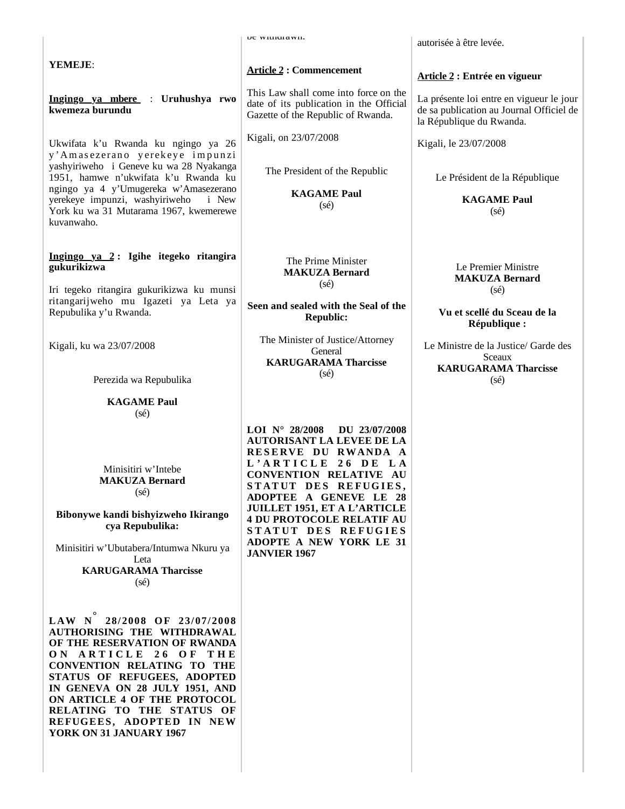|                                                                                                                                                                                                                                                                                                                                                | UC WILHULAWII.                                                                                                                                                                                                                                                                                                                                                   | autorisée à être levée.                                                                                          |
|------------------------------------------------------------------------------------------------------------------------------------------------------------------------------------------------------------------------------------------------------------------------------------------------------------------------------------------------|------------------------------------------------------------------------------------------------------------------------------------------------------------------------------------------------------------------------------------------------------------------------------------------------------------------------------------------------------------------|------------------------------------------------------------------------------------------------------------------|
| YEMEJE:                                                                                                                                                                                                                                                                                                                                        | <b>Article 2: Commencement</b>                                                                                                                                                                                                                                                                                                                                   | Article 2 : Entrée en vigueur                                                                                    |
| Ingingo ya mbere : Uruhushya rwo<br>kwemeza burundu                                                                                                                                                                                                                                                                                            | This Law shall come into force on the<br>date of its publication in the Official<br>Gazette of the Republic of Rwanda.                                                                                                                                                                                                                                           | La présente loi entre en vigueur le jour<br>de sa publication au Journal Officiel de<br>la République du Rwanda. |
| Ukwifata k'u Rwanda ku ngingo ya 26<br>y'Amasezerano yerekeye impunzi                                                                                                                                                                                                                                                                          | Kigali, on 23/07/2008                                                                                                                                                                                                                                                                                                                                            | Kigali, le 23/07/2008                                                                                            |
| yashyiriweho i Geneve ku wa 28 Nyakanga<br>1951, hamwe n'ukwifata k'u Rwanda ku<br>ngingo ya 4 y'Umugereka w'Amasezerano                                                                                                                                                                                                                       | The President of the Republic                                                                                                                                                                                                                                                                                                                                    | Le Président de la République                                                                                    |
| yerekeye impunzi, washyiriweho<br><i>i</i> New<br>York ku wa 31 Mutarama 1967, kwemerewe<br>kuvanwaho.                                                                                                                                                                                                                                         | <b>KAGAME Paul</b><br>$(s\acute{e})$                                                                                                                                                                                                                                                                                                                             | <b>KAGAME Paul</b><br>$(s\acute{e})$                                                                             |
| Ingingo ya 2: Igihe itegeko ritangira<br>gukurikizwa                                                                                                                                                                                                                                                                                           | The Prime Minister<br><b>MAKUZA Bernard</b><br>$(s\acute{e})$                                                                                                                                                                                                                                                                                                    | Le Premier Ministre<br><b>MAKUZA Bernard</b>                                                                     |
| Iri tegeko ritangira gukurikizwa ku munsi<br>ritangarijweho mu Igazeti ya Leta ya<br>Repubulika y'u Rwanda.                                                                                                                                                                                                                                    | Seen and sealed with the Seal of the<br><b>Republic:</b>                                                                                                                                                                                                                                                                                                         | $(s\acute{e})$<br>Vu et scellé du Sceau de la<br>République :                                                    |
| Kigali, ku wa 23/07/2008                                                                                                                                                                                                                                                                                                                       | The Minister of Justice/Attorney<br>General<br><b>KARUGARAMA Tharcisse</b>                                                                                                                                                                                                                                                                                       | Le Ministre de la Justice/ Garde des<br>Sceaux<br><b>KARUGARAMA Tharcisse</b>                                    |
| Perezida wa Repubulika                                                                                                                                                                                                                                                                                                                         | $(s\acute{e})$                                                                                                                                                                                                                                                                                                                                                   | $(s\acute{e})$                                                                                                   |
| <b>KAGAME Paul</b><br>$(s\acute{e})$                                                                                                                                                                                                                                                                                                           |                                                                                                                                                                                                                                                                                                                                                                  |                                                                                                                  |
| Minisitiri w'Intebe<br><b>MAKUZA Bernard</b><br>$(s\acute{e})$<br>Bibonywe kandi bishyizweho Ikirango<br>cya Repubulika:<br>Minisitiri w'Ubutabera/Intumwa Nkuru ya<br>Leta<br><b>KARUGARAMA Tharcisse</b><br>$(s\acute{e})$                                                                                                                   | LOI $N^{\circ}$ 28/2008<br>DU 23/07/2008<br><b>AUTORISANT LA LEVEE DE LA</b><br>RESERVE DU RWANDA A<br>L'ARTICLE 26 DE LA<br><b>CONVENTION RELATIVE AU</b><br>STATUT DES REFUGIES,<br>ADOPTEE A GENEVE LE 28<br><b>JUILLET 1951, ET A L'ARTICLE</b><br><b>4 DU PROTOCOLE RELATIF AU</b><br>STATUT DES REFUGIES<br>ADOPTE A NEW YORK LE 31<br><b>JANVIER 1967</b> |                                                                                                                  |
| 28/2008 OF 23/07/2008<br>LAW N<br><b>AUTHORISING THE WITHDRAWAL</b><br>OF THE RESERVATION OF RWANDA<br>ON ARTICLE 26 OF THE<br>CONVENTION RELATING TO THE<br>STATUS OF REFUGEES, ADOPTED<br>IN GENEVA ON 28 JULY 1951, AND<br>ON ARTICLE 4 OF THE PROTOCOL<br>RELATING TO THE STATUS OF<br>REFUGEES, ADOPTED IN NEW<br>YORK ON 31 JANUARY 1967 |                                                                                                                                                                                                                                                                                                                                                                  |                                                                                                                  |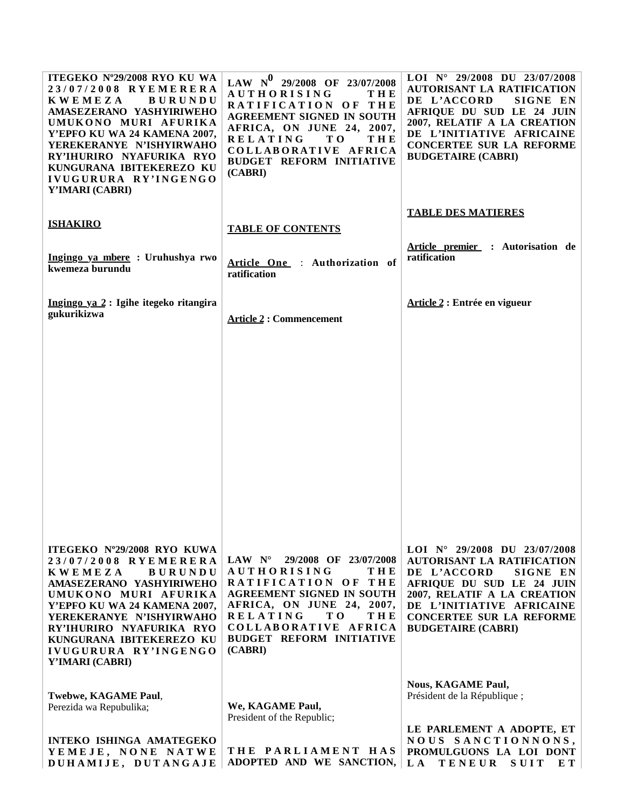| ITEGEKO Nº29/2008 RYO KU WA<br>23/07/2008 RYEMERERA<br><b>KWEMEZA</b><br><b>BURUNDU</b><br>AMASEZERANO YASHYIRIWEHO<br>UMUKONO MURI AFURIKA<br>Y'EPFO KU WA 24 KAMENA 2007,<br>YEREKERANYE N'ISHYIRWAHO<br>RY'IHURIRO NYAFURIKA RYO<br>KUNGURANA IBITEKEREZO KU<br>IVUGURURA RY'INGENGO<br>Y'IMARI (CABRI) | LAW $N^0$ 29/2008 OF 23/07/2008<br><b>AUTHORISING</b><br><b>THE</b><br>RATIFICATION OF THE<br><b>AGREEMENT SIGNED IN SOUTH</b><br>AFRICA, ON JUNE 24, 2007,<br><b>RELATING</b><br>T O<br><b>THE</b><br>COLLABORATIVE AFRICA<br><b>BUDGET REFORM INITIATIVE</b><br>(CABRI) | LOI N° 29/2008 DU 23/07/2008<br><b>AUTORISANT LA RATIFICATION</b><br>DE L'ACCORD<br>SIGNE EN<br>AFRIQUE DU SUD LE 24 JUIN<br>2007, RELATIF A LA CREATION<br>DE L'INITIATIVE AFRICAINE<br>CONCERTEE SUR LA REFORME<br><b>BUDGETAIRE (CABRI)</b>                        |
|------------------------------------------------------------------------------------------------------------------------------------------------------------------------------------------------------------------------------------------------------------------------------------------------------------|---------------------------------------------------------------------------------------------------------------------------------------------------------------------------------------------------------------------------------------------------------------------------|-----------------------------------------------------------------------------------------------------------------------------------------------------------------------------------------------------------------------------------------------------------------------|
|                                                                                                                                                                                                                                                                                                            |                                                                                                                                                                                                                                                                           | <b>TABLE DES MATIERES</b>                                                                                                                                                                                                                                             |
| <b>ISHAKIRO</b>                                                                                                                                                                                                                                                                                            | <b>TABLE OF CONTENTS</b>                                                                                                                                                                                                                                                  |                                                                                                                                                                                                                                                                       |
| Ingingo ya mbere : Uruhushya rwo<br>kwemeza burundu                                                                                                                                                                                                                                                        | Article One : Authorization of<br>ratification                                                                                                                                                                                                                            | Article premier : Autorisation de<br>ratification                                                                                                                                                                                                                     |
| Ingingo ya 2 : Igihe itegeko ritangira<br>gukurikizwa                                                                                                                                                                                                                                                      | <b>Article 2: Commencement</b>                                                                                                                                                                                                                                            | Article 2 : Entrée en vigueur                                                                                                                                                                                                                                         |
|                                                                                                                                                                                                                                                                                                            |                                                                                                                                                                                                                                                                           |                                                                                                                                                                                                                                                                       |
|                                                                                                                                                                                                                                                                                                            |                                                                                                                                                                                                                                                                           |                                                                                                                                                                                                                                                                       |
|                                                                                                                                                                                                                                                                                                            |                                                                                                                                                                                                                                                                           |                                                                                                                                                                                                                                                                       |
|                                                                                                                                                                                                                                                                                                            |                                                                                                                                                                                                                                                                           |                                                                                                                                                                                                                                                                       |
|                                                                                                                                                                                                                                                                                                            |                                                                                                                                                                                                                                                                           |                                                                                                                                                                                                                                                                       |
| ITEGEKO Nº29/2008 RYO KUWA<br>23/07/2008 RYEMERERA<br><b>KWEMEZA</b><br><b>BURUNDU</b><br>AMASEZERANO YASHYIRIWEHO<br>UMUKONO MURI AFURIKA<br>Y'EPFO KU WA 24 KAMENA 2007,<br>YEREKERANYE N'ISHYIRWAHO<br>RY'IHURIRO NYAFURIKA RYO<br>KUNGURANA IBITEKEREZO KU<br>IVUGURURA RY'INGENGO<br>Y'IMARI (CABRI)  | LAW $N^\circ$<br>29/2008 OF 23/07/2008<br><b>AUTHORISING</b><br><b>THE</b><br>RATIFICATION OF THE<br><b>AGREEMENT SIGNED IN SOUTH</b><br>AFRICA, ON JUNE 24, 2007,<br><b>RELATING</b><br>T O<br>THE<br>COLLABORATIVE AFRICA<br><b>BUDGET REFORM INITIATIVE</b><br>(CABRI) | LOI $N^{\circ}$ 29/2008 DU 23/07/2008<br><b>AUTORISANT LA RATIFICATION</b><br>DE L'ACCORD<br>SIGNE EN<br><b>AFRIQUE DU SUD LE 24 JUIN</b><br>2007, RELATIF A LA CREATION<br>DE L'INITIATIVE AFRICAINE<br><b>CONCERTEE SUR LA REFORME</b><br><b>BUDGETAIRE (CABRI)</b> |
| Twebwe, KAGAME Paul,<br>Perezida wa Repubulika;                                                                                                                                                                                                                                                            | We, KAGAME Paul,<br>President of the Republic;                                                                                                                                                                                                                            | <b>Nous, KAGAME Paul,</b><br>Président de la République;                                                                                                                                                                                                              |
| <b>INTEKO ISHINGA AMATEGEKO</b><br>YEMEJE, NONE NATWE<br>DUHAMIJE, DUTANGAJE                                                                                                                                                                                                                               | THE PARLIAMENT HAS<br>ADOPTED AND WE SANCTION,                                                                                                                                                                                                                            | LE PARLEMENT A ADOPTE, ET<br>NOUS SANCTIONNONS,<br>PROMULGUONS LA LOI DONT<br>L A<br><b>TENEUR</b><br>SUIT<br>E T                                                                                                                                                     |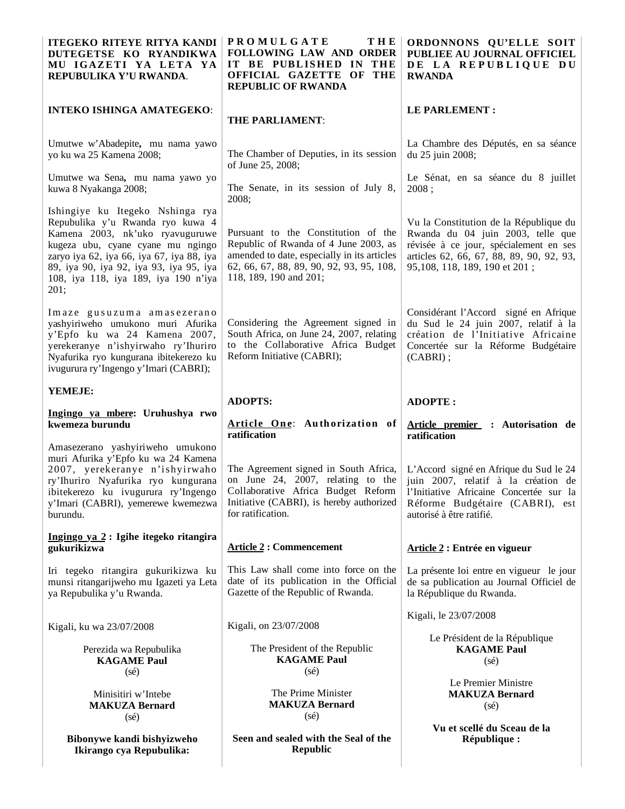| <b>ITEGEKO RITEYE RITYA KANDI</b><br>DUTEGETSE KO RYANDIKWA<br>MU IGAZETI YA LETA YA<br>REPUBULIKA Y'U RWANDA.                                                                                                                                                                       | <b>PROMULGATE</b><br>THE<br><b>FOLLOWING LAW AND ORDER</b><br>IT BE PUBLISHED IN THE<br>OFFICIAL GAZETTE OF<br>THE<br><b>REPUBLIC OF RWANDA</b>                                                   | ORDONNONS QU'ELLE SOIT<br>PUBLIEE AU JOURNAL OFFICIEL<br>DE LA REPUBLIQUE DU<br><b>RWANDA</b>                                                                                                      |
|--------------------------------------------------------------------------------------------------------------------------------------------------------------------------------------------------------------------------------------------------------------------------------------|---------------------------------------------------------------------------------------------------------------------------------------------------------------------------------------------------|----------------------------------------------------------------------------------------------------------------------------------------------------------------------------------------------------|
| <b>INTEKO ISHINGA AMATEGEKO:</b>                                                                                                                                                                                                                                                     | <b>THE PARLIAMENT:</b>                                                                                                                                                                            | LE PARLEMENT :                                                                                                                                                                                     |
| Umutwe w'Abadepite, mu nama yawo<br>yo ku wa 25 Kamena 2008;                                                                                                                                                                                                                         | The Chamber of Deputies, in its session<br>of June 25, 2008;                                                                                                                                      | La Chambre des Députés, en sa séance<br>du 25 juin 2008;                                                                                                                                           |
| Umutwe wa Sena, mu nama yawo yo<br>kuwa 8 Nyakanga 2008;                                                                                                                                                                                                                             | The Senate, in its session of July 8,<br>2008;                                                                                                                                                    | Le Sénat, en sa séance du 8 juillet<br>2008:                                                                                                                                                       |
| Ishingiye ku Itegeko Nshinga rya<br>Repubulika y'u Rwanda ryo kuwa 4<br>Kamena 2003, nk'uko ryavuguruwe<br>kugeza ubu, cyane cyane mu ngingo<br>zaryo iya 62, iya 66, iya 67, iya 88, iya<br>89, iya 90, iya 92, iya 93, iya 95, iya<br>108, iya 118, iya 189, iya 190 n'iya<br>201; | Pursuant to the Constitution of the<br>Republic of Rwanda of 4 June 2003, as<br>amended to date, especially in its articles<br>62, 66, 67, 88, 89, 90, 92, 93, 95, 108,<br>118, 189, 190 and 201; | Vu la Constitution de la République du<br>Rwanda du 04 juin 2003, telle que<br>révisée à ce jour, spécialement en ses<br>articles 62, 66, 67, 88, 89, 90, 92, 93,<br>95,108, 118, 189, 190 et 201; |
| Imaze gusuzuma amasezerano<br>yashyiriweho umukono muri Afurika<br>y'Epfo ku wa 24 Kamena 2007,<br>yerekeranye n'ishyirwaho ry'Ihuriro<br>Nyafurika ryo kungurana ibitekerezo ku<br>ivugurura ry'Ingengo y'Imari (CABRI);                                                            | Considering the Agreement signed in<br>South Africa, on June 24, 2007, relating<br>to the Collaborative Africa Budget<br>Reform Initiative (CABRI);                                               | Considérant l'Accord signé en Afrique<br>du Sud le 24 juin 2007, relatif à la<br>création de l'Initiative Africaine<br>Concertée sur la Réforme Budgétaire<br>$(CABRI)$ ;                          |
| YEMEJE:                                                                                                                                                                                                                                                                              | <b>ADOPTS:</b>                                                                                                                                                                                    | <b>ADOPTE:</b>                                                                                                                                                                                     |
| Ingingo ya mbere: Uruhushya rwo<br>kwemeza burundu                                                                                                                                                                                                                                   | Article One: Authorization of<br>ratification                                                                                                                                                     | Article premier : Autorisation de<br>ratification                                                                                                                                                  |
| Amasezerano yashyiriweho umukono<br>muri Afurika y'Epfo ku wa 24 Kamena<br>2007, yerekeranye n'ishyirwaho<br>ry'Ihuriro Nyafurika ryo kungurana<br>ibitekerezo ku ivugurura ry'Ingengo<br>y'Imari (CABRI), yemerewe kwemezwa<br>burundu.                                             | The Agreement signed in South Africa,<br>on June 24, 2007, relating to the<br>Collaborative Africa Budget Reform<br>Initiative (CABRI), is hereby authorized<br>for ratification.                 | L'Accord signé en Afrique du Sud le 24<br>juin 2007, relatif à la création de<br>l'Initiative Africaine Concertée sur la<br>Réforme Budgétaire (CABRI), est<br>autorisé à être ratifié.            |
| Ingingo ya 2 : Igihe itegeko ritangira<br>gukurikizwa                                                                                                                                                                                                                                | <b>Article 2: Commencement</b>                                                                                                                                                                    | Article 2 : Entrée en vigueur                                                                                                                                                                      |
| Iri tegeko ritangira gukurikizwa ku<br>munsi ritangarijweho mu Igazeti ya Leta<br>ya Repubulika y'u Rwanda.                                                                                                                                                                          | This Law shall come into force on the<br>date of its publication in the Official<br>Gazette of the Republic of Rwanda.                                                                            | La présente loi entre en vigueur le jour<br>de sa publication au Journal Officiel de<br>la République du Rwanda.                                                                                   |
| Kigali, ku wa 23/07/2008                                                                                                                                                                                                                                                             | Kigali, on 23/07/2008                                                                                                                                                                             | Kigali, le 23/07/2008                                                                                                                                                                              |
| Perezida wa Repubulika<br><b>KAGAME Paul</b><br>$(s\acute{e})$                                                                                                                                                                                                                       | The President of the Republic<br><b>KAGAME Paul</b><br>$(s\acute{e})$                                                                                                                             | Le Président de la République<br><b>KAGAME Paul</b><br>$(s\acute{e})$                                                                                                                              |
| Minisitiri w'Intebe<br><b>MAKUZA Bernard</b><br>$(s\acute{e})$                                                                                                                                                                                                                       | The Prime Minister<br><b>MAKUZA Bernard</b><br>$(s\acute{e})$                                                                                                                                     | Le Premier Ministre<br><b>MAKUZA Bernard</b><br>$(s\acute{e})$                                                                                                                                     |
| Bibonywe kandi bishyizweho<br>Ikirango cya Repubulika:                                                                                                                                                                                                                               | Seen and sealed with the Seal of the<br><b>Republic</b>                                                                                                                                           | Vu et scellé du Sceau de la<br>République :                                                                                                                                                        |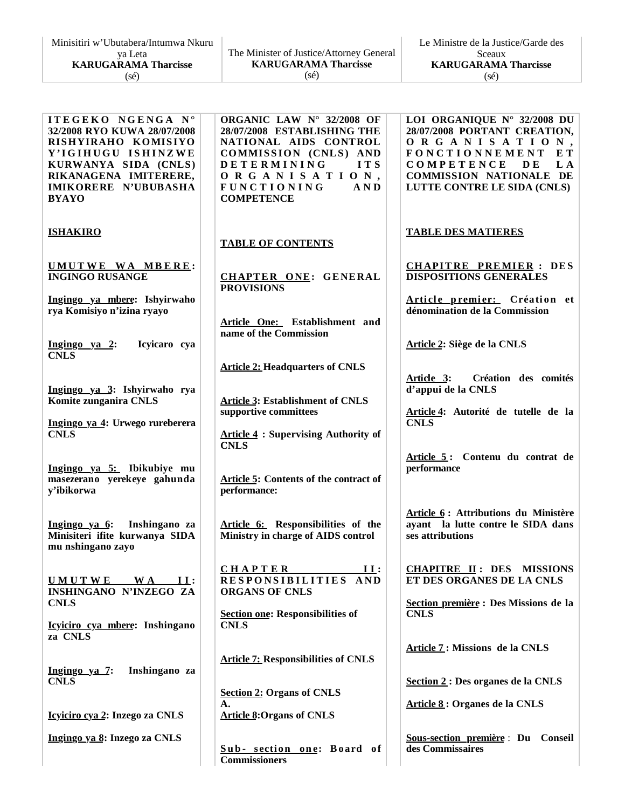| Minisitiri w'Ubutabera/Intumwa Nkuru |  |  |
|--------------------------------------|--|--|
| ya Leta                              |  |  |
| <b>KARUGARAMA Tharcisse</b>          |  |  |
| $(s\acute{e})$                       |  |  |

| The Minister of Justice/Attorney General |
|------------------------------------------|
| <b>KARUGARAMA Tharcisse</b>              |
| $(s\acute{e})$                           |

**I T E G E K O N G E N G A N ° 32/2008 RYO KUWA 28/07/2008 RISHYIRAHO KOMISIYO Y ' I G I H U G U I S H I N Z W E KURWANYA SIDA (CNLS) RIKANAGENA IMITERERE, IMIKORERE N'UBUBASHA BYAYO ISHAKIRO U MU T W E W A MB E R E : INGINGO RUSANGE Ingingo ya mbere: Ishyirwaho rya Komisiyo n'izina ryayo Ingingo ya 2: Icyicaro cya CNLS Ingingo ya 3: Ishyirwaho rya Komite zunganira CNLS Ingingo ya 4: Urwego rureberera CNLS Ingingo ya 5: Ibikubiye mu masezerano yerekeye gahunda y'ibikorwa Ingingo ya 6: Inshingano za Minisiteri ifite kurwanya SIDA mu nshingano zayo U M U T W E W A I I : INSHINGANO N'INZEGO ZA CNLS Icyiciro cya mbere: Inshingano za CNLS Ingingo ya 7: Inshingano za CNLS Icyiciro cya 2: Inzego za CNLS Ingingo ya 8: Inzego za CNLS ORGANIC LAW N° 32/2008 OF 28/07/2008 ESTABLISHING THE NATIONAL AIDS CONTROL COMMISSION** (CNLS) AND **D E T E R M I N I N G I T S O R G A N I S A T I O N , F U N C T I O N I N G A N D COMPETENCE TABLE OF CONTENTS CHAPTER ONE: GENERAL PROVISIONS Article One: Establishment and name of the Commission Article 2: Headquarters of CNLS Article 3: Establishment of CNLS supportive committees Article 4 : Supervising Authority of CNLS Article 5: Contents of the contract of performance: Article 6: Responsibilities of the Ministry in charge of AIDS control C H A P T E R I I : RESPONSIBILITIES AND ORGANS OF CNLS Section one: Responsibilities of CNLS Article 7: Responsibilities of CNLS Section 2: Organs of CNLS A. Article 8:Organs of CNLS S u b - s ecti on on e: B oard of Commissioners LOI ORGANIQUE N° 32/2008 DU 28/07/2008 PORTANT CREATION, O R G A N I S A T I O N , F O N C T I O N N E M E N T E T C O M P E T E N C E D E L A COMMISSION NATIONALE DE LUTTE CONTRE LE SIDA (CNLS) TABLE DES MATIERES CHAPITRE PREMIER : DES DISPOSITIONS GENERALES Article premier:** Création et **dénomination de la Commission Article 2: Siège de la CNLS Article 3: Création des comités d'appui de la CNLS Article 4: Autorité de tutelle de la CNLS Article 5 : Contenu du contrat de performance Article 6 : Attributions du Ministère ayant la lutte contre le SIDA dans ses attributions CHAPITRE II : DES MISSIONS ET DES ORGANES DE LA CNLS Section première : Des Missions de la CNLS Article 7 : Missions de la CNLS Section 2 : Des organes de la CNLS Article 8 : Organes de la CNLS Sous-section première** : **Du Conseil des Commissaires**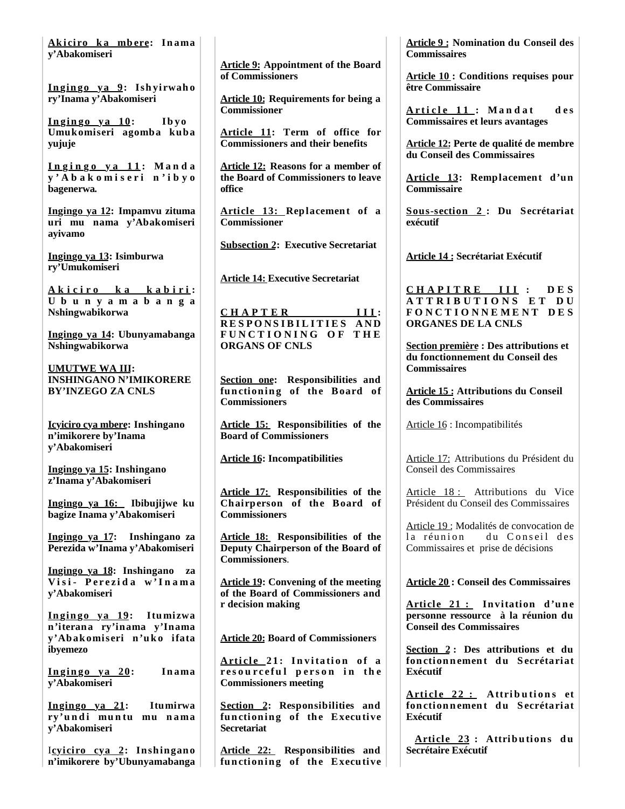**Ak i ci ro k a mb ere: In ama y'Abakomiseri**

**In gin go ya 9: Ish yirwah o ry'Inama y'Abakomiseri**

 $\frac{\ln \text{ging} \cdot \text{ya}}{\ln \text{go}}$  **l Umukomiseri agomba kuba yujuje**

**I n g i n g o y a 1 1 : M a n d a y ' A b a k o m i s e r i n ' i b y o bagenerwa***.*

**Ingingo ya 12: Impamvu zituma uri mu nama y'Abakomiseri ayivamo**

**Ingingo ya 13: Isimburwa ry'Umukomiseri**

**A k i c i r o k a k a b i r i : U b u n y a m a b a n g a Nshingwabikorwa**

**Ingingo ya 14: Ubunyamabanga Nshingwabikorwa**

**UMUTWE WA III: INSHINGANO N'IMIKORERE BY'INZEGO ZA CNLS**

**Icyiciro cya mbere: Inshingano n'imikorere by'Inama y'Abakomiseri**

**Ingingo ya 15: Inshingano z'Inama y'Abakomiseri**

**Ingingo ya 16: Ibibujijwe ku bagize Inama y'Abakomiseri** 

**Ingingo ya 17: Inshingano za Perezida w'Inama y'Abakomiseri**

**Ingingo ya 18: Inshingano za V i s i - P e r e z i d a w ' I n a m a y'Abakomiseri**

**In gin go ya 19: Itumizwa n'iterana ry'inama y'Inama y'Abakomiseri n'uko ifata ibyemezo**

**In gin go ya 20: In ama y'Abakomiseri**

**Ingingo ya 21: Itumirwa**  ry'undi muntu mu nama **y'Abakomiseri**

Icyiciro cya 2: Inshingano **n'imikorere by'Ubunyamabanga**

**Article 9: Appointment of the Board of Commissioners**

**Article 10: Requirements for being a Commissioner**

**Article 11: Term of office for Commissioners and their benefits**

**Article 12: Reasons for a member of the Board of Commissioners to leave office**

**Article 13: Replacement of a Commissioner** 

**Subsection 2: Executive Secretariat**

**Article 14: Executive Secretariat**

**C H A P T E R I I I : R E S P O N S I B I L I T I E S A N D F U N C T I O N I N G O F T H E ORGANS OF CNLS**

**Section one: Responsibilities and**  functioning of the Board of **Commissioners**

**Article 15: Responsibilities of the Board of Commissioners**

**Article 16: Incompatibilities**

**Article 17: Responsibilities of the Chairperson of the Board of Commissioners**

**Article 18: Responsibilities of the Deputy Chairperson of the Board of Commissioners**.

**Article 19: Convening of the meeting of the Board of Commissioners and r decision making**

**Article 20: Board of Commissioners**

**Arti cl e 2 1 : I n v i ta ti o n o f a**  resourceful person in the **Commissioners meeting**

**Section 2: Responsibilities and functioning** of the Executive **Secretariat**

**Article 22: Responsibilities and functioning of the Executive** **Article 9 : Nomination du Conseil des Commissaires**

**Article 10 : Conditions requises pour être Commissaire**

**A r t i c l e 1 1 : M a n d a t d e s Commissaires et leurs avantages** 

**Article 12: Perte de qualité de membre du Conseil des Commissaires**

**Article 13: Remplacement d'un Commissaire**

**Sous-section 2 : Du Secrétariat exécutif** 

**Article 14 : Secrétariat Exécutif**

**C H A P I T R E I I I : D E S A T T R I B U T I O N S E T D U F O N C T I O N N E M E N T D E S ORGANES DE LA CNLS**

**Section première : Des attributions et du fonctionnement du Conseil des Commissaires**

**Article 15 : Attributions du Conseil des Commissaires**

Article 16 : Incompatibilités

Article 17: Attributions du Président du Conseil des Commissaires

Article 18 : Attributions du Vice Président du Conseil des Commissaires

Article 19 : Modalités de convocation de la réunion du Conseil des Commissaires et prise de décisions

**Article 20 : Conseil des Commissaires**

Article 21 : Invitation d'une **personne ressource à la réunion du Conseil des Commissaires**

**Section 2 : Des attributions et du fon ction n emen t d u S ecrétariat Exécutif**

**Arti cl e 2 2 : Attri b u ti o n s et fon ction n emen t d u S ecrétariat Exécutif**

**Arti cl e 23 : Attrib u tion s d u Secrétaire Exécutif**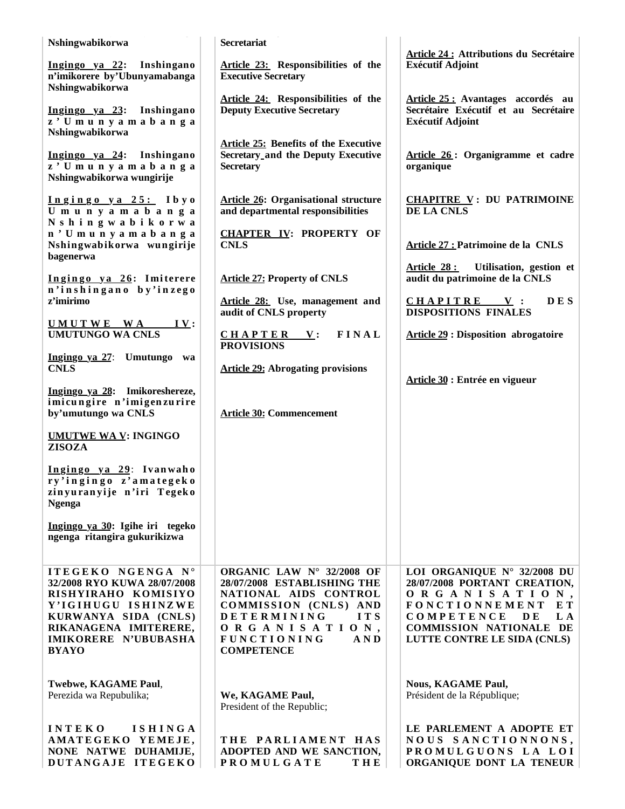| Nshingwabikorwa                                      | <b>Secretariat</b>                                                               |                                                                           |
|------------------------------------------------------|----------------------------------------------------------------------------------|---------------------------------------------------------------------------|
| Ingingo ya 22: Inshingano                            | Article 23: Responsibilities of the                                              | <b>Article 24 : Attributions du Secrétaire</b><br><b>Exécutif Adjoint</b> |
| n'imikorere by'Ubunyamabanga<br>Nshingwabikorwa      | <b>Executive Secretary</b>                                                       |                                                                           |
| Ingingo ya 23: Inshingano                            | Article 24: Responsibilities of the<br><b>Deputy Executive Secretary</b>         | Article 25: Avantages accordés au<br>Secrétaire Exécutif et au Secrétaire |
| z' Umunyamabanga<br>Nshingwabikorwa                  |                                                                                  | <b>Exécutif Adjoint</b>                                                   |
|                                                      | <b>Article 25: Benefits of the Executive</b>                                     |                                                                           |
| Ingingo ya 24: Inshingano<br>z' Umunyamabanga        | <b>Secretary_and the Deputy Executive</b><br><b>Secretary</b>                    | Article 26: Organigramme et cadre<br>organique                            |
| Nshingwabikorwa wungirije                            |                                                                                  |                                                                           |
| Ingingo ya 25: Ibyo<br>Umunyamabanga                 | <b>Article 26: Organisational structure</b><br>and departmental responsibilities | <b>CHAPITRE V: DU PATRIMOINE</b><br>DE LA CNLS                            |
| Nshingwabikorwa<br>n'Umunyamabanga                   | <b>CHAPTER IV: PROPERTY OF</b>                                                   |                                                                           |
| Nshingwabikorwa wungirije<br>bagenerwa               | <b>CNLS</b>                                                                      | Article 27 : Patrimoine de la CNLS                                        |
| Ingingo ya 26: Imiterere<br>n'inshingano by'inzego   | <b>Article 27: Property of CNLS</b>                                              | Article 28: Utilisation, gestion et<br>audit du patrimoine de la CNLS     |
| z'imirimo                                            | Article 28: Use, management and<br>audit of CNLS property                        | <b>DES</b><br>CHAPITRE V:<br><b>DISPOSITIONS FINALES</b>                  |
| UMUTWE WA<br><u>IV</u> :<br><b>UMUTUNGO WA CNLS</b>  | <b>FINAL</b><br>$CHAPTER$ V:                                                     | <b>Article 29 : Disposition abrogatoire</b>                               |
| Ingingo ya 27: Umutungo wa                           | <b>PROVISIONS</b>                                                                |                                                                           |
| <b>CNLS</b>                                          | <b>Article 29: Abrogating provisions</b>                                         |                                                                           |
| Ingingo ya 28: Imikoreshereze,                       |                                                                                  | Article 30 : Entrée en vigueur                                            |
| imicungire n'imigenzurire<br>by'umutungo wa CNLS     | <b>Article 30: Commencement</b>                                                  |                                                                           |
| <b>UMUTWE WA V: INGINGO</b><br><b>ZISOZA</b>         |                                                                                  |                                                                           |
| Ingingo ya 29: Ivanwaho<br>ry'ingingo z'amategeko    |                                                                                  |                                                                           |
| zinyuranyije n'iri Tegeko<br><b>Ngenga</b>           |                                                                                  |                                                                           |
| Ingingo ya 30: Igihe iri tegeko                      |                                                                                  |                                                                           |
| ngenga ritangira gukurikizwa                         |                                                                                  |                                                                           |
| ITEGEKO NGENGA N°                                    | ORGANIC LAW Nº 32/2008 OF                                                        | LOI ORGANIQUE Nº 32/2008 DU                                               |
| 32/2008 RYO KUWA 28/07/2008<br>RISHYIRAHO KOMISIYO   | 28/07/2008 ESTABLISHING THE<br>NATIONAL AIDS CONTROL                             | 28/07/2008 PORTANT CREATION,<br>ORGANISATION,                             |
| Y'IGIHUGU ISHINZWE<br>KURWANYA SIDA (CNLS)           | COMMISSION (CNLS) AND<br>DETERMINING<br>ITS                                      | <b>FONCTIONNEMENT</b><br>EТ<br>COMPETENCE<br>L A<br>D E                   |
| RIKANAGENA IMITERERE,<br><b>IMIKORERE N'UBUBASHA</b> | ORGANISATION,<br><b>FUNCTIONING</b><br>A N D                                     | <b>COMMISSION NATIONALE DE</b><br>LUTTE CONTRE LE SIDA (CNLS)             |
| <b>BYAYO</b>                                         | <b>COMPETENCE</b>                                                                |                                                                           |
| Twebwe, KAGAME Paul,                                 |                                                                                  | <b>Nous, KAGAME Paul,</b>                                                 |
| Perezida wa Repubulika;                              | We, KAGAME Paul,<br>President of the Republic;                                   | Président de la République;                                               |
| <b>INTEKO</b><br><b>ISHINGA</b>                      |                                                                                  | LE PARLEMENT A ADOPTE ET                                                  |
| AMATEGEKO YEMEJE,<br>NONE NATWE DUHAMIJE,            | THE PARLIAMENT HAS<br>ADOPTED AND WE SANCTION,                                   | NOUS SANCTIONNONS,<br>PROMULGUONS LA LOI                                  |
| DUTANGAJE ITEGEKO                                    | <b>THE</b><br><b>PROMULGATE</b>                                                  | ORGANIQUE DONT LA TENEUR                                                  |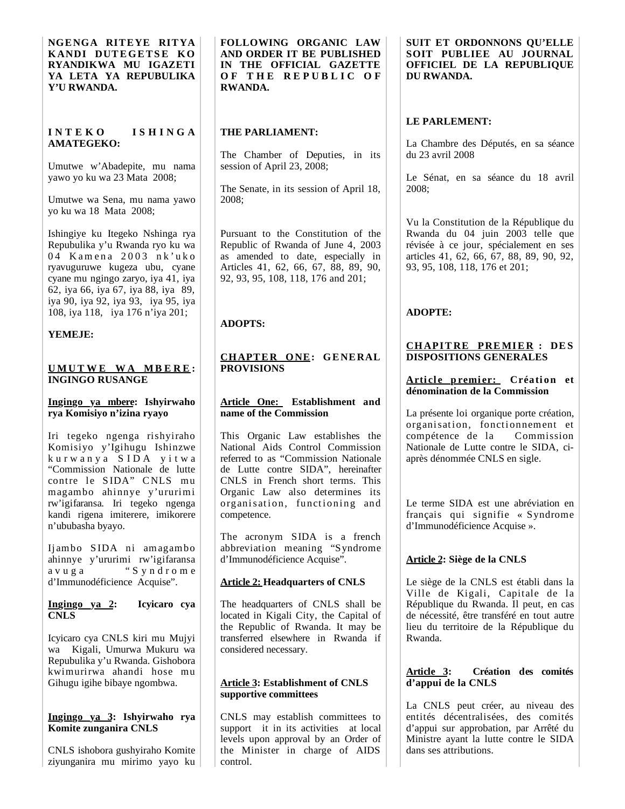**NGENGA RITEYE RITYA KANDI DUTEGETSE KO RYANDIKWA MU IGAZETI YA LETA YA REPUBULIKA Y'U RWANDA.**

### **I N T E K O I S H I N G A AMATEGEKO:**

Umutwe w'Abadepite, mu nama yawo yo ku wa 23 Mata 2008;

Umutwe wa Sena, mu nama yawo yo ku wa 18 Mata 2008;

Ishingiye ku Itegeko Nshinga rya Repubulika y'u Rwanda ryo ku wa 04 Kamena 2003 nk'uko ryavuguruwe kugeza ubu, cyane cyane mu ngingo zaryo, iya 41, iya 62, iya 66, iya 67, iya 88, iya 89, iya 90, iya 92, iya 93, iya 95, iya 108, iya 118, iya 176 n'iya 201;

# **YEMEJE:**

#### **U MU T W E W A MB E R E : INGINGO RUSANGE**

#### **Ingingo ya mbere: Ishyirwaho rya Komisiyo n'izina ryayo**

Iri tegeko ngenga rishyiraho Komisiyo y'Igihugu Ishinzwe k u r w a n y a S I D A y i t w a "Commission Nationale de lutte contre le SIDA" CNLS mu magambo ahinnye y'ururimi rw'igifaransa. Iri tegeko ngenga kandi rigena imiterere, imikorere n'ububasha byayo.

Ijambo S IDA ni amagambo ahinnye y'ururimi rw'igifaransa a v u g a  $\cdot$  S y n d r o m e d'Immunodéficience Acquise".

#### **Ingingo ya 2: Icyicaro cya CNLS**

Icyicaro cya CNLS kiri mu Mujyi wa Kigali, Umurwa Mukuru wa Repubulika y'u Rwanda. Gishobora kwimurirwa ahandi hose mu Gihugu igihe bibaye ngombwa.

### **Ingingo ya 3: Ishyirwaho rya Komite zunganira CNLS**

CNLS ishobora gushyiraho Komite ziyunganira mu mirimo yayo ku **FOLLOWING ORGANIC LAW AND ORDER IT BE PUBLISHED IN THE OFFICIAL GAZETTE OF THE REPUBLIC OF RWANDA.**

# **THE PARLIAMENT:**

The Chamber of Deputies, in its session of April 23, 2008;

The Senate, in its session of April 18, 2008;

Pursuant to the Constitution of the Republic of Rwanda of June 4, 2003 as amended to date, especially in Articles 41, 62, 66, 67, 88, 89, 90, 92, 93, 95, 108, 118, 176 and 201;

# **ADOPTS:**

#### **CHAPTER ONE: GENERAL PROVISIONS**

#### **Article One: Establishment and name of the Commission**

This Organic Law establishes the National Aids Control Commission referred to as "Commission Nationale de Lutte contre SIDA", hereinafter CNLS in French short terms. This Organic Law also determines its organisation, functioning and competence.

The acronym SIDA is a french abbreviation meaning "Syndrome d'Immunodéficience Acquise".

### **Article 2: Headquarters of CNLS**

The headquarters of CNLS shall be located in Kigali City, the Capital of the Republic of Rwanda. It may be transferred elsewhere in Rwanda if considered necessary.

### **Article 3: Establishment of CNLS supportive committees**

CNLS may establish committees to support it in its activities at local levels upon approval by an Order of the Minister in charge of AIDS control.

**SUIT ET ORDONNONS QU'ELLE SOIT PUBLIEE AU JOURNAL OFFICIEL DE LA REPUBLIQUE DU RWANDA.**

# **LE PARLEMENT:**

La Chambre des Députés, en sa séance du 23 avril 2008

Le Sénat, en sa séance du 18 avril 2008;

Vu la Constitution de la République du Rwanda du 04 juin 2003 telle que révisée à ce jour, spécialement en ses articles 41, 62, 66, 67, 88, 89, 90, 92, 93, 95, 108, 118, 176 et 201;

# **ADOPTE:**

#### **CHAPITRE PREMIER : DES DISPOSITIONS GENERALES**

#### **Article premier:** Création et **dénomination de la Commission**

La présente loi organique porte création, organisation, fonctionnement et compétence de la Commission Nationale de Lutte contre le SIDA, ciaprès dénommée CNLS en sigle.

Le terme SIDA est une abréviation en français qui signifie « Syndrome d'Immunodéficience Acquise ».

# **Article 2: Siège de la CNLS**

Le siège de la CNLS est établi dans la Ville de Kigali, Capitale de la République du Rwanda. Il peut, en cas de nécessité, être transféré en tout autre lieu du territoire de la République du Rwanda.

# **Article 3: Création des comités d'appui de la CNLS**

La CNLS peut créer, au niveau des entités décentralisées, des comités d'appui sur approbation, par Arrêté du Ministre ayant la lutte contre le SIDA dans ses attributions.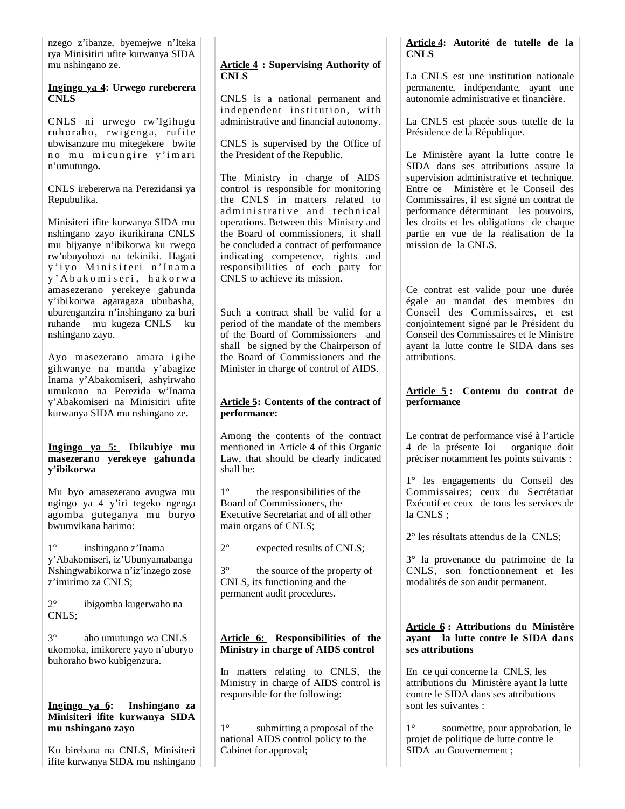nzego z'ibanze, byemejwe n'Iteka rya Minisitiri ufite kurwanya SIDA mu nshingano ze.

#### **Ingingo ya 4: Urwego rureberera CNLS**

CNLS ni urwego rw'Igihugu ruhoraho, rwigenga, rufite ubwisanzure mu mitegekere bwite no mu micungire y'imari n'umutungo**.**

CNLS irebererwa na Perezidansi ya Repubulika.

Minisiteri ifite kurwanya SIDA mu nshingano zayo ikurikirana CNLS mu bijyanye n'ibikorwa ku rwego rw'ubuyobozi na tekiniki. Hagati y'iyo Minisiteri n'Inama y ' A b a k o m i s e r i , h a k o r w a amasezerano yerekeye gahunda y'ibikorwa agaragaza ububasha, uburenganzira n'inshingano za buri ruhande mu kugeza CNLS ku nshingano zayo.

Ayo masezerano amara igihe gihwanye na manda y'abagize Inama y'Abakomiseri, ashyirwaho umukono na Perezida w'Inama y'Abakomiseri na Minisitiri ufite kurwanya SIDA mu nshingano ze**.**

### **Ingingo ya 5: Ibikubiye mu masezerano yerekeye gahunda y'ibikorwa**

Mu byo amasezerano avugwa mu ngingo ya 4 y'iri tegeko ngenga agomba guteganya mu buryo bwumvikana harimo:

1° inshingano z'Inama y'Abakomiseri, iz'Ubunyamabanga Nshingwabikorwa n'iz'inzego zose z'imirimo za CNLS;

2° ibigomba kugerwaho na CNLS;

3° aho umutungo wa CNLS ukomoka, imikorere yayo n'uburyo buhoraho bwo kubigenzura.

### **Ingingo ya 6: Inshingano za Minisiteri ifite kurwanya SIDA mu nshingano zayo**

Ku birebana na CNLS, Minisiteri ifite kurwanya SIDA mu nshingano

# **Article 4 : Supervising Authority of CNLS**

CNLS is a national permanent and independent institution, with administrative and financial autonomy.

CNLS is supervised by the Office of the President of the Republic.

The Ministry in charge of AIDS control is responsible for monitoring the CNLS in matters related to ad ministrative and technical operations. Between this Ministry and the Board of commissioners, it shall be concluded a contract of performance indicating competence, rights and responsibilities of each party for CNLS to achieve its mission.

Such a contract shall be valid for a period of the mandate of the members of the Board of Commissioners and shall be signed by the Chairperson of the Board of Commissioners and the Minister in charge of control of AIDS.

# **Article 5: Contents of the contract of performance:**

Among the contents of the contract mentioned in Article 4 of this Organic Law, that should be clearly indicated shall be:

1° the responsibilities of the Board of Commissioners, the Executive Secretariat and of all other main organs of CNLS;

2° expected results of CNLS;

3° the source of the property of CNLS, its functioning and the permanent audit procedures.

# **Article 6: Responsibilities of the Ministry in charge of AIDS control**

In matters relating to CNLS, the Ministry in charge of AIDS control is responsible for the following:

1° submitting a proposal of the national AIDS control policy to the Cabinet for approval;

# **Article 4: Autorité de tutelle de la CNLS**

La CNLS est une institution nationale permanente, indépendante, ayant une autonomie administrative et financière.

La CNLS est placée sous tutelle de la Présidence de la République.

Le Ministère ayant la lutte contre le SIDA dans ses attributions assure la supervision administrative et technique. Entre ce Ministère et le Conseil des Commissaires, il est signé un contrat de performance déterminant les pouvoirs, les droits et les obligations de chaque partie en vue de la réalisation de la mission de la CNLS.

Ce contrat est valide pour une durée égale au mandat des membres du Conseil des Commissaires, et est conjointement signé par le Président du Conseil des Commissaires et le Ministre ayant la lutte contre le SIDA dans ses attributions.

# **Article 5 : Contenu du contrat de performance**

Le contrat de performance visé à l'article 4 de la présente loi organique doit préciser notamment les points suivants :

1° les engagements du Conseil des Commissaires; ceux du Secrétariat Exécutif et ceux de tous les services de la CNLS ;

2° les résultats attendus de la CNLS;

3° la provenance du patrimoine de la CNLS, son fonctionnement et les modalités de son audit permanent.

### **Article 6 : Attributions du Ministère ayant la lutte contre le SIDA dans ses attributions**

En ce qui concerne la CNLS, les attributions du Ministère ayant la lutte contre le SIDA dans ses attributions sont les suivantes :

1° soumettre, pour approbation, le projet de politique de lutte contre le SIDA au Gouvernement ;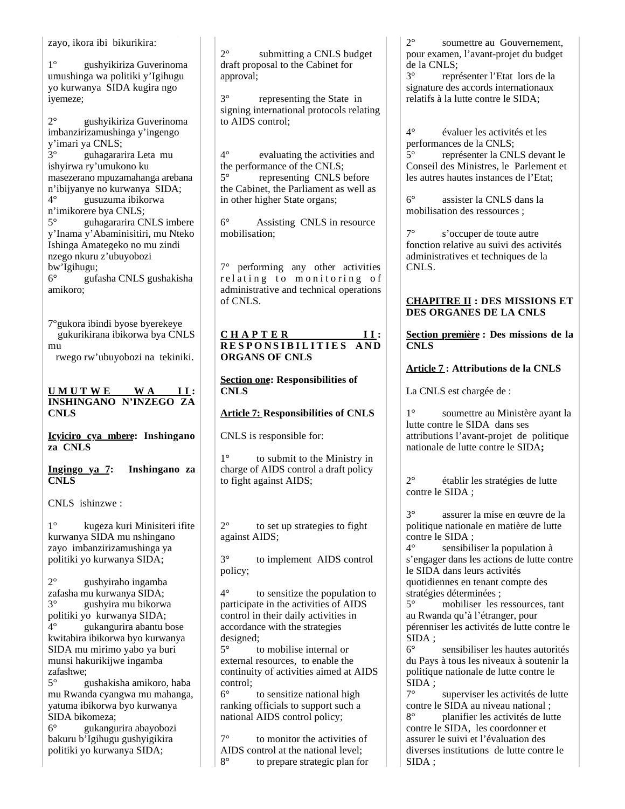zayo, ikora ibi bikurikira:

1° gushyikiriza Guverinoma umushinga wa politiki y'Igihugu yo kurwanya SIDA kugira ngo iyemeze;

2° gushyikiriza Guverinoma imbanzirizamushinga y'ingengo y'imari ya CNLS;

3° guhagararira Leta mu ishyirwa ry'umukono ku masezerano mpuzamahanga arebana n'ibijyanye no kurwanya SIDA; 4° gusuzuma ibikorwa n'imikorere bya CNLS; 5° guhagararira CNLS imbere y'Inama y'Abaminisitiri, mu Nteko Ishinga Amategeko no mu zindi nzego nkuru z'ubuyobozi

bw'Igihugu; 6° gufasha CNLS gushakisha amikoro;

7°gukora ibindi byose byerekeye gukurikirana ibikorwa bya CNLS mu

rwego rw'ubuyobozi na tekiniki.

**U M U T W E W A I I : INSHINGANO N'INZEGO ZA CNLS** 

**Icyiciro cya mbere: Inshingano za CNLS**

**Ingingo ya 7: Inshingano za CNLS**

CNLS ishinzwe :

1° kugeza kuri Minisiteri ifite kurwanya SIDA mu nshingano zayo imbanzirizamushinga ya politiki yo kurwanya SIDA;

2° gushyiraho ingamba zafasha mu kurwanya SIDA; 3° gushyira mu bikorwa politiki yo kurwanya SIDA; 4° gukangurira abantu bose kwitabira ibikorwa byo kurwanya SIDA mu mirimo yabo ya buri munsi hakurikijwe ingamba zafashwe;

5° gushakisha amikoro, haba mu Rwanda cyangwa mu mahanga, yatuma ibikorwa byo kurwanya SIDA bikomeza;

6° gukangurira abayobozi bakuru b'Igihugu gushyigikira politiki yo kurwanya SIDA;

2° submitting a CNLS budget draft proposal to the Cabinet for approval;

3° representing the State in signing international protocols relating to AIDS control;

4° evaluating the activities and the performance of the CNLS; 5° representing CNLS before the Cabinet, the Parliament as well as in other higher State organs;

6° Assisting CNLS in resource mobilisation;

7° performing any other activities relating to monitoring of administrative and technical operations of CNLS.

### **C H A P T E R I I : RESPONSIBILITIES AND ORGANS OF CNLS**

#### **Section one: Responsibilities of CNLS**

### **Article 7: Responsibilities of CNLS**

CNLS is responsible for:

1° to submit to the Ministry in charge of AIDS control a draft policy to fight against AIDS;

2° to set up strategies to fight against AIDS;

3° to implement AIDS control policy;

4° to sensitize the population to participate in the activities of AIDS control in their daily activities in accordance with the strategies designed;

5° to mobilise internal or external resources, to enable the continuity of activities aimed at AIDS control;

6° to sensitize national high ranking officials to support such a national AIDS control policy;

7° to monitor the activities of AIDS control at the national level; 8° to prepare strategic plan for 2° soumettre au Gouvernement, pour examen, l'avant-projet du budget de la CNLS;

3° représenter l'Etat lors de la signature des accords internationaux relatifs à la lutte contre le SIDA;

4° évaluer les activités et les performances de la CNLS; 5° représenter la CNLS devant le Conseil des Ministres, le Parlement et les autres hautes instances de l'Etat;

6° assister la CNLS dans la mobilisation des ressources ;

7° s'occuper de toute autre fonction relative au suivi des activités administratives et techniques de la CNLS.

# **CHAPITRE II : DES MISSIONS ET DES ORGANES DE LA CNLS**

**Section première : Des missions de la CNLS**

# **Article 7 : Attributions de la CNLS**

La CNLS est chargée de :

1° soumettre au Ministère ayant la lutte contre le SIDA dans ses attributions l'avant-projet de politique nationale de lutte contre le SIDA**;**

2° établir les stratégies de lutte contre le SIDA ;

3° assurer la mise en œuvre de la politique nationale en matière de lutte contre le SIDA ;

4° sensibiliser la population à s'engager dans les actions de lutte contre le SIDA dans leurs activités quotidiennes en tenant compte des stratégies déterminées ;

5° mobiliser les ressources, tant au Rwanda qu'à l'étranger, pour pérenniser les activités de lutte contre le SIDA ;

6° sensibiliser les hautes autorités du Pays à tous les niveaux à soutenir la politique nationale de lutte contre le SIDA ;

7° superviser les activités de lutte contre le SIDA au niveau national ;<br>8<sup>°</sup> planifier les activités de lut 8° planifier les activités de lutte contre le SIDA, les coordonner et assurer le suivi et l'évaluation des diverses institutions de lutte contre le SIDA ;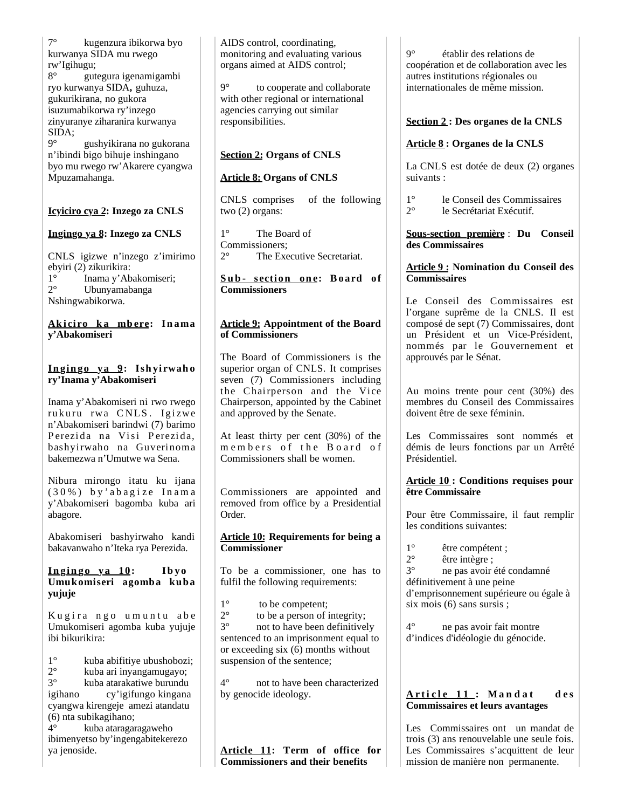7° kugenzura ibikorwa byo kurwanya SIDA mu rwego rw'Igihugu; 8° gutegura igenamigambi ryo kurwanya SIDA**,** guhuza, gukurikirana, no gukora isuzumabikorwa ry'inzego zinyuranye ziharanira kurwanya SIDA; 9° gushyikirana no gukorana n'ibindi bigo bihuje inshingano

byo mu rwego rw'Akarere cyangwa Mpuzamahanga.

# **Icyiciro cya 2: Inzego za CNLS**

# **Ingingo ya 8: Inzego za CNLS**

CNLS igizwe n'inzego z'imirimo ebyiri (2) zikurikira:  $1^\circ$  Inama y'Abakomiseri;<br>  $2^\circ$  Ibunyamabanga 2° Ubunyamabanga Nshingwabikorwa.

#### **Ak i ci ro k a mb ere: In ama y'Abakomiseri**

# **In gin go ya 9: Ish yirwah o ry'Inama y'Abakomiseri**

Inama y'Abakomiseri ni rwo rwego rukuru rwa CNLS. Igizwe n'Abakomiseri barindwi (7) barimo Perezida na Visi Perezida, bashyirwaho na Guverinoma bakemezwa n'Umutwe wa Sena.

Nibura mirongo itatu ku ijana ( 3 0 % ) b y ' a b a g i z e I n a m a y'Abakomiseri bagomba kuba ari abagore.

Abakomiseri bashyirwaho kandi bakavanwaho n'Iteka rya Perezida.

### $\frac{\ln \sin \cos \theta}{\sin \theta}$   $\frac{\ln \tan \theta}{\tan \theta}$   $\frac{\ln \tan \theta}{\tan \theta}$ **Umukomiseri agomba kuba yujuje**

Kugira ngo umuntu abe Umukomiseri agomba kuba yujuje ibi bikurikira:

1° kuba abifitiye ubushobozi;<br>2° kuba ari invangamugayo: 2° kuba ari inyangamugayo; 3° kuba atarakatiwe burundu igihano cy'igifungo kingana cyangwa kirengeje amezi atandatu (6) nta subikagihano;

4° kuba ataragaragaweho ibimenyetso by'ingengabitekerezo ya jenoside.

AIDS control, coordinating, monitoring and evaluating various organs aimed at AIDS control;

9° to cooperate and collaborate with other regional or international agencies carrying out similar responsibilities.

# **Section 2: Organs of CNLS**

# **Article 8: Organs of CNLS**

CNLS comprises of the following two (2) organs:

1° The Board of Commissioners; 2° The Executive Secretariat.

### **S u b - s ecti on on e: B oard of Commissioners**

### **Article 9: Appointment of the Board of Commissioners**

The Board of Commissioners is the superior organ of CNLS. It comprises seven (7) Commissioners including the Chairperson and the Vice Chairperson, appointed by the Cabinet and approved by the Senate.

At least thirty per cent (30%) of the m e m b e r s of the Board of Commissioners shall be women.

Commissioners are appointed and removed from office by a Presidential Order.

**Article 10: Requirements for being a Commissioner**

To be a commissioner, one has to fulfil the following requirements:

 $1^\circ$  to be competent;<br> $2^\circ$  to be a person of i

 $2^{\circ}$  to be a person of integrity;<br> $3^{\circ}$  not to have been definitivel not to have been definitively sentenced to an imprisonment equal to or exceeding six  $(6)$  months without suspension of the sentence;

4° not to have been characterized by genocide ideology.

**Article 11: Term of office for Commissioners and their benefits**

9° établir des relations de coopération et de collaboration avec les autres institutions régionales ou internationales de même mission.

# **Section 2 : Des organes de la CNLS**

# **Article 8 : Organes de la CNLS**

La CNLS est dotée de deux (2) organes suivants :

1° le Conseil des Commissaires 2° le Secrétariat Exécutif.

### **Sous-section première** : **Du Conseil des Commissaires**

# **Article 9 : Nomination du Conseil des Commissaires**

Le Conseil des Commissaires est l'organe suprême de la CNLS. Il est composé de sept (7) Commissaires, dont un Président et un Vice-Président, nommés par le Gouvernement et approuvés par le Sénat.

Au moins trente pour cent (30%) des membres du Conseil des Commissaires doivent être de sexe féminin.

Les Commissaires sont nommés et démis de leurs fonctions par un Arrêté Présidentiel.

# **Article 10 : Conditions requises pour être Commissaire**

Pour être Commissaire, il faut remplir les conditions suivantes:

- $1^{\circ}$  être compétent ;<br>  $2^{\circ}$  être intègre :
- 

 $2^{\circ}$  être intègre ;<br> $3^{\circ}$  ne pas avoir e 3° ne pas avoir été condamné définitivement à une peine d'emprisonnement supérieure ou égale à six mois (6) sans sursis ;

4° ne pas avoir fait montre d'indices d'idéologie du génocide.

# **A r t i c l e 1 1 : M a n d a t d e s Commissaires et leurs avantages**

Les Commissaires ont un mandat de trois (3) ans renouvelable une seule fois. Les Commissaires s'acquittent de leur mission de manière non permanente.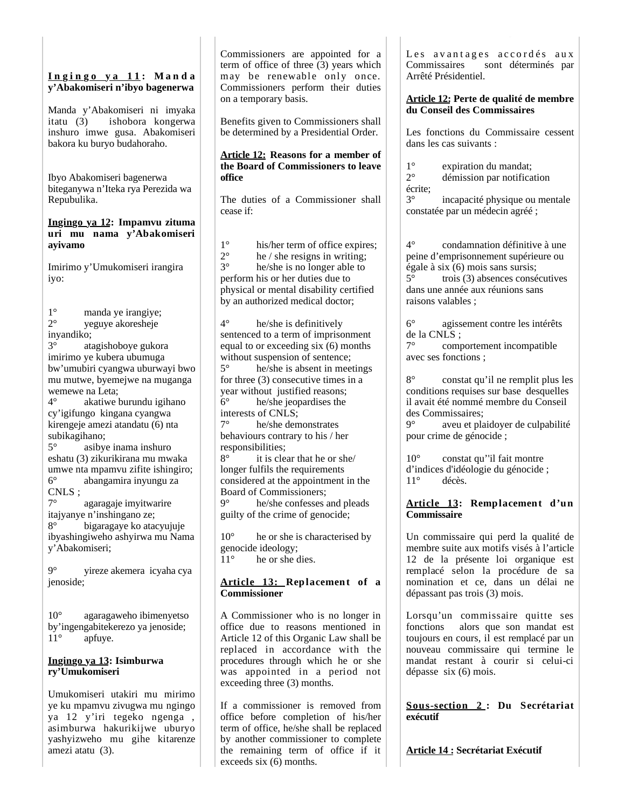### **I n g i n g o y a 1 1 : M a n d a y'Abakomiseri n'ibyo bagenerwa**

Manda y'Abakomiseri ni imyaka itatu (3) ishobora kongerwa inshuro imwe gusa. Abakomiseri bakora ku buryo budahoraho.

Ibyo Abakomiseri bagenerwa biteganywa n'Iteka rya Perezida wa Repubulika.

#### **Ingingo ya 12: Impamvu zituma uri mu nama y'Abakomiseri ayivamo**

Imirimo y'Umukomiseri irangira iyo:

 $1^\circ$  manda ye irangiye;<br> $2^\circ$  veguve akoresheie 2° yeguye akoresheje inyandiko; 3° atagishoboye gukora imirimo ye kubera ubumuga bw'umubiri cyangwa uburwayi bwo mu mutwe, byemejwe na muganga wemewe na Leta; 4° akatiwe burundu igihano cy'igifungo kingana cyangwa kirengeje amezi atandatu (6) nta subikagihano; 5° asibye inama inshuro eshatu (3) zikurikirana mu mwaka umwe nta mpamvu zifite ishingiro; 6° abangamira inyungu za CNLS ;<br> $7^{\circ}$ 

agaragaje imyitwarire itajyanye n'inshingano ze; 8° bigaragaye ko atacyujuje ibyashingiweho ashyirwa mu Nama y'Abakomiseri;

9° yireze akemera icyaha cya jenoside;

10° agaragaweho ibimenyetso by'ingengabitekerezo ya jenoside;<br>11° anfuve. apfuye.

#### **Ingingo ya 13: Isimburwa ry'Umukomiseri**

Umukomiseri utakiri mu mirimo ye ku mpamvu zivugwa mu ngingo ya 12 y'iri tegeko ngenga , asimburwa hakurikijwe uburyo yashyizweho mu gihe kitarenze amezi atatu (3).

Commissioners are appointed for a term of office of three (3) years which may be renewable only once. Commissioners perform their duties on a temporary basis.

Benefits given to Commissioners shall be determined by a Presidential Order.

#### **Article 12: Reasons for a member of the Board of Commissioners to leave office**

The duties of a Commissioner shall cease if:

1° his/her term of office expires;<br>2° he / she resigns in writing;  $2^{\circ}$  he / she resigns in writing;<br> $3^{\circ}$  he/she is no longer able to he/she is no longer able to perform his or her duties due to physical or mental disability certified by an authorized medical doctor;

4° he/she is definitively sentenced to a term of imprisonment equal to or exceeding six (6) months without suspension of sentence; 5° he/she is absent in meetings for three (3) consecutive times in a year without justified reasons; 6° he/she jeopardises the interests of CNLS; 7° he/she demonstrates

behaviours contrary to his / her responsibilities;

8° it is clear that he or she/ longer fulfils the requirements considered at the appointment in the Board of Commissioners;<br> $9^{\circ}$  he/she confesses a he/she confesses and pleads

guilty of the crime of genocide;

10<sup>°</sup> he or she is characterised by genocide ideology; 11° he or she dies.

# **Article 13: Replacement of a Commissioner**

A Commissioner who is no longer in office due to reasons mentioned in Article 12 of this Organic Law shall be replaced in accordance with the procedures through which he or she was appointed in a period not exceeding three (3) months.

If a commissioner is removed from office before completion of his/her term of office, he/she shall be replaced by another commissioner to complete the remaining term of office if it exceeds six (6) months.

Les avantages accordés aux Commissaires sont déterminés par Arrêté Présidentiel.

#### **Article 12: Perte de qualité de membre du Conseil des Commissaires**

Les fonctions du Commissaire cessent dans les cas suivants :

 $1^\circ$  expiration du mandat;<br> $2^\circ$  démission par notifica

démission par notification écrite;

3° incapacité physique ou mentale constatée par un médecin agréé ;

4° condamnation définitive à une peine d'emprisonnement supérieure ou égale à six (6) mois sans sursis; 5° trois (3) absences consécutives dans une année aux réunions sans raisons valables ;

6° agissement contre les intérêts de la CNLS ;

7° comportement incompatible avec ses fonctions ;

8° constat qu'il ne remplit plus les conditions requises sur base desquelles il avait été nommé membre du Conseil des Commissaires;

9° aveu et plaidoyer de culpabilité pour crime de génocide ;

10° constat qu''il fait montre d'indices d'idéologie du génocide ; 11° décès.

# **Article 13: Remplacement d'un Commissaire**

Un commissaire qui perd la qualité de membre suite aux motifs visés à l'article 12 de la présente loi organique est remplacé selon la procédure de sa nomination et ce, dans un délai ne dépassant pas trois (3) mois.

Lorsqu'un commissaire quitte ses fonctions alors que son mandat est toujours en cours, il est remplacé par un nouveau commissaire qui termine le mandat restant à courir si celui-ci dépasse six (6) mois.

**Sous-section 2 : Du Secrétariat exécutif** 

**Article 14 : Secrétariat Exécutif**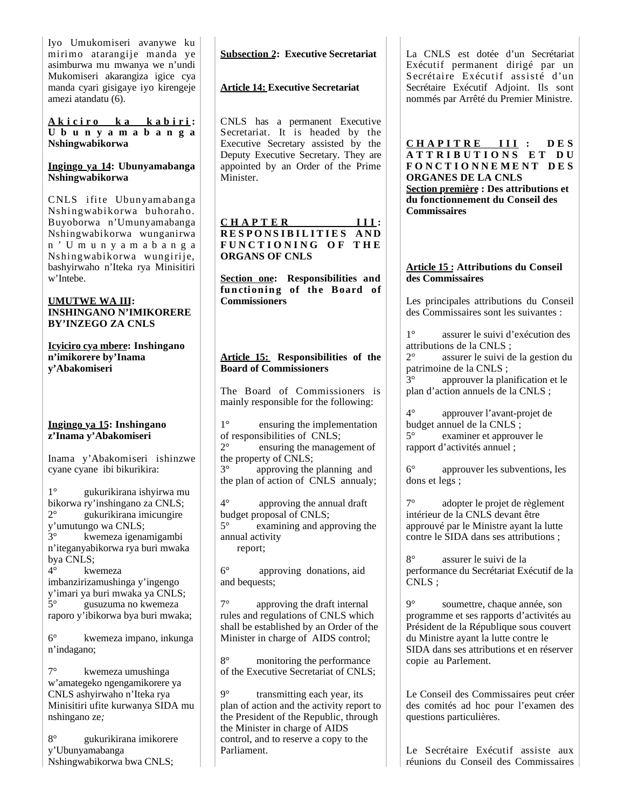Iyo Umukomiseri avanywe ku mirimo atarangije manda ye asimburwa mu mwanya we n'undi Mukomiseri akarangiza igice cya manda cyari gisigaye iyo kirengeje amezi atandatu (6).

**A k i c i r o k a k a b i r i : U b u n y a m a b a n g a Nshingwabikorwa**

#### **Ingingo ya 14: Ubunyamabanga Nshingwabikorwa**

C NLS ifite Ubunyamabanga Nshingwabikorwa buhoraho. Buyoborwa n'Umunyamabanga Nshingwabikorwa wunganirwa n ' U m u n y a m a b a n g a Nshingwabikorwa wungirije, bashyirwaho n'Iteka rya Minisitiri w'Intebe.

#### **UMUTWE WA III: INSHINGANO N'IMIKORERE BY'INZEGO ZA CNLS**

**Icyiciro cya mbere: Inshingano n'imikorere by'Inama y'Abakomiseri**

#### **Ingingo ya 15: Inshingano z'Inama y'Abakomiseri**

Inama y'Abakomiseri ishinzwe cyane cyane ibi bikurikira:

1° gukurikirana ishyirwa mu bikorwa ry'inshingano za CNLS; 2° gukurikirana imicungire y'umutungo wa CNLS; 3° kwemeza igenamigambi n'iteganyabikorwa rya buri mwaka bya CNLS;<br> $4^\circ$  kw

kwemeza imbanzirizamushinga y'ingengo y'imari ya buri mwaka ya CNLS; 5° gusuzuma no kwemeza raporo y'ibikorwa bya buri mwaka;

6° kwemeza impano, inkunga n'indagano;

7° kwemeza umushinga w'amategeko ngengamikorere ya CNLS ashyirwaho n'Iteka rya Minisitiri ufite kurwanya SIDA mu nshingano ze*;*

8° gukurikirana imikorere y'Ubunyamabanga Nshingwabikorwa bwa CNLS;

# **Subsection 2: Executive Secretariat**

# **Article 14: Executive Secretariat**

CNLS has a permanent Executive Secretariat. It is headed by the Executive Secretary assisted by the Deputy Executive Secretary. They are appointed by an Order of the Prime Minister.

### **C H A P T E R I I I : R E S P O N S I B I L I T I E S A N D F U N C T I O N I N G O F T H E ORGANS OF CNLS**

**Section one: Responsibilities and**  functioning of the Board of **Commissioners**

# **Article 15: Responsibilities of the Board of Commissioners**

The Board of Commissioners is mainly responsible for the following:

1° ensuring the implementation of responsibilities of CNLS;<br> $2^{\circ}$  ensuring the manage ensuring the management of the property of CNLS; 3° approving the planning and the plan of action of CNLS annualy;

4° approving the annual draft budget proposal of CNLS; 5° examining and approving the annual activity report;

6° approving donations, aid and bequests;

7° approving the draft internal rules and regulations of CNLS which shall be established by an Order of the Minister in charge of AIDS control;

8° monitoring the performance of the Executive Secretariat of CNLS;

9° transmitting each year, its plan of action and the activity report to the President of the Republic, through the Minister in charge of AIDS control, and to reserve a copy to the Parliament.

La CNLS est dotée d'un Secrétariat Exécutif permanent dirigé par un S ecrétaire Exécutif assisté d'un Secrétaire Exécutif Adjoint. Ils sont nommés par Arrêté du Premier Ministre.

**C H A P I T R E I I I : D E S A T T R I B U T I O N S E T D U F O N C T I O N N E M E N T D E S ORGANES DE LA CNLS Section première : Des attributions et du fonctionnement du Conseil des Commissaires**

#### **Article 15 : Attributions du Conseil des Commissaires**

Les principales attributions du Conseil des Commissaires sont les suivantes :

1° assurer le suivi d'exécution des attributions de la CNLS ;

2° assurer le suivi de la gestion du patrimoine de la CNLS ;

3° approuver la planification et le plan d'action annuels de la CNLS ;

4° approuver l'avant-projet de budget annuel de la CNLS ;<br>5° examiner et approuv 5° examiner et approuver le rapport d'activités annuel ;

6° approuver les subventions, les dons et legs ;

7° adopter le projet de règlement intérieur de la CNLS devant être approuvé par le Ministre ayant la lutte contre le SIDA dans ses attributions ;

8° assurer le suivi de la performance du Secrétariat Exécutif de la CNLS ;

9° soumettre, chaque année, son programme et ses rapports d'activités au Président de la République sous couvert du Ministre ayant la lutte contre le SIDA dans ses attributions et en réserver copie au Parlement.

Le Conseil des Commissaires peut créer des comités ad hoc pour l'examen des questions particulières.

Le Secrétaire Exécutif assiste aux réunions du Conseil des Commissaires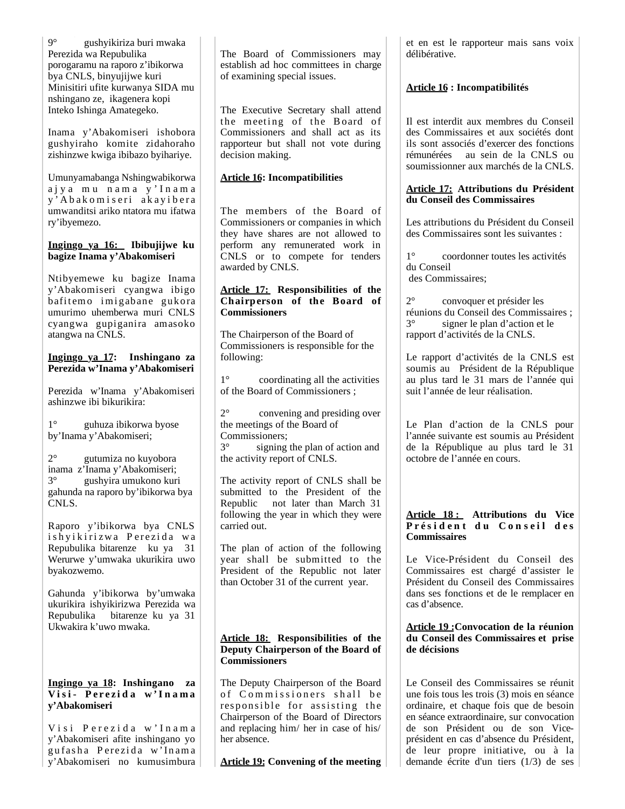9° gushyikiriza buri mwaka Perezida wa Repubulika porogaramu na raporo z'ibikorwa bya CNLS, binyujijwe kuri Minisitiri ufite kurwanya SIDA mu nshingano ze, ikagenera kopi Inteko Ishinga Amategeko.

Inama y'Abakomiseri ishobora gushyiraho komite zidahoraho zishinzwe kwiga ibibazo byihariye.

Umunyamabanga Nshingwabikorwa a j y a m u n a m a y ' I n a m a y'Abakomiseri akayibera umwanditsi ariko ntatora mu ifatwa ry'ibyemezo.

#### **Ingingo ya 16: Ibibujijwe ku bagize Inama y'Abakomiseri**

Ntibyemewe ku bagize Inama y'Abakomiseri cyangwa ibigo bafitemo imigabane gukora umurimo uhemberwa muri CNLS cyangwa gupiganira amasoko atangwa na CNLS.

#### **Ingingo ya 17: Inshingano za Perezida w'Inama y'Abakomiseri**

Perezida w'Inama y'Abakomiseri ashinzwe ibi bikurikira:

1° guhuza ibikorwa byose by'Inama y'Abakomiseri;

2° gutumiza no kuyobora inama z'Inama y'Abakomiseri; 3° gushyira umukono kuri gahunda na raporo by'ibikorwa bya CNLS.

Raporo y'ibikorwa bya CNLS ishyikirizwa Perezida wa Repubulika bitarenze ku ya 31 Werurwe y'umwaka ukurikira uwo byakozwemo.

Gahunda y'ibikorwa by'umwaka ukurikira ishyikirizwa Perezida wa Repubulika bitarenze ku ya 31 Ukwakira k'uwo mwaka.

#### **Ingingo ya 18: Inshingano za V i s i - P e r e z i d a w ' I n a m a y'Abakomiseri**

Visi Perezida w'Inama y'Abakomiseri afite inshingano yo gufasha Perezida w'Inama y'Abakomiseri no kumusimbura

The Board of Commissioners may establish ad hoc committees in charge of examining special issues.

The Executive Secretary shall attend the meeting of the Board of Commissioners and shall act as its rapporteur but shall not vote during decision making.

# **Article 16: Incompatibilities**

The members of the Board of Commissioners or companies in which they have shares are not allowed to perform any remunerated work in CNLS or to compete for tenders awarded by CNLS.

### **Article 17: Responsibilities of the Chairperson of the Board of Commissioners**

The Chairperson of the Board of Commissioners is responsible for the following:

1° coordinating all the activities of the Board of Commissioners ;

2° convening and presiding over the meetings of the Board of Commissioners;

3° signing the plan of action and the activity report of CNLS.

The activity report of CNLS shall be submitted to the President of the Republic not later than March 31 following the year in which they were carried out.

The plan of action of the following year shall be submitted to the President of the Republic not later than October 31 of the current year.

### **Article 18: Responsibilities of the Deputy Chairperson of the Board of Commissioners**

The Deputy Chairperson of the Board of Commissioners shall be responsible for assisting the Chairperson of the Board of Directors and replacing him/ her in case of his/ her absence.

**Article 19: Convening of the meeting** 

et en est le rapporteur mais sans voix délibérative.

# **Article 16 : Incompatibilités**

Il est interdit aux membres du Conseil des Commissaires et aux sociétés dont ils sont associés d'exercer des fonctions rémunérées au sein de la CNLS ou soumissionner aux marchés de la CNLS.

### **Article 17: Attributions du Président du Conseil des Commissaires**

Les attributions du Président du Conseil des Commissaires sont les suivantes :

1° coordonner toutes les activités du Conseil des Commissaires;

2° convoquer et présider les réunions du Conseil des Commissaires ; 3° signer le plan d'action et le rapport d'activités de la CNLS.

Le rapport d'activités de la CNLS est soumis au Président de la République au plus tard le 31 mars de l'année qui suit l'année de leur réalisation.

Le Plan d'action de la CNLS pour l'année suivante est soumis au Président de la République au plus tard le 31 octobre de l'année en cours.

### **Article 18 : Attributions du Vice**  Président du Conseil des **Commissaires**

Le Vice-Président du Conseil des Commissaires est chargé d'assister le Président du Conseil des Commissaires dans ses fonctions et de le remplacer en cas d'absence.

#### **Article 19 :Convocation de la réunion du Conseil des Commissaires et prise de décisions**

Le Conseil des Commissaires se réunit une fois tous les trois (3) mois en séance ordinaire, et chaque fois que de besoin en séance extraordinaire, sur convocation de son Président ou de son Viceprésident en cas d'absence du Président, de leur propre initiative, ou à la demande écrite d'un tiers (1/3) de ses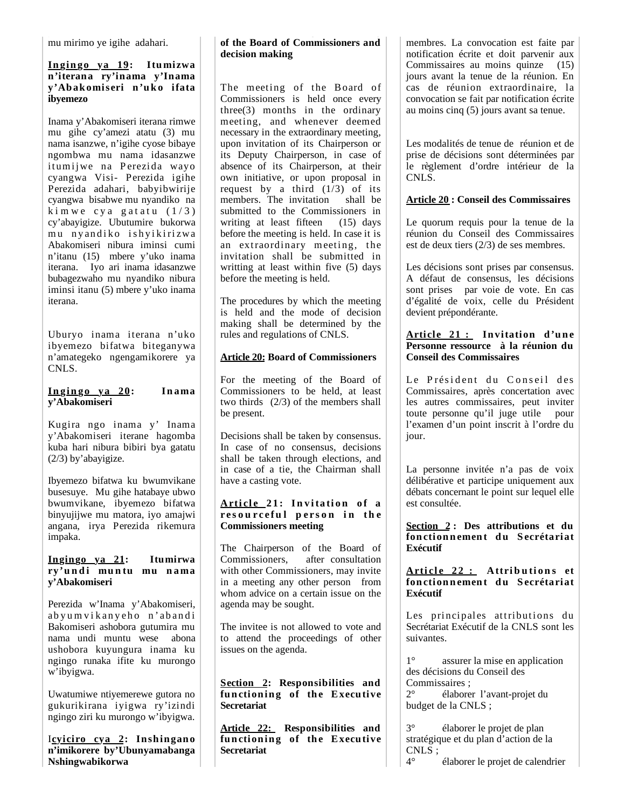mu mirimo ye igihe adahari.

#### **In gin go ya 19: Itumizwa n'iterana ry'inama y'Inama y'Abakomiseri n'uko ifata ibyemezo**

Inama y'Abakomiseri iterana rimwe mu gihe cy'amezi atatu (3) mu nama isanzwe, n'igihe cyose bibaye ngombwa mu nama idasanzwe itumijwe na Perezida wayo cyangwa Visi- Perezida igihe Perezida adahari, babyibwirije cyangwa bisabwe mu nyandiko na kim we cya gatatu  $(1/3)$ cy'abayigize. Ubutumire bukorwa mu nyandiko ishyikirizwa Abakomiseri nibura iminsi cumi n'itanu (15) mbere y'uko inama iterana. Iyo ari inama idasanzwe bubagezwaho mu nyandiko nibura iminsi itanu (5) mbere y'uko inama iterana.

Uburyo inama iterana n'uko ibyemezo bifatwa biteganywa n'amategeko ngengamikorere ya CNLS.

### **In gin go ya 20: In ama y'Abakomiseri**

Kugira ngo inama y' Inama y'Abakomiseri iterane hagomba kuba hari nibura bibiri bya gatatu (2/3) by'abayigize.

Ibyemezo bifatwa ku bwumvikane busesuye. Mu gihe hatabaye ubwo bwumvikane, ibyemezo bifatwa binyujijwe mu matora, iyo amajwi angana, irya Perezida rikemura impaka.

### **Ingingo ya 21: Itumirwa**  ry'undi muntu mu nama **y'Abakomiseri**

Perezida w'Inama y'Abakomiseri, abyu m vikanyeho n'abandi Bakomiseri ashobora gutumira mu nama undi muntu wese abona ushobora kuyungura inama ku ngingo runaka ifite ku murongo w'ibyigwa.

Uwatumiwe ntiyemerewe gutora no gukurikirana iyigwa ry'izindi ngingo ziri ku murongo w'ibyigwa.

Icyiciro cya 2: Inshingano **n'imikorere by'Ubunyamabanga Nshingwabikorwa**

# **of the Board of Commissioners and decision making**

The meeting of the Board of Commissioners is held once every three(3) months in the ordinary meeting, and whenever deemed necessary in the extraordinary meeting, upon invitation of its Chairperson or its Deputy Chairperson, in case of absence of its Chairperson, at their own initiative, or upon proposal in request by a third  $(1/3)$  of its members. The invitation shall be submitted to the Commissioners in writing at least fifteen (15) days before the meeting is held. In case it is an extraordinary meeting, the invitation shall be submitted in writting at least within five (5) days before the meeting is held.

The procedures by which the meeting is held and the mode of decision making shall be determined by the rules and regulations of CNLS.

# **Article 20: Board of Commissioners**

For the meeting of the Board of Commissioners to be held, at least two thirds (2/3) of the members shall be present.

Decisions shall be taken by consensus. In case of no consensus, decisions shall be taken through elections, and in case of a tie, the Chairman shall have a casting vote.

### Article 21: Invitation of a **r e s o u r c e f u l p e r s o n i n t h e Commissioners meeting**

The Chairperson of the Board of Commissioners, after consultation with other Commissioners, may invite in a meeting any other person from whom advice on a certain issue on the agenda may be sought.

The invitee is not allowed to vote and to attend the proceedings of other issues on the agenda.

**Section 2: Responsibilities and**  functioning of the Executive **Secretariat**

**Article 22: Responsibilities and**  functioning of the Executive **Secretariat**

membres. La convocation est faite par notification écrite et doit parvenir aux Commissaires au moins quinze (15) jours avant la tenue de la réunion. En cas de réunion extraordinaire, la convocation se fait par notification écrite au moins cinq (5) jours avant sa tenue.

Les modalités de tenue de réunion et de prise de décisions sont déterminées par le règlement d'ordre intérieur de la CNLS.

# **Article 20 : Conseil des Commissaires**

Le quorum requis pour la tenue de la réunion du Conseil des Commissaires est de deux tiers (2/3) de ses membres.

Les décisions sont prises par consensus. A défaut de consensus, les décisions sont prises par voie de vote. En cas d'égalité de voix, celle du Président devient prépondérante.

### Article 21 : Invitation d'une **Personne ressource à la réunion du Conseil des Commissaires**

Le Président du Conseil des Commissaires, après concertation avec les autres commissaires, peut inviter toute personne qu'il juge utile pour l'examen d'un point inscrit à l'ordre du jour.

La personne invitée n'a pas de voix délibérative et participe uniquement aux débats concernant le point sur lequel elle est consultée.

**Section 2 : Des attributions et du fon ction n emen t d u S ecrétariat Exécutif**

### Article 22 : Attributions et  $f$ onctionnement du Secrétariat **Exécutif**

Les principales attributions du Secrétariat Exécutif de la CNLS sont les suivantes.

1° assurer la mise en application des décisions du Conseil des Commissaires ;

2° élaborer l'avant-projet du budget de la CNLS ;

3° élaborer le projet de plan stratégique et du plan d'action de la CNLS ;

4° élaborer le projet de calendrier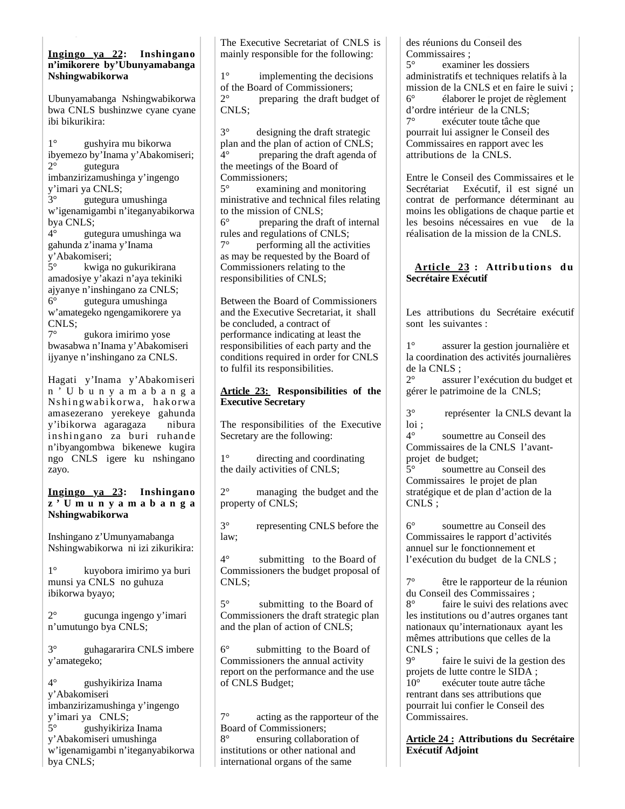#### **Ingingo ya 22: Inshingano n'imikorere by'Ubunyamabanga Nshingwabikorwa**

Ubunyamabanga Nshingwabikorwa bwa CNLS bushinzwe cyane cyane ibi bikurikira:

1° gushyira mu bikorwa ibyemezo by'Inama y'Abakomiseri; 2° gutegura imbanzirizamushinga y'ingengo y'imari ya CNLS; 3° gutegura umushinga

w'igenamigambi n'iteganyabikorwa bya CNLS;<br> $4^{\circ}$  out

4° gutegura umushinga wa gahunda z'inama y'Inama y'Abakomiseri;

5° kwiga no gukurikirana amadosiye y'akazi n'aya tekiniki ajyanye n'inshingano za CNLS; 6° gutegura umushinga w'amategeko ngengamikorere ya CNLS;

7° gukora imirimo yose bwasabwa n'Inama y'Abakomiseri ijyanye n'inshingano za CNLS.

Hagati y'Inama y'Abakomiseri n ' U b u n y a m a b a n g a Nshingwabikorwa, hakorwa amasezerano yerekeye gahunda y'ibikorwa agaragaza nibura inshingano za buri ruhande n'ibyangombwa bikenewe kugira ngo CNLS igere ku nshingano zayo.

#### **Ingingo ya 23: Inshingano z ' U m u n y a m a b a n g a Nshingwabikorwa**

Inshingano z'Umunyamabanga Nshingwabikorwa ni izi zikurikira:

1° kuyobora imirimo ya buri munsi ya CNLS no guhuza ibikorwa byayo;

2° gucunga ingengo y'imari n'umutungo bya CNLS;

3° guhagararira CNLS imbere y'amategeko;

4° gushyikiriza Inama y'Abakomiseri imbanzirizamushinga y'ingengo y'imari ya CNLS; 5° gushyikiriza Inama y'Abakomiseri umushinga w'igenamigambi n'iteganyabikorwa bya CNLS;

The Executive Secretariat of CNLS is mainly responsible for the following:

1° implementing the decisions % of the Board of Commissioners;<br> $2^{\circ}$  preparing the draft bud 2° preparing the draft budget of CNLS;

3° designing the draft strategic plan and the plan of action of CNLS; 4° preparing the draft agenda of the meetings of the Board of Commissioners;

5° examining and monitoring ministrative and technical files relating to the mission of CNLS;

6° preparing the draft of internal rules and regulations of CNLS;

7° performing all the activities as may be requested by the Board of Commissioners relating to the responsibilities of CNLS;

Between the Board of Commissioners and the Executive Secretariat, it shall be concluded, a contract of performance indicating at least the responsibilities of each party and the conditions required in order for CNLS to fulfil its responsibilities.

### **Article 23: Responsibilities of the Executive Secretary**

The responsibilities of the Executive Secretary are the following:

1° directing and coordinating the daily activities of CNLS;

2° managing the budget and the property of CNLS;

3° representing CNLS before the law;

4° submitting to the Board of Commissioners the budget proposal of CNLS;

5° submitting to the Board of Commissioners the draft strategic plan and the plan of action of CNLS;

6° submitting to the Board of Commissioners the annual activity report on the performance and the use of CNLS Budget;

7° acting as the rapporteur of the Board of Commissioners;<br>8<sup>°</sup> ensuring collabors ensuring collaboration of institutions or other national and international organs of the same

des réunions du Conseil des Commissaires ;

5° examiner les dossiers administratifs et techniques relatifs à la mission de la CNLS et en faire le suivi ; 6° élaborer le projet de règlement d'ordre intérieur de la CNLS; 7° exécuter toute tâche que pourrait lui assigner le Conseil des Commissaires en rapport avec les attributions de la CNLS.

Entre le Conseil des Commissaires et le Secrétariat Exécutif, il est signé un contrat de performance déterminant au moins les obligations de chaque partie et les besoins nécessaires en vue de la réalisation de la mission de la CNLS.

### **Arti cl e 23 : Attrib u tion s d u Secrétaire Exécutif**

Les attributions du Secrétaire exécutif sont les suivantes :

1° assurer la gestion journalière et la coordination des activités journalières de la CNLS ;

2° assurer l'exécution du budget et gérer le patrimoine de la CNLS;

3° représenter la CNLS devant la loi ;<br> $4^{\circ}$ 

soumettre au Conseil des Commissaires de la CNLS l'avantprojet de budget;<br>5<sup>°</sup> soumettre

soumettre au Conseil des Commissaires le projet de plan stratégique et de plan d'action de la CNLS ;

6° soumettre au Conseil des Commissaires le rapport d'activités annuel sur le fonctionnement et l'exécution du budget de la CNLS ;

7° être le rapporteur de la réunion du Conseil des Commissaires ; 8° faire le suivi des relations avec les institutions ou d'autres organes tant nationaux qu'internationaux ayant les mêmes attributions que celles de la CNLS ;

9° faire le suivi de la gestion des projets de lutte contre le SIDA ; 10° exécuter toute autre tâche rentrant dans ses attributions que pourrait lui confier le Conseil des Commissaires.

**Article 24 : Attributions du Secrétaire Exécutif Adjoint**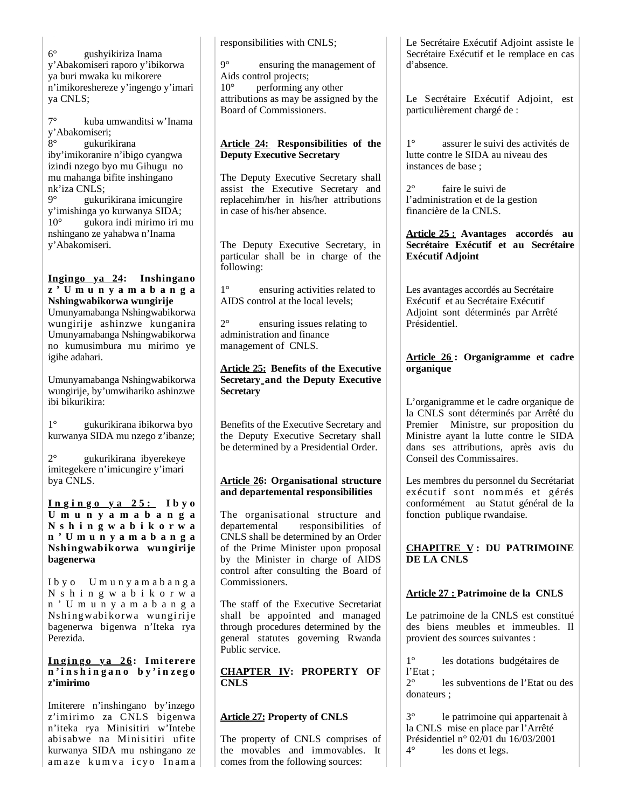6° gushyikiriza Inama y'Abakomiseri raporo y'ibikorwa ya buri mwaka ku mikorere n'imikoreshereze y'ingengo y'imari ya CNLS;

7° kuba umwanditsi w'Inama y'Abakomiseri; 8° gukurikirana iby'imikoranire n'ibigo cyangwa izindi nzego byo mu Gihugu no mu mahanga bifite inshingano nk'iza CNLS; 9° gukurikirana imicungire y'imishinga yo kurwanya SIDA; 10° gukora indi mirimo iri mu nshingano ze yahabwa n'Inama

y'Abakomiseri.

**Ingingo ya 24: Inshingano z ' U m u n y a m a b a n g a Nshingwabikorwa wungirije** Umunyamabanga Nshingwabikorwa wungirije ashinzwe kunganira Umunyamabanga Nshingwabikorwa no kumusimbura mu mirimo ye igihe adahari.

Umunyamabanga Nshingwabikorwa wungirije, by'umwihariko ashinzwe ibi bikurikira:

1° gukurikirana ibikorwa byo kurwanya SIDA mu nzego z'ibanze;

2° gukurikirana ibyerekeye imitegekere n'imicungire y'imari bya CNLS.

**I n g i n g o y a 2 5 : Ibyo U m u n y a m a b a n g a N s h i n g w a b i k o r w a n ' U m u n y a m a b a n g a Nshingwabikorwa wungirije bagenerwa** 

I b y o U m u n y a m a b a n g a N s h i n g w a b i k o r w a n ' U m u n y a m a b a n g a Nshingwabikorwa wungirije bagenerwa bigenwa n'Iteka rya Perezida.

#### **I n g i n g o y a 2 6 : I mi terere n ' i n s h i n g a n o b y ' i n z e g o z'imirimo**

Imiterere n'inshingano by'inzego z'imirimo za CNLS bigenwa n'iteka rya Minisitiri w'Intebe abisabwe na Minisitiri ufite kurwanya SIDA mu nshingano ze amaze kumva icyo Inama responsibilities with CNLS;

9° ensuring the management of Aids control projects; 10° performing any other attributions as may be assigned by the Board of Commissioners.

## **Article 24: Responsibilities of the Deputy Executive Secretary**

The Deputy Executive Secretary shall assist the Executive Secretary and replacehim/her in his/her attributions in case of his/her absence.

The Deputy Executive Secretary, in particular shall be in charge of the following:

1° ensuring activities related to AIDS control at the local levels;

2° ensuring issues relating to administration and finance management of CNLS.

### **Article 25: Benefits of the Executive Secretary and the Deputy Executive Secretary**

Benefits of the Executive Secretary and the Deputy Executive Secretary shall be determined by a Presidential Order.

# **Article 26: Organisational structure and departemental responsibilities**

The organisational structure and departemental responsibilities of CNLS shall be determined by an Order of the Prime Minister upon proposal by the Minister in charge of AIDS control after consulting the Board of Commissioners.

The staff of the Executive Secretariat shall be appointed and managed through procedures determined by the general statutes governing Rwanda Public service.

**CHAPTER IV: PROPERTY OF CNLS**

# **Article 27: Property of CNLS**

The property of CNLS comprises of the movables and immovables. It comes from the following sources:

Le Secrétaire Exécutif Adjoint assiste le Secrétaire Exécutif et le remplace en cas d'absence.

Le Secrétaire Exécutif Adjoint, est particulièrement chargé de :

1° assurer le suivi des activités de lutte contre le SIDA au niveau des instances de base ;

2° faire le suivi de l'administration et de la gestion financière de la CNLS.

#### **Article 25 : Avantages accordés au Secrétaire Exécutif et au Secrétaire Exécutif Adjoint**

Les avantages accordés au Secrétaire Exécutif et au Secrétaire Exécutif Adjoint sont déterminés par Arrêté Présidentiel.

# **Article 26 : Organigramme et cadre organique**

L'organigramme et le cadre organique de la CNLS sont déterminés par Arrêté du Premier Ministre, sur proposition du Ministre ayant la lutte contre le SIDA dans ses attributions, après avis du Conseil des Commissaires.

Les membres du personnel du Secrétariat exécutif sont nommés et gérés conformément au Statut général de la fonction publique rwandaise.

# **CHAPITRE V : DU PATRIMOINE DE LA CNLS**

# **Article 27 : Patrimoine de la CNLS**

Le patrimoine de la CNLS est constitué des biens meubles et immeubles. Il provient des sources suivantes :

1° les dotations budgétaires de l'Etat ;

2° les subventions de l'Etat ou des donateurs ;

3° le patrimoine qui appartenait à la CNLS mise en place par l'Arrêté Présidentiel n° 02/01 du 16/03/2001 4° les dons et legs.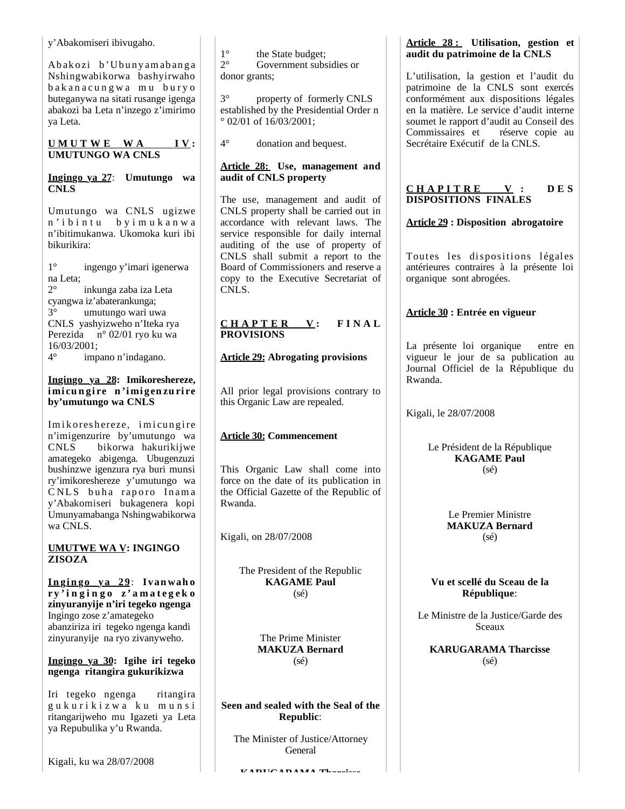y'Abakomiseri ibivugaho.

Abakozi b'Ubunyamabanga Nshingwabikorwa bashyirwaho bakanacungwa mu buryo buteganywa na sitati rusange igenga abakozi ba Leta n'inzego z'imirimo ya Leta.

### **U M U T W E W A I V : UMUTUNGO WA CNLS**

#### **Ingingo ya 27**: **Umutungo wa CNLS**

Umutungo wa CNLS ugizwe n ' i b i n t u b y i m u k a n w a n'ibitimukanwa. Ukomoka kuri ibi bikurikira:

1° ingengo y'imari igenerwa na Leta;

2° inkunga zaba iza Leta cyangwa iz'abaterankunga; 3° umutungo wari uwa CNLS yashyizweho n'Iteka rya Perezida n° 02/01 ryo ku wa 16/03/2001;

4° impano n'indagano.

#### **Ingingo ya 28: Imikoreshereze, i mi cu n gi re n 'i mi gen zu ri re by'umutungo wa CNLS**

Imikoreshereze, imicungire n'imigenzurire by'umutungo wa CNLS bikorwa hakurikijwe amategeko abigenga. Ubugenzuzi bushinzwe igenzura rya buri munsi ry'imikoreshereze y'umutungo wa CNLS buha raporo Inama y'Abakomiseri bukagenera kopi Umunyamabanga Nshingwabikorwa wa CNLS.

**UMUTWE WA V: INGINGO ZISOZA**

**In gin go ya 29**: **Ivan wah o r y ' i n g i n g o z ' a m a t e g e k o zinyuranyije n'iri tegeko ngenga** Ingingo zose z'amategeko abanziriza iri tegeko ngenga kandi zinyuranyije na ryo zivanyweho.

### **Ingingo ya 30: Igihe iri tegeko ngenga ritangira gukurikizwa**

Iri tegeko ngenga ritangira g u k u r i k i z w a k u m u n s i ritangarijweho mu Igazeti ya Leta ya Repubulika y'u Rwanda.

 $1^\circ$  the State budget;<br> $2^\circ$  Government subs Government subsidies or donor grants;

3° property of formerly CNLS established by the Presidential Order n ° 02/01 of 16/03/2001;

4° donation and bequest.

## **Article 28: Use, management and audit of CNLS property**

The use, management and audit of CNLS property shall be carried out in accordance with relevant laws. The service responsible for daily internal auditing of the use of property of CNLS shall submit a report to the Board of Commissioners and reserve a copy to the Executive Secretariat of CNLS.

#### **C H A P T E R V : F I N A L PROVISIONS**

# **Article 29: Abrogating provisions**

All prior legal provisions contrary to this Organic Law are repealed.

# **Article 30: Commencement**

This Organic Law shall come into force on the date of its publication in the Official Gazette of the Republic of Rwanda.

Kigali, on 28/07/2008

The President of the Republic **KAGAME Paul** (sé)

> The Prime Minister **MAKUZA Bernard** (sé)

**Seen and sealed with the Seal of the Republic**:

The Minister of Justice/Attorney General

**KARUGARAMA Tharcisse**

# **Article 28 : Utilisation, gestion et audit du patrimoine de la CNLS**

L'utilisation, la gestion et l'audit du patrimoine de la CNLS sont exercés conformément aux dispositions légales en la matière. Le service d'audit interne soumet le rapport d'audit au Conseil des Commissaires et réserve copie au Secrétaire Exécutif de la CNLS.

# $CHAPITRE$   $V:$   $DES$ **DISPOSITIONS FINALES**

# **Article 29 : Disposition abrogatoire**

Toutes les dispositions légales antérieures contraires à la présente loi organique sont abrogées.

# **Article 30 : Entrée en vigueur**

La présente loi organique entre en vigueur le jour de sa publication au Journal Officiel de la République du Rwanda.

Kigali, le 28/07/2008

Le Président de la République **KAGAME Paul** (sé)

> Le Premier Ministre **MAKUZA Bernard** (sé)

**Vu et scellé du Sceau de la République**:

Le Ministre de la Justice/Garde des Sceaux

**KARUGARAMA Tharcisse** (sé)

Kigali, ku wa 28/07/2008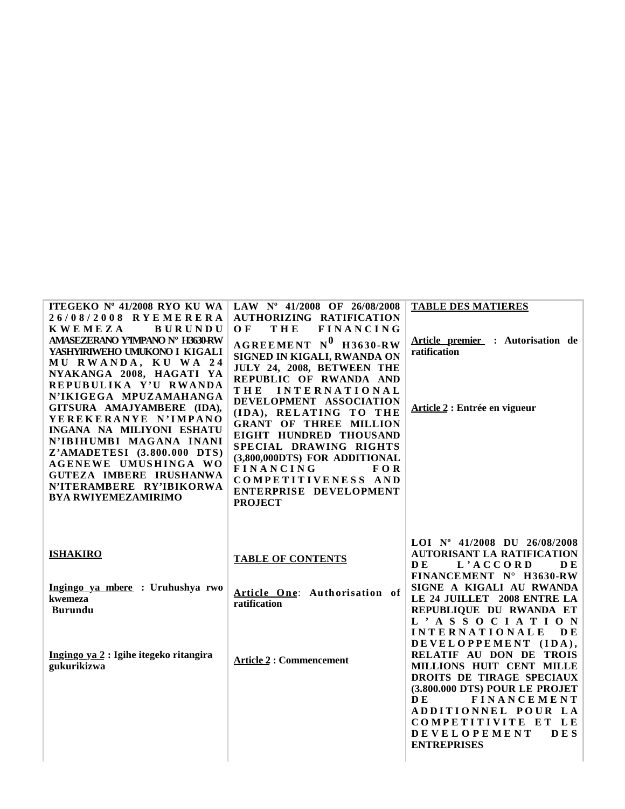| ITEGEKO Nº 41/2008 RYO KU WA<br>26/08/2008 RYEMERERA<br><b>KWEMEZA</b><br><b>BURUNDU</b><br>AMASEZERANO Y'IMPANO Nº H3630RW<br>YASHYIRIWEHO UMUKONO I KIGALI<br>MU RWANDA, KU WA 24<br>NYAKANGA 2008, HAGATI YA<br>REPUBULIKA Y'U RWANDA<br>N'IKIGEGA MPUZAMAHANGA<br>GITSURA AMAJYAMBERE (IDA),<br>YEREKERANYE N'IMPANO<br>INGANA NA MILIYONI ESHATU<br>N'IBIHUMBI MAGANA INANI<br>Z'AMADETESI (3.800.000 DTS)<br>AGENEWE UMUSHINGA WO<br>GUTEZA IMBERE IRUSHANWA<br>N'ITERAMBERE RY'IBIKORWA<br><b>BYA RWIYEMEZAMIRIMO</b> | LAW Nº 41/2008 OF 26/08/2008<br><b>AUTHORIZING RATIFICATION</b><br>THE<br><b>FINANCING</b><br>O F<br>$AGREEMENT$ $N^0$ H3630-RW<br>SIGNED IN KIGALI, RWANDA ON<br>JULY 24, 2008, BETWEEN THE<br>REPUBLIC OF RWANDA AND<br><b>INTERNATIONAL</b><br>THE<br>DEVELOPMENT ASSOCIATION<br>(IDA), RELATING TO THE<br><b>GRANT OF THREE MILLION</b><br>EIGHT HUNDRED THOUSAND<br>SPECIAL DRAWING RIGHTS<br>(3,800,000DTS) FOR ADDITIONAL<br><b>FINANCING</b><br><b>FOR</b><br>COMPETITIVENESS AND<br>ENTERPRISE DEVELOPMENT<br><b>PROJECT</b> | <b>TABLE DES MATIERES</b><br>Article premier : Autorisation de<br>ratification<br>Article 2 : Entrée en vigueur                                                                                                                                                                  |
|------------------------------------------------------------------------------------------------------------------------------------------------------------------------------------------------------------------------------------------------------------------------------------------------------------------------------------------------------------------------------------------------------------------------------------------------------------------------------------------------------------------------------|---------------------------------------------------------------------------------------------------------------------------------------------------------------------------------------------------------------------------------------------------------------------------------------------------------------------------------------------------------------------------------------------------------------------------------------------------------------------------------------------------------------------------------------|----------------------------------------------------------------------------------------------------------------------------------------------------------------------------------------------------------------------------------------------------------------------------------|
| <b>ISHAKIRO</b>                                                                                                                                                                                                                                                                                                                                                                                                                                                                                                              | <b>TABLE OF CONTENTS</b>                                                                                                                                                                                                                                                                                                                                                                                                                                                                                                              | LOI Nº 41/2008 DU 26/08/2008<br><b>AUTORISANT LA RATIFICATION</b><br>L'ACCORD<br>DE.<br>D E<br>FINANCEMENT N° H3630-RW                                                                                                                                                           |
| Ingingo ya mbere : Uruhushya rwo<br>kwemeza<br><b>Burundu</b>                                                                                                                                                                                                                                                                                                                                                                                                                                                                | Article One: Authorisation of<br>ratification                                                                                                                                                                                                                                                                                                                                                                                                                                                                                         | SIGNE A KIGALI AU RWANDA<br>LE 24 JUILLET 2008 ENTRE LA<br>REPUBLIQUE DU RWANDA ET<br>L'ASSOCIATION<br><b>INTERNATIONALE</b><br>DE                                                                                                                                               |
| Ingingo ya 2 : Igihe itegeko ritangira<br>gukurikizwa                                                                                                                                                                                                                                                                                                                                                                                                                                                                        | <b>Article 2: Commencement</b>                                                                                                                                                                                                                                                                                                                                                                                                                                                                                                        | DEVELOPPEMENT (IDA),<br>RELATIF AU DON DE TROIS<br>MILLIONS HUIT CENT MILLE<br>DROITS DE TIRAGE SPECIAUX<br>(3.800.000 DTS) POUR LE PROJET<br>DE.<br><b>FINANCEMENT</b><br>ADDITIONNEL POUR LA<br>COMPETITIVITE ET LE<br><b>DEVELOPEMENT</b><br><b>DES</b><br><b>ENTREPRISES</b> |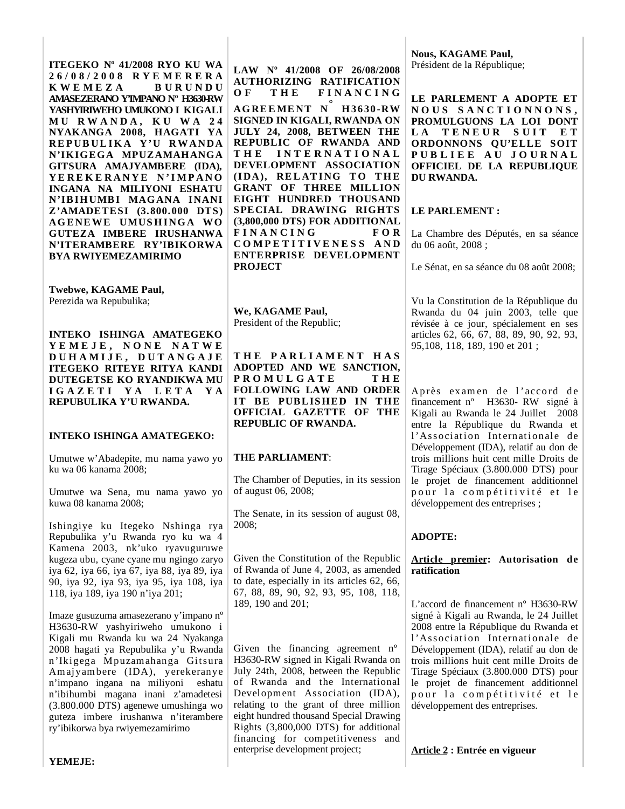**ITEGEKO Nº 41/2008 RYO KU WA 2 6 / 0 8 / 2 0 0 8 R Y E M E R E R A K W E M E Z A B U R U N D U AMASEZERANO Y'IMPANO Nº H3630-RW YASHYIRIWEHO UMUKONO I KIGALI M U R W A N D A , K U W A 2 4 NYAKANGA 2008, HAGATI YA RE PUB UL I K A Y'U RW ANDA N'IKIGEGA MPUZAMAHANGA GITSURA AMAJYAMBERE (IDA), Y E R E K E R A N Y E N 'I MP A N O INGANA NA MILIYONI ESHATU N'IBIHUMBI MAGANA INANI Z'AMADETESI (3.800.000 DTS) AG E NE WE UMUS H ING A WO GUTEZA IMBERE IRUSHANWA N'ITERAMBERE RY'IBIKORWA BYA RWIYEMEZAMIRIMO**

**Twebwe, KAGAME Paul,** Perezida wa Repubulika;

**INTEKO ISHINGA AMATEGEKO Y E M E J E , N O N E N A T W E D U H A M I J E , D U T A N G A J E ITEGEKO RITEYE RITYA KANDI DUTEGETSE KO RYANDIKWA MU I G A Z E T I Y A L E T A Y A REPUBULIKA Y'U RWANDA.**

#### **INTEKO ISHINGA AMATEGEKO:**

Umutwe w'Abadepite, mu nama yawo yo ku wa 06 kanama 2008;

Umutwe wa Sena, mu nama yawo yo kuwa 08 kanama 2008;

Ishingiye ku Itegeko Nshinga rya Repubulika y'u Rwanda ryo ku wa 4 Kamena 2003, nk'uko ryavuguruwe kugeza ubu, cyane cyane mu ngingo zaryo iya 62, iya 66, iya 67, iya 88, iya 89, iya 90, iya 92, iya 93, iya 95, iya 108, iya 118, iya 189, iya 190 n'iya 201;

Imaze gusuzuma amasezerano y'impano nº H3630-RW yashyiriweho umukono i Kigali mu Rwanda ku wa 24 Nyakanga 2008 hagati ya Repubulika y'u Rwanda n'Ikigega Mpuzamahanga Gitsura Am aj yam bere (IDA), yerekeranye n'impano ingana na miliyoni eshatu n'ibihumbi magana inani z'amadetesi (3.800.000 DTS) agenewe umushinga wo guteza imbere irushanwa n'iterambere ry'ibikorwa bya rwiyemezamirimo

**LAW Nº 41/2008 OF 26/08/2008 AUTHORIZING RATIFICATION**  OF THE FINANCING **AGREEMENT N° H 3630-RW SIGNED IN KIGALI, RWANDA ON** 

**JULY 24, 2008, BETWEEN THE REPUBLIC OF RWANDA AND T H E I N T E R N A T I O N A L DEVELOPMENT ASSOCIATION (IDA), RELATING TO THE GRANT OF THREE MILLION EIGHT HUNDRED THOUSAND SPECIAL DRAWING RIGHTS (3,800,000 DTS) FOR ADDITIONAL F I N A N C I N G F O R C O M P E T I T I V E N E S S A N D ENTERPRISE DEVELOPMENT PROJECT**

**We, KAGAME Paul,** President of the Republic;

**T H E P A R L I A M E N T H A S ADOPTED AND WE SANCTION, P R O M U L G A T E T H E FOLLOWING LAW AND ORDER IT BE PUBLISHED IN THE OFFICIAL GAZETTE OF THE REPUBLIC OF RWANDA.**

#### **THE PARLIAMENT**:

The Chamber of Deputies, in its session of august 06, 2008;

The Senate, in its session of august 08, 2008;

Given the Constitution of the Republic of Rwanda of June 4, 2003, as amended to date, especially in its articles 62, 66, 67, 88, 89, 90, 92, 93, 95, 108, 118, 189, 190 and 201;

Given the financing agreement nº H3630-RW signed in Kigali Rwanda on July 24th, 2008, between the Republic of Rwanda and the International Development Association (IDA), relating to the grant of three million eight hundred thousand Special Drawing Rights (3,800,000 DTS) for additional financing for competitiveness and enterprise development project;

**Nous, KAGAME Paul,** Président de la République;

**LE PARLEMENT A ADOPTE ET N O U S S A N C T I O N N O N S , PROMULGUONS LA LOI DONT**  LA TENEUR SUIT ET **ORDONNONS QU'ELLE SOIT P U B L I E E A U J O U R N A L OFFICIEL DE LA REPUBLIQUE DU RWANDA.**

#### **LE PARLEMENT :**

La Chambre des Députés, en sa séance du 06 août, 2008 ;

Le Sénat, en sa séance du 08 août 2008;

Vu la Constitution de la République du Rwanda du 04 juin 2003, telle que révisée à ce jour, spécialement en ses articles 62, 66, 67, 88, 89, 90, 92, 93, 95,108, 118, 189, 190 et 201 ;

Après examen de l'accord de financement nº H3630- RW signé à Kigali au Rwanda le 24 Juillet 2008 entre la République du Rwanda et l'Association Internationale de Développement (IDA), relatif au don de trois millions huit cent mille Droits de Tirage Spéciaux (3.800.000 DTS) pour le projet de financement additionnel pour la compétitivité et le développement des entreprises ;

#### **ADOPTE:**

#### **Article premier: Autorisation de ratification**

L'accord de financement nº H3630-RW signé à Kigali au Rwanda, le 24 Juillet 2008 entre la République du Rwanda et l'Association Internationale de Développement (IDA), relatif au don de trois millions huit cent mille Droits de Tirage Spéciaux (3.800.000 DTS) pour le projet de financement additionnel pour la compétitivité et le développement des entreprises.

**Article 2 : Entrée en vigueur**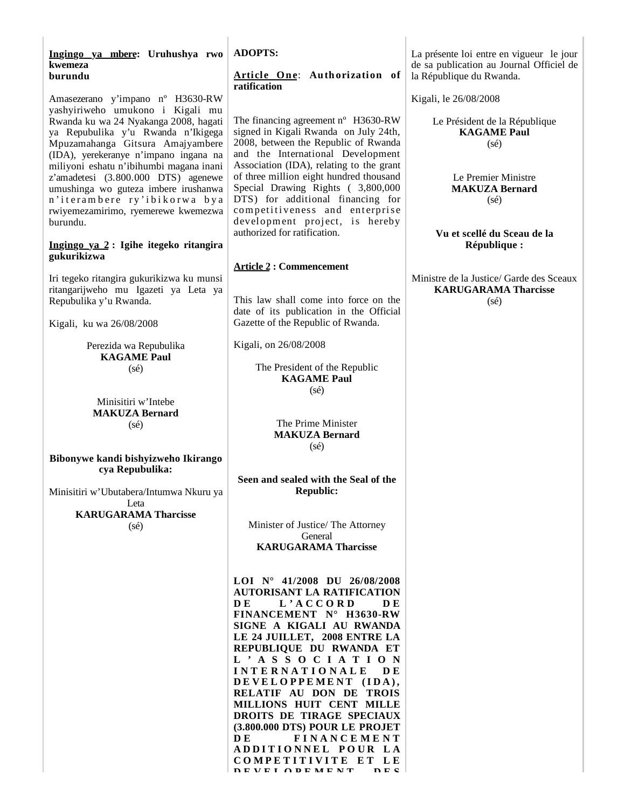|         |  | Ingingo ya mbere: Uruhushya rwo |  |
|---------|--|---------------------------------|--|
| kwemeza |  |                                 |  |
| burundu |  |                                 |  |

Amasezerano y'impano nº H3630-RW yashyiriweho umukono i Kigali mu Rwanda ku wa 24 Nyakanga 2008, hagati ya Repubulika y'u Rwanda n'Ikigega Mpuzamahanga Gitsura Amajyambere (IDA), yerekeranye n'impano ingana na miliyoni eshatu n'ibihumbi magana inani z'amadetesi (3.800.000 DTS) agenewe umushinga wo guteza imbere irushanwa n'iterambere ry'ibikorwa bya rwiyemezamirimo, ryemerewe kwemezwa burundu.

#### **Ingingo ya 2 : Igihe itegeko ritangira gukurikizwa**

Iri tegeko ritangira gukurikizwa ku munsi ritangarijweho mu Igazeti ya Leta ya Repubulika y'u Rwanda.

Kigali, ku wa 26/08/2008

Perezida wa Repubulika **KAGAME Paul** (sé)

Minisitiri w'Intebe **MAKUZA Bernard** (sé)

**Bibonywe kandi bishyizweho Ikirango cya Repubulika:**

Minisitiri w'Ubutabera/Intumwa Nkuru ya Leta

> **KARUGARAMA Tharcisse** (sé)

**ADOPTS:**

#### **Article One: Authorization of ratification**

The financing agreement n° H3630-RW signed in Kigali Rwanda on July 24th, 2008, between the Republic of Rwanda and the International Development Association (IDA), relating to the grant of three million eight hundred thousand Special Drawing Rights ( 3,800,000 DTS) for additional financing for competitiveness and enterprise development project, is hereby authorized for ratification.

#### **Article 2 : Commencement**

This law shall come into force on the date of its publication in the Official Gazette of the Republic of Rwanda.

Kigali, on 26/08/2008

The President of the Republic **KAGAME Paul** (sé)

> The Prime Minister **MAKUZA Bernard** (sé)

**Seen and sealed with the Seal of the Republic:**

Minister of Justice/ The Attorney General **KARUGARAMA Tharcisse**

**LOI N° 41/2008 DU 26/08/2008 AUTORISANT LA RATIFICATION D E L ' A C C O R D D E FINANCEMENT N° H3630-RW SIGNE A KIGALI AU RWANDA LE 24 JUILLET, 2008 ENTRE LA REPUBLIQUE DU RWANDA ET L ' A S S O C I A T I O N I N T E R N A T I O N A L E D E**  DEVELOPPEMENT (IDA), **RELATIF AU DON DE TROIS MILLIONS HUIT CENT MILLE DROITS DE TIRAGE SPECIAUX (3.800.000 DTS) POUR LE PROJET D E F I N A N C E M E N T A D D I T I O N N E L P O U R L A C O M P E T I T I V I T E E T L E DEVELOPEMENT** DES

La présente loi entre en vigueur le jour de sa publication au Journal Officiel de la République du Rwanda.

Kigali, le 26/08/2008

Le Président de la République **KAGAME Paul** (sé)

> Le Premier Ministre **MAKUZA Bernard** (sé)

**Vu et scellé du Sceau de la République :**

Ministre de la Justice/ Garde des Sceaux **KARUGARAMA Tharcisse** (sé)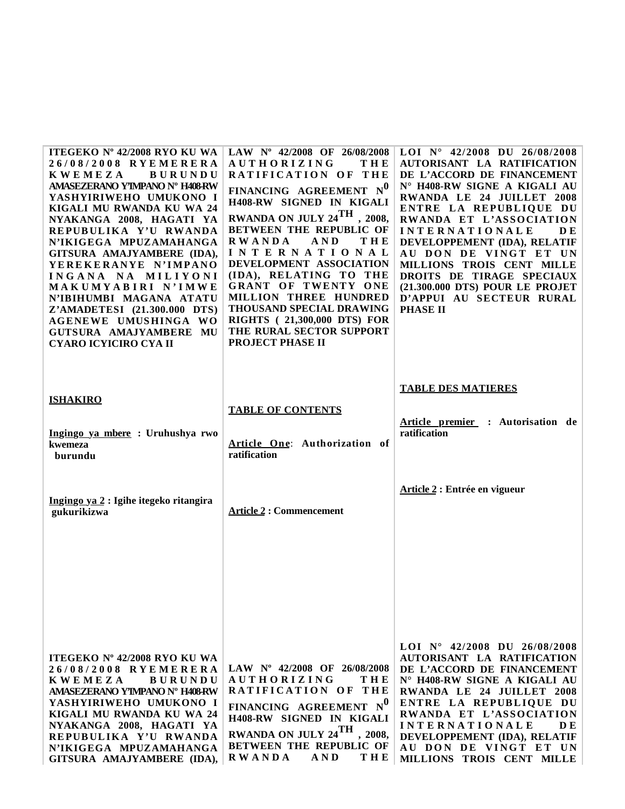| ITEGEKO Nº 42/2008 RYO KU WA<br>26/08/2008 RYEMERERA<br><b>KWEMEZA</b><br><b>BURUNDU</b><br>AMASEZERANO Y'IMPANO Nº H408-RW<br>YASHYIRIWEHO UMUKONO I<br>KIGALI MU RWANDA KU WA 24<br>NYAKANGA 2008, HAGATI YA<br>REPUBULIKA Y'U RWANDA<br>N'IKIGEGA MPUZAMAHANGA<br>GITSURA AMAJYAMBERE (IDA),<br>YEREKERANYE N'IMPANO<br>INGANA NA MILIYONI<br>MAKUMYABIRI N'IMWE<br>N'IBIHUMBI MAGANA ATATU<br>Z'AMADETESI (21.300.000 DTS)<br><b>AGENEWE UMUSHINGA WO</b><br>GUTSURA AMAJYAMBERE MU<br>CYARO ICYICIRO CYA II | LAW Nº 42/2008 OF 26/08/2008<br><b>AUTHORIZING</b><br>THE<br>RATIFICATION OF THE<br>FINANCING AGREEMENT NO<br>H408-RW SIGNED IN KIGALI<br>RWANDA ON JULY 24 <sup>TH</sup> , 2008,<br><b>BETWEEN THE REPUBLIC OF</b><br>THE<br><b>RWANDA</b><br>A N D<br>INTERNATIONAL<br>DEVELOPMENT ASSOCIATION<br>(IDA), RELATING TO THE<br>GRANT OF TWENTY ONE<br>MILLION THREE HUNDRED<br>THOUSAND SPECIAL DRAWING<br><b>RIGHTS</b> (21,300,000 DTS) FOR<br>THE RURAL SECTOR SUPPORT<br>PROJECT PHASE II | LOI $N^{\circ}$ 42/2008 DU 26/08/2008<br>AUTORISANT LA RATIFICATION<br>DE L'ACCORD DE FINANCEMENT<br>N° H408-RW SIGNE A KIGALI AU<br>RWANDA LE 24 JUILLET 2008<br>ENTRE LA REPUBLIQUE DU<br>RWANDA ET L'ASSOCIATION<br><b>INTERNATIONALE</b><br>D E<br>DEVELOPPEMENT (IDA), RELATIF<br>AU DON DE VINGT ET UN<br>MILLIONS TROIS CENT MILLE<br>DROITS DE TIRAGE SPECIAUX<br>(21.300.000 DTS) POUR LE PROJET<br>D'APPUI AU SECTEUR RURAL<br><b>PHASE II</b> |
|------------------------------------------------------------------------------------------------------------------------------------------------------------------------------------------------------------------------------------------------------------------------------------------------------------------------------------------------------------------------------------------------------------------------------------------------------------------------------------------------------------------|----------------------------------------------------------------------------------------------------------------------------------------------------------------------------------------------------------------------------------------------------------------------------------------------------------------------------------------------------------------------------------------------------------------------------------------------------------------------------------------------|----------------------------------------------------------------------------------------------------------------------------------------------------------------------------------------------------------------------------------------------------------------------------------------------------------------------------------------------------------------------------------------------------------------------------------------------------------|
| <b>ISHAKIRO</b><br>Ingingo ya mbere : Uruhushya rwo<br>kwemeza<br>burundu                                                                                                                                                                                                                                                                                                                                                                                                                                        | <b>TABLE OF CONTENTS</b><br>Article One: Authorization of<br>ratification                                                                                                                                                                                                                                                                                                                                                                                                                    | <b>TABLE DES MATIERES</b><br>Article premier : Autorisation de<br>ratification                                                                                                                                                                                                                                                                                                                                                                           |
| Ingingo ya 2 : Igihe itegeko ritangira<br>gukurikizwa                                                                                                                                                                                                                                                                                                                                                                                                                                                            | <b>Article 2 : Commencement</b>                                                                                                                                                                                                                                                                                                                                                                                                                                                              | Article 2 : Entrée en vigueur                                                                                                                                                                                                                                                                                                                                                                                                                            |
|                                                                                                                                                                                                                                                                                                                                                                                                                                                                                                                  |                                                                                                                                                                                                                                                                                                                                                                                                                                                                                              |                                                                                                                                                                                                                                                                                                                                                                                                                                                          |
| ITEGEKO Nº 42/2008 RYO KU WA<br>26/08/2008 RYEMERERA<br><b>KWEMEZA</b><br><b>BURUNDU</b><br>AMASEZERANO Y'IMPANO Nº H408RW<br>YASHYIRIWEHO UMUKONO I<br>KIGALI MU RWANDA KU WA 24<br>NYAKANGA 2008, HAGATI YA<br>REPUBULIKA Y'U RWANDA<br>N'IKIGEGA MPUZAMAHANGA<br>GITSURA AMAJYAMBERE (IDA),                                                                                                                                                                                                                   | LAW $N^{\circ}$ 42/2008 OF 26/08/2008<br><b>AUTHORIZING</b><br>THE<br>RATIFICATION OF THE<br>FINANCING AGREEMENT NO<br>H408-RW SIGNED IN KIGALI<br>RWANDA ON JULY 24TH, 2008,<br><b>BETWEEN THE REPUBLIC OF</b><br><b>RWANDA</b><br><b>THE</b><br>AND                                                                                                                                                                                                                                        | LOI $N^{\circ}$ 42/2008 DU 26/08/2008<br>AUTORISANT LA RATIFICATION<br>DE L'ACCORD DE FINANCEMENT<br>N° H408-RW SIGNE A KIGALI AU<br>RWANDA LE 24 JUILLET 2008<br>ENTRE LA REPUBLIQUE DU<br>RWANDA ET L'ASSOCIATION<br><b>INTERNATIONALE</b><br><b>DE</b><br>DEVELOPPEMENT (IDA), RELATIF<br>AU DON DE VINGT ET UN<br>MILLIONS TROIS CENT MILLE                                                                                                          |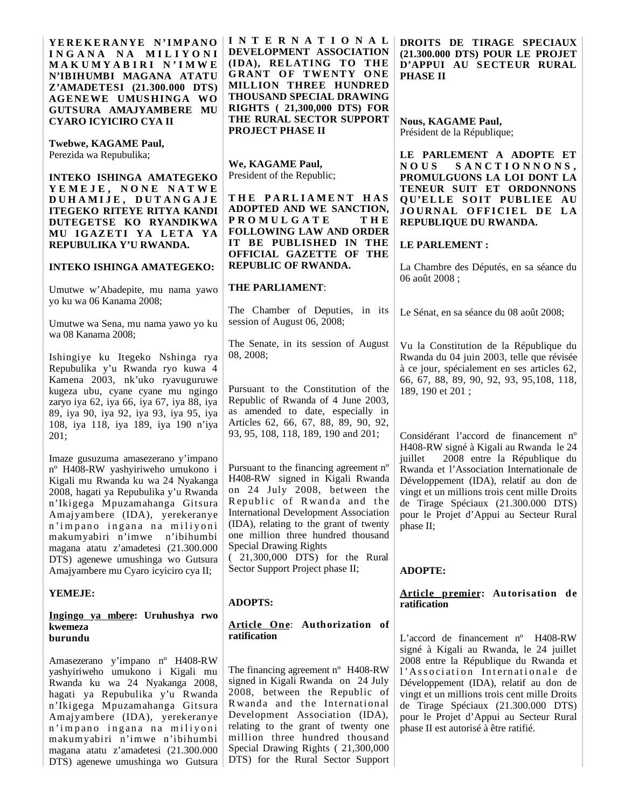| YEREKERANYE N'IMPANO<br>INGANA NA MILIYONI<br>MAKUMYABIRI N'IMWE<br>N'IBIHUMBI MAGANA ATATU<br>Z'AMADETESI (21.300.000 DTS)<br>AGENEWE UMUSHINGA WO<br>GUTSURA AMAJYAMBERE MU<br>CYARO ICYICIRO CYA II                                                                                                                                                                      | <b>INTERNATIONAL</b><br>DEVELOPMENT ASSOCIATION<br>(IDA), RELATING TO THE<br>GRANT OF TWENTY ONE<br><b>MILLION THREE HUNDRED</b><br>THOUSAND SPECIAL DRAWING<br><b>RIGHTS</b> (21,300,000 DTS) FOR<br>THE RURAL SECTOR SUPPORT                                                                                                                                                 | DROITS DE TIRAGE SPECIAUX<br>(21.300.000 DTS) POUR LE PROJET<br>D'APPUI AU SECTEUR RURAL<br><b>PHASE II</b><br><b>Nous, KAGAME Paul,</b>                                                                                                                                                                                                                                                |
|-----------------------------------------------------------------------------------------------------------------------------------------------------------------------------------------------------------------------------------------------------------------------------------------------------------------------------------------------------------------------------|--------------------------------------------------------------------------------------------------------------------------------------------------------------------------------------------------------------------------------------------------------------------------------------------------------------------------------------------------------------------------------|-----------------------------------------------------------------------------------------------------------------------------------------------------------------------------------------------------------------------------------------------------------------------------------------------------------------------------------------------------------------------------------------|
| Twebwe, KAGAME Paul,<br>Perezida wa Repubulika;<br>INTEKO ISHINGA AMATEGEKO<br>YEMEJE, NONE NATWE<br>DUHAMIJE, DUTANGAJE<br>ITEGEKO RITEYE RITYA KANDI<br>DUTEGETSE KO RYANDIKWA                                                                                                                                                                                            | PROJECT PHASE II<br>We, KAGAME Paul,<br>President of the Republic;<br>THE PARLIAMENT HAS<br>ADOPTED AND WE SANCTION,<br><b>PROMULGATE</b><br>THE                                                                                                                                                                                                                               | Président de la République;<br>LE PARLEMENT A ADOPTE ET<br><b>NOUS</b><br>SANCTIONNONS,<br>PROMULGUONS LA LOI DONT LA<br>TENEUR SUIT ET ORDONNONS<br>QU'ELLE SOIT PUBLIEE AU<br>JOURNAL OFFICIEL DE LA<br>REPUBLIQUE DU RWANDA.                                                                                                                                                         |
| MU IGAZETI YA LETA YA<br>REPUBULIKA Y'U RWANDA.<br><b>INTEKO ISHINGA AMATEGEKO:</b>                                                                                                                                                                                                                                                                                         | <b>FOLLOWING LAW AND ORDER</b><br>IT BE PUBLISHED IN THE<br>OFFICIAL GAZETTE OF THE<br><b>REPUBLIC OF RWANDA.</b>                                                                                                                                                                                                                                                              | LE PARLEMENT :<br>La Chambre des Députés, en sa séance du                                                                                                                                                                                                                                                                                                                               |
| Umutwe w'Abadepite, mu nama yawo<br>yo ku wa 06 Kanama 2008;                                                                                                                                                                                                                                                                                                                | <b>THE PARLIAMENT:</b>                                                                                                                                                                                                                                                                                                                                                         | 06 août 2008;                                                                                                                                                                                                                                                                                                                                                                           |
| Umutwe wa Sena, mu nama yawo yo ku<br>wa 08 Kanama 2008;                                                                                                                                                                                                                                                                                                                    | The Chamber of Deputies, in its<br>session of August 06, 2008;                                                                                                                                                                                                                                                                                                                 | Le Sénat, en sa séance du 08 août 2008;                                                                                                                                                                                                                                                                                                                                                 |
| Ishingiye ku Itegeko Nshinga rya<br>Repubulika y'u Rwanda ryo kuwa 4<br>Kamena 2003, nk'uko ryavuguruwe<br>kugeza ubu, cyane cyane mu ngingo<br>zaryo iya 62, iya 66, iya 67, iya 88, iya                                                                                                                                                                                   | The Senate, in its session of August<br>08, 2008;<br>Pursuant to the Constitution of the<br>Republic of Rwanda of 4 June 2003,                                                                                                                                                                                                                                                 | Vu la Constitution de la République du<br>Rwanda du 04 juin 2003, telle que révisée<br>à ce jour, spécialement en ses articles 62,<br>66, 67, 88, 89, 90, 92, 93, 95, 108, 118,<br>189, 190 et 201;                                                                                                                                                                                     |
| 89, iya 90, iya 92, iya 93, iya 95, iya<br>108, iya 118, iya 189, iya 190 n'iya<br>201;                                                                                                                                                                                                                                                                                     | as amended to date, especially in<br>Articles 62, 66, 67, 88, 89, 90, 92,<br>93, 95, 108, 118, 189, 190 and 201;                                                                                                                                                                                                                                                               | Considérant l'accord de financement n°<br>H408-RW signé à Kigali au Rwanda le 24                                                                                                                                                                                                                                                                                                        |
| Imaze gusuzuma amasezerano y'impano<br>n° H408-RW yashyiriweho umukono i<br>Kigali mu Rwanda ku wa 24 Nyakanga<br>2008, hagati ya Repubulika y'u Rwanda<br>n'Ikigega Mpuzamahanga Gitsura<br>Amajyambere (IDA), yerekeranye<br>n'impano ingana na miliyoni<br>makumyabiri n'imwe<br>n'ibihumbi<br>magana atatu z'amadetesi (21.300.000<br>DTS) agenewe umushinga wo Gutsura | Pursuant to the financing agreement n°<br>H408-RW signed in Kigali Rwanda<br>on 24 July 2008, between the<br>Republic of Rwanda and the<br><b>International Development Association</b><br>(IDA), relating to the grant of twenty<br>one million three hundred thousand<br><b>Special Drawing Rights</b><br>(21,300,000 DTS) for the Rural<br>Sector Support Project phase II; | 2008 entre la République du<br>juillet<br>Rwanda et l'Association Internationale de<br>Développement (IDA), relatif au don de<br>vingt et un millions trois cent mille Droits<br>de Tirage Spéciaux (21.300.000 DTS)<br>pour le Projet d'Appui au Secteur Rural<br>phase II;                                                                                                            |
| Amajyambere mu Cyaro icyiciro cya II;<br><b>YEMEJE:</b>                                                                                                                                                                                                                                                                                                                     |                                                                                                                                                                                                                                                                                                                                                                                | <b>ADOPTE:</b><br>Article premier: Autorisation de                                                                                                                                                                                                                                                                                                                                      |
| <u>Ingingo ya mbere</u> : Uruhushya rwo<br>kwemeza                                                                                                                                                                                                                                                                                                                          | <b>ADOPTS:</b><br>Article One: Authorization of<br>ratification                                                                                                                                                                                                                                                                                                                | ratification                                                                                                                                                                                                                                                                                                                                                                            |
| burundu<br>Amasezerano y'impano nº H408-RW<br>yashyiriweho umukono i Kigali mu<br>Rwanda ku wa 24 Nyakanga 2008,<br>hagati ya Repubulika y'u Rwanda<br>n'Ikigega Mpuzamahanga Gitsura<br>Amajyambere (IDA), yerekeranye<br>n'impano ingana na miliyoni<br>makumyabiri n'imwe n'ibihumbi<br>magana atatu z'amadetesi (21.300.000<br>DTS) agenewe umushinga wo Gutsura        | The financing agreement n° H408-RW<br>signed in Kigali Rwanda on 24 July<br>2008, between the Republic of<br>Rwanda and the International<br>Development Association (IDA),<br>relating to the grant of twenty one<br>million three hundred thousand<br>Special Drawing Rights (21,300,000<br>DTS) for the Rural Sector Support                                                | L'accord de financement $n^{\circ}$ H408-RW<br>signé à Kigali au Rwanda, le 24 juillet<br>2008 entre la République du Rwanda et<br>l'Association Internationale de<br>Développement (IDA), relatif au don de<br>vingt et un millions trois cent mille Droits<br>de Tirage Spéciaux (21.300.000 DTS)<br>pour le Projet d'Appui au Secteur Rural<br>phase II est autorisé à être ratifié. |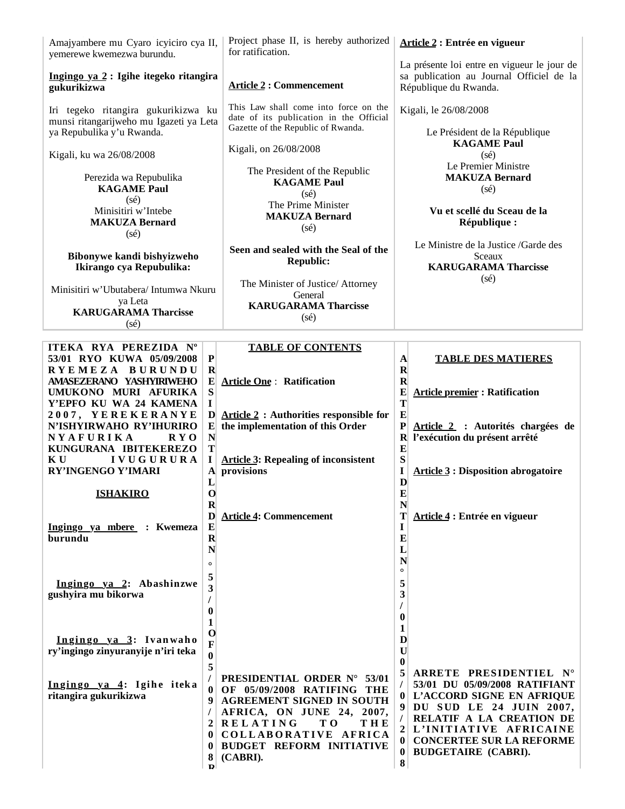| Amajyambere mu Cyaro icyiciro cya II,<br>yemerewe kwemezwa burundu.                                         | Project phase II, is hereby authorized<br>for ratification.                                                                                                                                                     | Article 2 : Entrée en vigueur                                                                                                                                                          |
|-------------------------------------------------------------------------------------------------------------|-----------------------------------------------------------------------------------------------------------------------------------------------------------------------------------------------------------------|----------------------------------------------------------------------------------------------------------------------------------------------------------------------------------------|
| Ingingo ya 2 : Igihe itegeko ritangira<br>gukurikizwa                                                       | <b>Article 2: Commencement</b>                                                                                                                                                                                  | La présente loi entre en vigueur le jour de<br>sa publication au Journal Officiel de la<br>République du Rwanda.                                                                       |
| Iri tegeko ritangira gukurikizwa ku<br>munsi ritangarijweho mu Igazeti ya Leta<br>ya Repubulika y'u Rwanda. | This Law shall come into force on the<br>date of its publication in the Official<br>Gazette of the Republic of Rwanda.                                                                                          | Kigali, le 26/08/2008<br>Le Président de la République                                                                                                                                 |
| Kigali, ku wa 26/08/2008                                                                                    | Kigali, on 26/08/2008                                                                                                                                                                                           | <b>KAGAME Paul</b><br>$(s\acute{e})$                                                                                                                                                   |
| Perezida wa Repubulika<br><b>KAGAME Paul</b>                                                                | The President of the Republic<br><b>KAGAME Paul</b><br>(sé)                                                                                                                                                     | Le Premier Ministre<br><b>MAKUZA Bernard</b><br>$(s\acute{e})$                                                                                                                         |
| (sé)<br>Minisitiri w'Intebe<br><b>MAKUZA Bernard</b><br>$(s\acute{e})$                                      | The Prime Minister<br><b>MAKUZA Bernard</b><br>$(s\acute{e})$                                                                                                                                                   | Vu et scellé du Sceau de la<br>République :                                                                                                                                            |
| Bibonywe kandi bishyizweho<br>Ikirango cya Repubulika:                                                      | Seen and sealed with the Seal of the<br><b>Republic:</b>                                                                                                                                                        | Le Ministre de la Justice /Garde des<br>Sceaux<br><b>KARUGARAMA Tharcisse</b>                                                                                                          |
| Minisitiri w'Ubutabera/ Intumwa Nkuru<br>ya Leta<br><b>KARUGARAMA Tharcisse</b><br>$(s\acute{e})$           | The Minister of Justice/ Attorney<br>General<br><b>KARUGARAMA Tharcisse</b><br>$(s\acute{e})$                                                                                                                   | $(s\acute{e})$                                                                                                                                                                         |
| ITEKA RYA PEREZIDA Nº                                                                                       | <b>TABLE OF CONTENTS</b>                                                                                                                                                                                        |                                                                                                                                                                                        |
| 53/01 RYO KUWA 05/09/2008                                                                                   | $\mathbf P$                                                                                                                                                                                                     | $\mathbf{A}$<br><b>TABLE DES MATIERES</b>                                                                                                                                              |
| RYEMEZA BURUNDU<br>AMASEZERANO YASHYIRIWEHO<br>UMUKONO MURI AFURIKA<br>Y'EPFO KU WA 24 KAMENA               | $\bf R$<br>$\bf{E}$<br><b>Article One: Ratification</b><br>${\bf S}$<br>L                                                                                                                                       | $\mathbf R$<br>$\mathbf R$<br>${\bf E}$<br><b>Article premier: Ratification</b><br>T                                                                                                   |
| 2007, YEREKERANYE<br>N'ISHYIRWAHO RY'IHURIRO<br>NYAFURIKA<br>RYO                                            | D<br><b>Article 2 : Authorities responsible for</b><br>the implementation of this Order<br>$\mathbf{E}$<br>$\mathbf N$                                                                                          | E<br>$\mathbf P$<br>Article 2 : Autorités chargées de<br>l'exécution du présent arrêté<br>$\mathbf R$                                                                                  |
| KUNGURANA IBITEKEREZO<br>KU<br><b>IVUGURURA</b><br>RY'INGENGO Y'IMARI                                       | T<br>$\mathbf I$<br><b>Article 3: Repealing of inconsistent</b><br>A provisions<br>L                                                                                                                            | $\bf{E}$<br>${\bf S}$<br><b>Article 3 : Disposition abrogatoire</b><br>I<br>$\mathbf{D}$                                                                                               |
| <b>ISHAKIRO</b>                                                                                             | $\mathbf 0$<br>$\bf{R}$                                                                                                                                                                                         | E<br>N                                                                                                                                                                                 |
| Ingingo ya mbere : Kwemeza                                                                                  | D<br><b>Article 4: Commencement</b><br>${\bf E}$                                                                                                                                                                | T<br>Article 4 : Entrée en vigueur<br>$\mathbf I$                                                                                                                                      |
| burundu                                                                                                     | $\mathbf R$<br>N                                                                                                                                                                                                | $\bf{E}$<br>$\mathbf{L}$                                                                                                                                                               |
|                                                                                                             | $\circ$<br>5                                                                                                                                                                                                    | N<br>$\circ$                                                                                                                                                                           |
| Ingingo ya 2: Abashinzwe<br>gushyira mu bikorwa                                                             | 3                                                                                                                                                                                                               | 5<br>3                                                                                                                                                                                 |
|                                                                                                             | 0<br>1                                                                                                                                                                                                          | $\bf{0}$<br>1                                                                                                                                                                          |
| Ingingo ya 3: Ivanwaho<br>ry'ingingo zinyuranyije n'iri teka                                                | $\bf{0}$<br>$\mathbf F$<br>$\bf{0}$                                                                                                                                                                             | D<br>$\mathbf U$<br>$\bf{0}$                                                                                                                                                           |
| Ingingo ya 4: Igihe iteka<br>ritangira gukurikizwa                                                          | 5<br>PRESIDENTIAL ORDER N° 53/01<br>OF 05/09/2008 RATIFING THE<br>0<br><b>AGREEMENT SIGNED IN SOUTH</b><br>9<br>AFRICA, ON JUNE 24, 2007,<br>$2$ RELATING<br>T O<br>THE<br>COLLABORATIVE AFRICA<br>$\mathbf{0}$ | 5<br>ARRETE PRESIDENTIEL N°<br>53/01 DU 05/09/2008 RATIFIANT<br>0 L'ACCORD SIGNE EN AFRIQUE<br>DU SUD LE 24 JUIN 2007,<br>9<br>RELATIF A LA CREATION DE<br>L'INITIATIVE AFRICAINE<br>2 |
|                                                                                                             | <b>BUDGET REFORM INITIATIVE</b><br>$\mathbf{0}$<br>8<br>(CABRI).<br>D                                                                                                                                           | <b>CONCERTEE SUR LA REFORME</b><br> 0 <br><b>BUDGETAIRE (CABRI).</b><br>$\bf{0}$<br>$\vert 8 \vert$                                                                                    |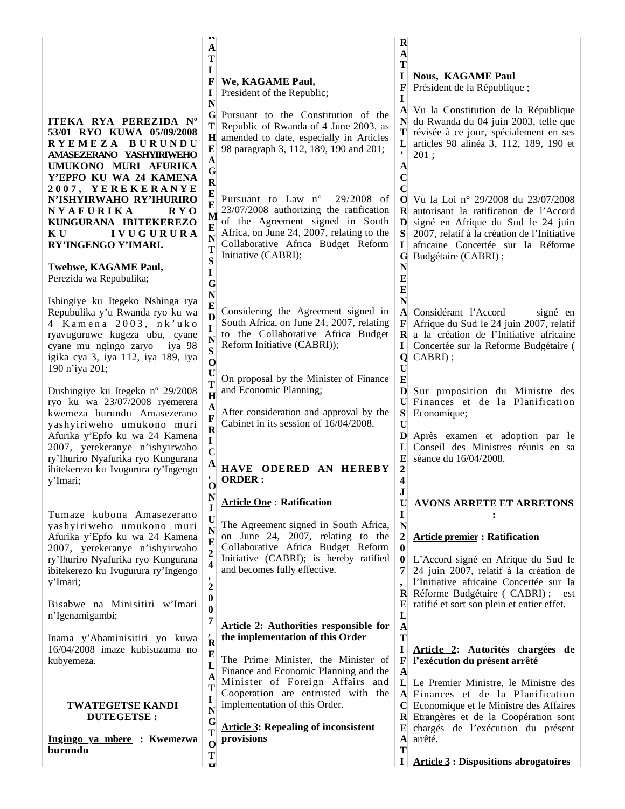| ITEKA RYA PEREZIDA Nº<br>53/01 RYO KUWA 05/09/2008<br>RYEMEZA BURUNDU<br>AMASEZERANO YASHYIRIWEHO<br>UMUKONO MURI AFURIKA<br>Y'EPFO KU WA 24 KAMENA<br>2007, YEREKERANYE<br>N'ISHYIRWAHO RY'IHURIRO<br>NYAFURIKA<br>R Y O<br>KUNGURANA IBITEKEREZO<br><b>IVUGURURA</b><br>K U<br>RY'INGENGO Y'IMARI.<br>Twebwe, KAGAME Paul,<br>Perezida wa Repubulika;<br>Ishingiye ku Itegeko Nshinga rya<br>Repubulika y'u Rwanda ryo ku wa<br>4 Kamena 2003, nk'uko<br>ryavuguruwe kugeza ubu, cyane<br>cyane mu ngingo zaryo<br>iya 98<br>igika cya 3, iya 112, iya 189, iya<br>190 n'iya 201;<br>Dushingiye ku Itegeko nº 29/2008<br>ryo ku wa 23/07/2008 ryemerera<br>kwemeza burundu Amasezerano<br>yashyiriweho umukono muri | л<br>A<br>Т<br>I<br>F<br>We, KAGAME Paul,<br>President of the Republic;<br>I<br>N<br>G Pursuant to the Constitution of the<br>T Republic of Rwanda of 4 June 2003, as<br>H amended to date, especially in Articles<br>98 paragraph 3, 112, 189, 190 and 201;<br>$\mathbf{E}$<br>$\mathbf{A}$<br>$\mathbf G$<br>$\mathbf R$<br>E<br>Pursuant to Law n°<br>$29/2008$ of<br>E<br>23/07/2008 authorizing the ratification<br>M<br>of the Agreement signed in South<br>Е<br>Africa, on June 24, 2007, relating to the<br>N<br>Collaborative Africa Budget Reform<br>T<br>Initiative (CABRI);<br>S<br>I<br>G<br>N<br>E<br>Considering the Agreement signed in<br>D<br>South Africa, on June 24, 2007, relating<br>1<br>to the Collaborative Africa Budget<br>N<br>Reform Initiative (CABRI));<br>S<br>O<br>U<br>On proposal by the Minister of Finance<br>Т<br>and Economic Planning;<br>H<br>A<br>After consideration and approval by the<br>F<br>Cabinet in its session of 16/04/2008.<br>$\overline{\mathbf{R}}$ | $\bf R$<br>$\mathbf{A}$<br>т<br>I<br><b>Nous, KAGAME Paul</b><br>F<br>Président de la République;<br>I<br>Vu la Constitution de la République<br>$\mathbf{A}$<br>du Rwanda du 04 juin 2003, telle que<br>N<br>T<br>révisée à ce jour, spécialement en ses<br>L<br>articles 98 alinéa 3, 112, 189, 190 et<br>$\bullet$<br>201;<br>A<br>$\mathbf C$<br>C<br>O Vu la Loi nº 29/2008 du 23/07/2008<br><b>R</b> autorisant la ratification de l'Accord<br>D signé en Afrique du Sud le 24 juin<br>S<br>2007, relatif à la création de l'Initiative<br>africaine Concertée sur la Réforme<br>I<br>Budgétaire (CABRI);<br>G<br>N<br>E<br>E<br>N<br>Considérant l'Accord<br>A<br>signé en<br>Afrique du Sud le 24 juin 2007, relatif<br>F<br>$\mathbf{R}$ a la création de l'Initiative africaine<br>I<br>Concertée sur la Reforme Budgétaire (<br>Q CABRI);<br>$\bf U$<br>E<br>D<br>Sur proposition du Ministre des<br>$\mathbf{U}$<br>Finances et de la Planification<br>S<br>Economique;<br>$\mathbf U$ |
|-----------------------------------------------------------------------------------------------------------------------------------------------------------------------------------------------------------------------------------------------------------------------------------------------------------------------------------------------------------------------------------------------------------------------------------------------------------------------------------------------------------------------------------------------------------------------------------------------------------------------------------------------------------------------------------------------------------------------|---------------------------------------------------------------------------------------------------------------------------------------------------------------------------------------------------------------------------------------------------------------------------------------------------------------------------------------------------------------------------------------------------------------------------------------------------------------------------------------------------------------------------------------------------------------------------------------------------------------------------------------------------------------------------------------------------------------------------------------------------------------------------------------------------------------------------------------------------------------------------------------------------------------------------------------------------------------------------------------------------------------|----------------------------------------------------------------------------------------------------------------------------------------------------------------------------------------------------------------------------------------------------------------------------------------------------------------------------------------------------------------------------------------------------------------------------------------------------------------------------------------------------------------------------------------------------------------------------------------------------------------------------------------------------------------------------------------------------------------------------------------------------------------------------------------------------------------------------------------------------------------------------------------------------------------------------------------------------------------------------------------------------|
| ry'Ihuriro Nyafurika ryo Kungurana<br>ibitekerezo ku Ivugurura ry'Ingengo<br>y'Imari;<br>Tumaze kubona Amasezerano<br>yashyiriweho umukono muri<br>Afurika y'Epfo ku wa 24 Kamena<br>2007, yerekeranye n'ishyirwaho<br>ry'Ihuriro Nyafurika ryo Kungurana<br>ibitekerezo ku Ivugurura ry'Ingengo<br>y'Imari;                                                                                                                                                                                                                                                                                                                                                                                                          | $\mathbf{A}$<br>HAVE ODERED AN HEREBY<br>$\overline{\phantom{a}}$<br><b>ORDER:</b><br>$\mathbf{o}$<br>N<br><b>Article One: Ratification</b><br>U<br>The Agreement signed in South Africa,<br>N<br>on June 24, 2007, relating to the<br>E<br>Collaborative Africa Budget Reform<br>Initiative (CABRI); is hereby ratified<br>4<br>and becomes fully effective.<br>$\overline{2}$<br>$\bf{0}$                                                                                                                                                                                                                                                                                                                                                                                                                                                                                                                                                                                                                   | E<br>séance du 16/04/2008.<br>2<br>4<br>J<br><b>AVONS ARRETE ET ARRETONS</b><br>$\mathbf U$<br>$\bf{I}$<br>N<br>$\boldsymbol{2}$<br><b>Article premier: Ratification</b><br>$\mathbf{0}$<br>$\bf{0}$<br>L'Accord signé en Afrique du Sud le<br>24 juin 2007, relatif à la création de<br>l'Initiative africaine Concertée sur la<br>$\bullet$<br>$\mathbf{R}$ Réforme Budgétaire (CABRI);<br>est                                                                                                                                                                                                                                                                                                                                                                                                                                                                                                                                                                                                   |
| Bisabwe na Minisitiri w'Imari<br>n'Igenamigambi;<br>Inama y'Abaminisitiri yo kuwa<br>16/04/2008 imaze kubisuzuma no<br>kubyemeza.<br><b>TWATEGETSE KANDI</b><br><b>DUTEGETSE:</b><br>Ingingo ya mbere : Kwemezwa<br>burundu                                                                                                                                                                                                                                                                                                                                                                                                                                                                                           | $\bf{0}$<br>7<br><b>Article 2:</b> Authorities responsible for<br>the implementation of this Order<br>$\mathbf{\hat{R}}$<br>E<br>The Prime Minister, the Minister of<br>L<br>Finance and Economic Planning and the<br>A<br>Minister of Foreign Affairs and<br>Cooperation are entrusted with the<br>$\bf{l}$<br>implementation of this Order.<br>N<br>G<br><b>Article 3: Repealing of inconsistent</b><br>т<br>provisions<br>$\mathbf 0$<br>Т<br>ц                                                                                                                                                                                                                                                                                                                                                                                                                                                                                                                                                            | ratifié et sort son plein et entier effet.<br>E<br>L<br>$\mathbf{A}$<br>T<br>I<br>Article 2: Autorités chargées de<br>l'exécution du présent arrêté<br>$\mathbf F$<br>$\mathbf{A}$<br>L Le Premier Ministre, le Ministre des<br>A Finances et de la Planification<br>C Economique et le Ministre des Affaires<br>R Etrangères et de la Coopération sont<br>chargés de l'exécution du présent<br>E<br>arrêté.<br>$\mathbf{A}$<br>т<br><b>Article 3 : Dispositions abrogatoires</b><br>I                                                                                                                                                                                                                                                                                                                                                                                                                                                                                                             |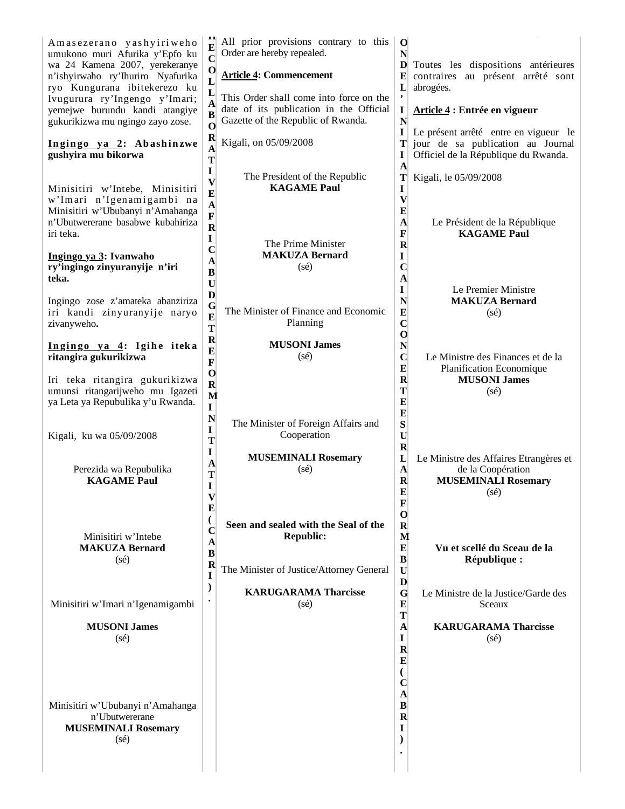| Amasezerano yashyiriweho<br>umukono muri Afurika y'Epfo ku<br>wa 24 Kamena 2007, yerekeranye<br>n'ishyirwaho ry'Ihuriro Nyafurika<br>ryo Kungurana ibitekerezo ku<br>Ivugurura ry'Ingengo y'Imari;<br>yemejwe burundu kandi atangiye<br>gukurikizwa mu ngingo zayo zose.<br>Ingingo ya 2: Abashinzwe<br>gushyira mu bikorwa<br>Minisitiri w'Intebe, Minisitiri | All prior provisions contrary to this<br>$\mathbf 0$<br>Order are hereby repealed.<br>N<br>$\mathbf C$<br>D<br>Toutes les dispositions antérieures<br>$\mathbf{o}$<br><b>Article 4: Commencement</b><br>contraires au présent arrêté sont<br>E<br>$\mathbf L$<br>L<br>abrogées.<br>L<br>This Order shall come into force on the<br>$\mathbf A$<br>date of its publication in the Official<br>I<br>Article 4 : Entrée en vigueur<br>B<br>Gazette of the Republic of Rwanda.<br>N<br>$\mathbf 0$<br>I<br>Le présent arrêté entre en vigueur le<br>$\mathbf R$<br>Kigali, on 05/09/2008<br>Т<br>jour de sa publication au Journal<br>A<br>Officiel de la République du Rwanda.<br>I<br>T<br>A<br>I<br>The President of the Republic<br>T<br>Kigali, le 05/09/2008<br>V<br><b>KAGAME Paul</b><br>I |  |
|----------------------------------------------------------------------------------------------------------------------------------------------------------------------------------------------------------------------------------------------------------------------------------------------------------------------------------------------------------------|------------------------------------------------------------------------------------------------------------------------------------------------------------------------------------------------------------------------------------------------------------------------------------------------------------------------------------------------------------------------------------------------------------------------------------------------------------------------------------------------------------------------------------------------------------------------------------------------------------------------------------------------------------------------------------------------------------------------------------------------------------------------------------------------|--|
| w'Imari n'Igenamigambi na<br>Minisitiri w'Ububanyi n'Amahanga<br>n'Ubutwererane basabwe kubahiriza<br>iri teka.<br>Ingingo ya 3: Ivanwaho                                                                                                                                                                                                                      | E<br>$\boldsymbol{\mathrm{V}}$<br>A<br>$\bf{E}$<br>$\mathbf F$<br>$\mathbf{A}$<br>Le Président de la République<br>$\mathbf R$<br>F<br><b>KAGAME Paul</b><br>I<br>The Prime Minister<br>$\mathbf R$<br>$\mathbf C$<br><b>MAKUZA Bernard</b><br>I                                                                                                                                                                                                                                                                                                                                                                                                                                                                                                                                               |  |
| ry'ingingo zinyuranyije n'iri<br>teka.<br>Ingingo zose z'amateka abanziriza<br>iri kandi zinyuranyije naryo<br>zivanyweho.                                                                                                                                                                                                                                     | А<br>$(s\acute{e})$<br>$\mathbf C$<br>B<br>A<br>$\mathbf U$<br>I<br>Le Premier Ministre<br>D<br>N<br><b>MAKUZA Bernard</b><br>$\mathbf G$<br>The Minister of Finance and Economic<br>E<br>$(s\acute{e})$<br>$\bf{E}$<br>Planning<br>$\mathbf C$<br>T                                                                                                                                                                                                                                                                                                                                                                                                                                                                                                                                           |  |
| Ingingo ya 4: Igihe iteka<br>ritangira gukurikizwa<br>Iri teka ritangira gukurikizwa<br>umunsi ritangarijweho mu Igazeti<br>ya Leta ya Repubulika y'u Rwanda.                                                                                                                                                                                                  | $\mathbf 0$<br>$\mathbf R$<br><b>MUSONI James</b><br>${\bf N}$<br>$\bf{E}$<br>$\mathbf C$<br>$(s\acute{e})$<br>Le Ministre des Finances et de la<br>$\mathbf F$<br>$\bf{E}$<br><b>Planification Economique</b><br>$\mathbf{o}$<br>$\mathbf R$<br><b>MUSONI James</b><br>$\mathbf R$<br>Т<br>$(s\acute{e})$<br>M<br>E<br>$\mathbf I$                                                                                                                                                                                                                                                                                                                                                                                                                                                            |  |
| Kigali, ku wa 05/09/2008<br>Perezida wa Repubulika<br><b>KAGAME Paul</b>                                                                                                                                                                                                                                                                                       | $\bf{E}$<br>N<br>S<br>The Minister of Foreign Affairs and<br>$\mathbf I$<br>Cooperation<br>$\mathbf U$<br>T<br>$\mathbf R$<br>1<br><b>MUSEMINALI Rosemary</b><br>L<br>Le Ministre des Affaires Etrangères et<br>A<br>$(s\acute{e})$<br>$\mathbf{A}$<br>de la Coopération<br>Т<br>$\mathbf R$<br><b>MUSEMINALI Rosemary</b><br>I<br>E<br>$(s\acute{e})$                                                                                                                                                                                                                                                                                                                                                                                                                                         |  |
| Minisitiri w'Intebe<br><b>MAKUZA Bernard</b><br>$(s\acute{e})$                                                                                                                                                                                                                                                                                                 | $\mathbf{V}$<br>F<br>$\bf{E}$<br>$\mathbf 0$<br>₹<br>Seen and sealed with the Seal of the<br>$\mathbf R$<br>C<br><b>Republic:</b><br>M<br>A<br>${\bf E}$<br>Vu et scellé du Sceau de la<br>$\bf{B}$<br>$\bf{B}$<br>République :<br>$\bf R$<br>The Minister of Justice/Attorney General<br>$\mathbf U$<br>I<br>D                                                                                                                                                                                                                                                                                                                                                                                                                                                                                |  |
| Minisitiri w'Imari n'Igenamigambi<br><b>MUSONI James</b>                                                                                                                                                                                                                                                                                                       | $\mathcal{E}$<br><b>KARUGARAMA Tharcisse</b><br>G<br>Le Ministre de la Justice/Garde des<br>$(s\acute{e})$<br>$\bf{E}$<br>Sceaux<br>T<br>$\mathbf A$<br><b>KARUGARAMA Tharcisse</b>                                                                                                                                                                                                                                                                                                                                                                                                                                                                                                                                                                                                            |  |
| $(s\acute{e})$<br>Minisitiri w'Ububanyi n'Amahanga<br>n'Ubutwererane<br><b>MUSEMINALI Rosemary</b><br>(sé)                                                                                                                                                                                                                                                     | I<br>$(s\acute{e})$<br>$\mathbf R$<br>$\bf{E}$<br>€<br>$\mathbf C$<br>A<br>$\bf{B}$<br>$\bf{R}$<br>1                                                                                                                                                                                                                                                                                                                                                                                                                                                                                                                                                                                                                                                                                           |  |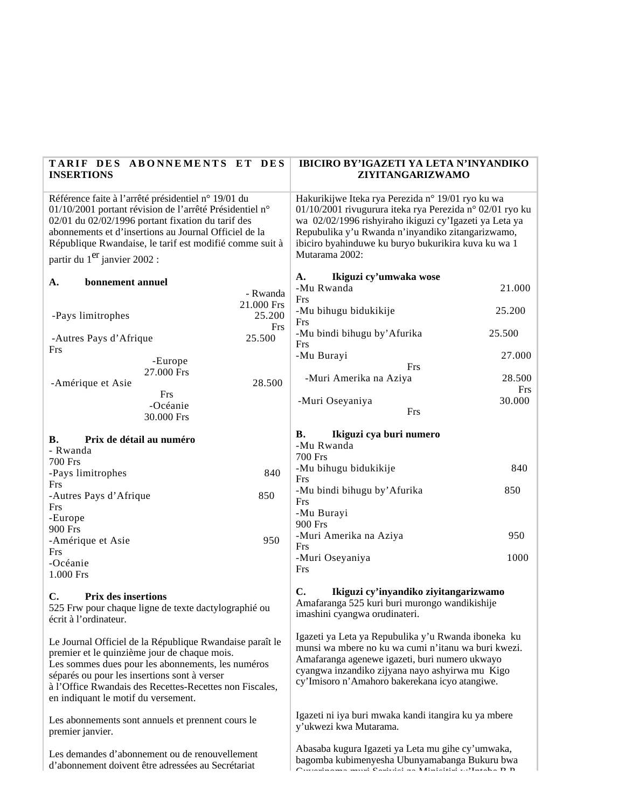| TARIF DES ABONNEMENTS ET DES<br><b>INSERTIONS</b>                                                                                                                                                                                                                                                                                   |                        | <b>IBICIRO BY'IGAZETI YA LETA N'INYANDIKO</b><br>ZIYITANGARIZWAMO                                                                                                                                                                                                                                     |               |
|-------------------------------------------------------------------------------------------------------------------------------------------------------------------------------------------------------------------------------------------------------------------------------------------------------------------------------------|------------------------|-------------------------------------------------------------------------------------------------------------------------------------------------------------------------------------------------------------------------------------------------------------------------------------------------------|---------------|
| Référence faite à l'arrêté présidentiel n° 19/01 du<br>01/10/2001 portant révision de l'arrêté Présidentiel n°<br>02/01 du 02/02/1996 portant fixation du tarif des<br>abonnements et d'insertions au Journal Officiel de la<br>République Rwandaise, le tarif est modifié comme suit à<br>partir du 1 <sup>er</sup> janvier 2002 : |                        | Hakurikijwe Iteka rya Perezida n° 19/01 ryo ku wa<br>01/10/2001 rivugurura iteka rya Perezida n° 02/01 ryo ku<br>wa 02/02/1996 rishyiraho ikiguzi cy'Igazeti ya Leta ya<br>Repubulika y'u Rwanda n'inyandiko zitangarizwamo,<br>ibiciro byahinduwe ku buryo bukurikira kuva ku wa 1<br>Mutarama 2002: |               |
|                                                                                                                                                                                                                                                                                                                                     |                        | Ikiguzi cy'umwaka wose<br>A.                                                                                                                                                                                                                                                                          |               |
| bonnement annuel<br>A.                                                                                                                                                                                                                                                                                                              |                        | -Mu Rwanda                                                                                                                                                                                                                                                                                            | 21.000        |
|                                                                                                                                                                                                                                                                                                                                     | - Rwanda<br>21.000 Frs | Frs                                                                                                                                                                                                                                                                                                   |               |
| -Pays limitrophes                                                                                                                                                                                                                                                                                                                   | 25.200                 | -Mu bihugu bidukikije<br>Frs                                                                                                                                                                                                                                                                          | 25.200        |
| -Autres Pays d'Afrique<br>Frs                                                                                                                                                                                                                                                                                                       | Frs<br>25.500          | -Mu bindi bihugu by' Afurika<br>Frs                                                                                                                                                                                                                                                                   | 25.500        |
| -Europe                                                                                                                                                                                                                                                                                                                             |                        | -Mu Burayi                                                                                                                                                                                                                                                                                            | 27.000        |
| 27.000 Frs                                                                                                                                                                                                                                                                                                                          |                        | Frs                                                                                                                                                                                                                                                                                                   |               |
| -Amérique et Asie                                                                                                                                                                                                                                                                                                                   | 28.500                 | -Muri Amerika na Aziya                                                                                                                                                                                                                                                                                | 28.500<br>Frs |
| Frs<br>-Océanie                                                                                                                                                                                                                                                                                                                     |                        | -Muri Oseyaniya                                                                                                                                                                                                                                                                                       | 30.000        |
| 30.000 Frs                                                                                                                                                                                                                                                                                                                          |                        | Frs                                                                                                                                                                                                                                                                                                   |               |
| <b>B.</b><br>Prix de détail au numéro                                                                                                                                                                                                                                                                                               |                        | <b>B.</b><br>Ikiguzi cya buri numero                                                                                                                                                                                                                                                                  |               |
| - Rwanda                                                                                                                                                                                                                                                                                                                            |                        | -Mu Rwanda                                                                                                                                                                                                                                                                                            |               |
| <b>700 Frs</b>                                                                                                                                                                                                                                                                                                                      |                        | <b>700 Frs</b>                                                                                                                                                                                                                                                                                        |               |
| -Pays limitrophes<br>Frs                                                                                                                                                                                                                                                                                                            | 840                    | -Mu bihugu bidukikije<br>Frs                                                                                                                                                                                                                                                                          | 840           |
| -Autres Pays d'Afrique                                                                                                                                                                                                                                                                                                              | 850                    | -Mu bindi bihugu by' Afurika<br>Frs                                                                                                                                                                                                                                                                   | 850           |
| Frs                                                                                                                                                                                                                                                                                                                                 |                        | -Mu Burayi                                                                                                                                                                                                                                                                                            |               |
| -Europe                                                                                                                                                                                                                                                                                                                             |                        | 900 Frs                                                                                                                                                                                                                                                                                               |               |
| 900 Frs<br>-Amérique et Asie                                                                                                                                                                                                                                                                                                        | 950                    | -Muri Amerika na Aziya                                                                                                                                                                                                                                                                                | 950           |
| Frs                                                                                                                                                                                                                                                                                                                                 |                        | <b>Frs</b>                                                                                                                                                                                                                                                                                            |               |
| -Océanie                                                                                                                                                                                                                                                                                                                            |                        | -Muri Oseyaniya<br>Frs                                                                                                                                                                                                                                                                                | 1000          |
| 1.000 Frs                                                                                                                                                                                                                                                                                                                           |                        |                                                                                                                                                                                                                                                                                                       |               |
| $\mathbf{C}$ .<br><b>Prix des insertions</b><br>C.<br>525 Frw pour chaque ligne de texte dactylographié ou<br>écrit à l'ordinateur.                                                                                                                                                                                                 |                        | Ikiguzi cy'inyandiko ziyitangarizwamo<br>Amafaranga 525 kuri buri murongo wandikishije<br>imashini cyangwa orudinateri.                                                                                                                                                                               |               |
| Le Journal Officiel de la République Rwandaise paraît le<br>premier et le quinzième jour de chaque mois.<br>Les sommes dues pour les abonnements, les numéros<br>séparés ou pour les insertions sont à verser<br>à l'Office Rwandais des Recettes-Recettes non Fiscales,<br>en indiquant le motif du versement.                     |                        | Igazeti ya Leta ya Repubulika y'u Rwanda iboneka ku<br>munsi wa mbere no ku wa cumi n'itanu wa buri kwezi.<br>Amafaranga agenewe igazeti, buri numero ukwayo<br>cyangwa inzandiko zijyana nayo ashyirwa mu Kigo<br>cy'Imisoro n'Amahoro bakerekana icyo atangiwe.                                     |               |
| Les abonnements sont annuels et prennent cours le<br>premier janvier.                                                                                                                                                                                                                                                               |                        | Igazeti ni iya buri mwaka kandi itangira ku ya mbere<br>y'ukwezi kwa Mutarama.                                                                                                                                                                                                                        |               |
| Les demandes d'abonnement ou de renouvellement<br>d'abonnement doivent être adressées au Secrétariat                                                                                                                                                                                                                                |                        | Abasaba kugura Igazeti ya Leta mu gihe cy'umwaka,<br>bagomba kubimenyesha Ubunyamabanga Bukuru bwa<br>$O_{\text{measured}}$ and $O_{\text{measured}}$ and $O_{\text{measured}}$ is a Minimized contract of $D$ $D$                                                                                    |               |